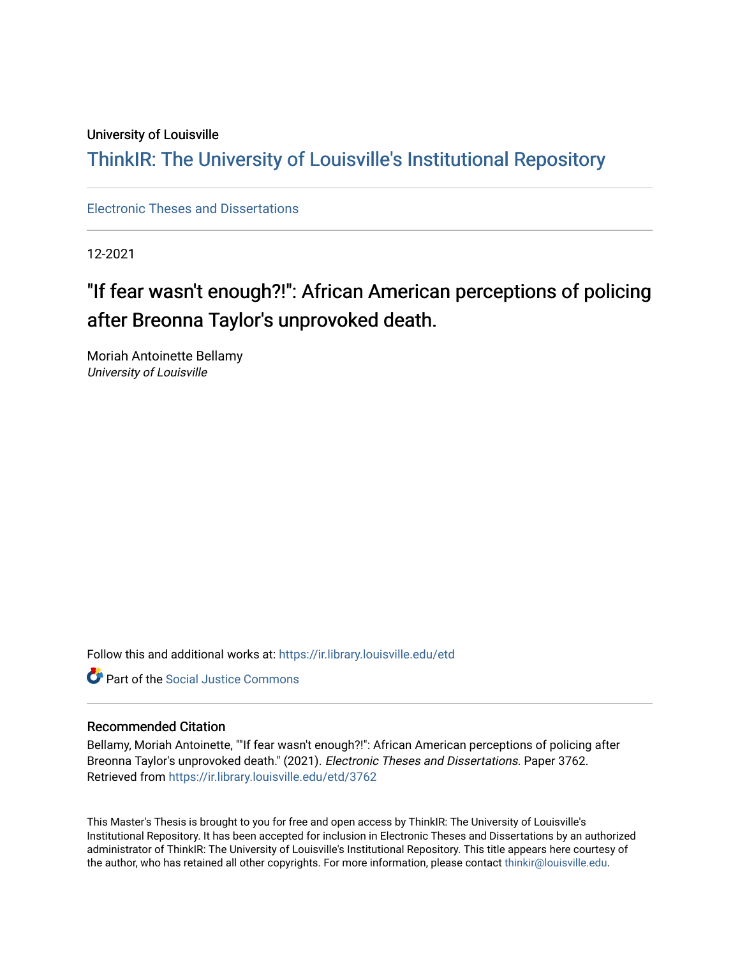# University of Louisville

# ThinkIR: The Univ[ersity of Louisville's Institutional Reposit](https://ir.library.louisville.edu/)ory

[Electronic Theses and Dissertations](https://ir.library.louisville.edu/etd)

12-2021

# "If fear wasn't enough?!": African American perceptions of policing after Breonna Taylor's unprovoked death.

Moriah Antoinette Bellamy University of Louisville

Follow this and additional works at: [https://ir.library.louisville.edu/etd](https://ir.library.louisville.edu/etd?utm_source=ir.library.louisville.edu%2Fetd%2F3762&utm_medium=PDF&utm_campaign=PDFCoverPages) 

**C** Part of the Social Justice Commons

#### Recommended Citation

Bellamy, Moriah Antoinette, ""If fear wasn't enough?!": African American perceptions of policing after Breonna Taylor's unprovoked death." (2021). Electronic Theses and Dissertations. Paper 3762. Retrieved from [https://ir.library.louisville.edu/etd/3762](https://ir.library.louisville.edu/etd/3762?utm_source=ir.library.louisville.edu%2Fetd%2F3762&utm_medium=PDF&utm_campaign=PDFCoverPages) 

This Master's Thesis is brought to you for free and open access by ThinkIR: The University of Louisville's Institutional Repository. It has been accepted for inclusion in Electronic Theses and Dissertations by an authorized administrator of ThinkIR: The University of Louisville's Institutional Repository. This title appears here courtesy of the author, who has retained all other copyrights. For more information, please contact [thinkir@louisville.edu.](mailto:thinkir@louisville.edu)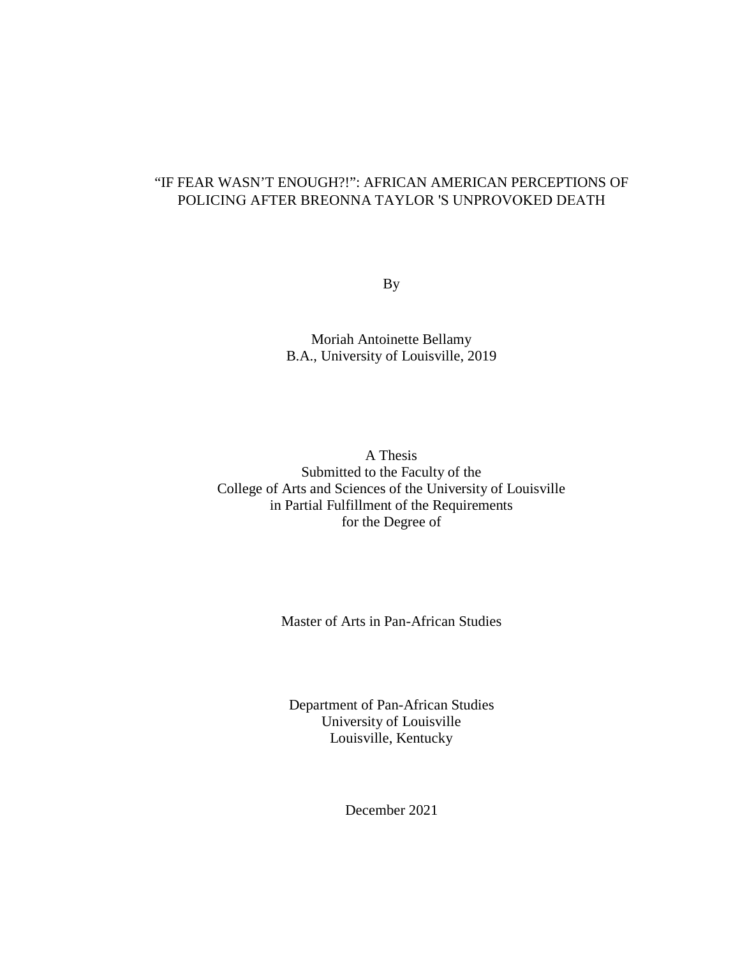# "IF FEAR WASN'T ENOUGH?!": AFRICAN AMERICAN PERCEPTIONS OF POLICING AFTER BREONNA TAYLOR 'S UNPROVOKED DEATH

By

Moriah Antoinette Bellamy B.A., University of Louisville, 2019

A Thesis Submitted to the Faculty of the College of Arts and Sciences of the University of Louisville in Partial Fulfillment of the Requirements for the Degree of

Master of Arts in Pan-African Studies

Department of Pan-African Studies University of Louisville Louisville, Kentucky

December 2021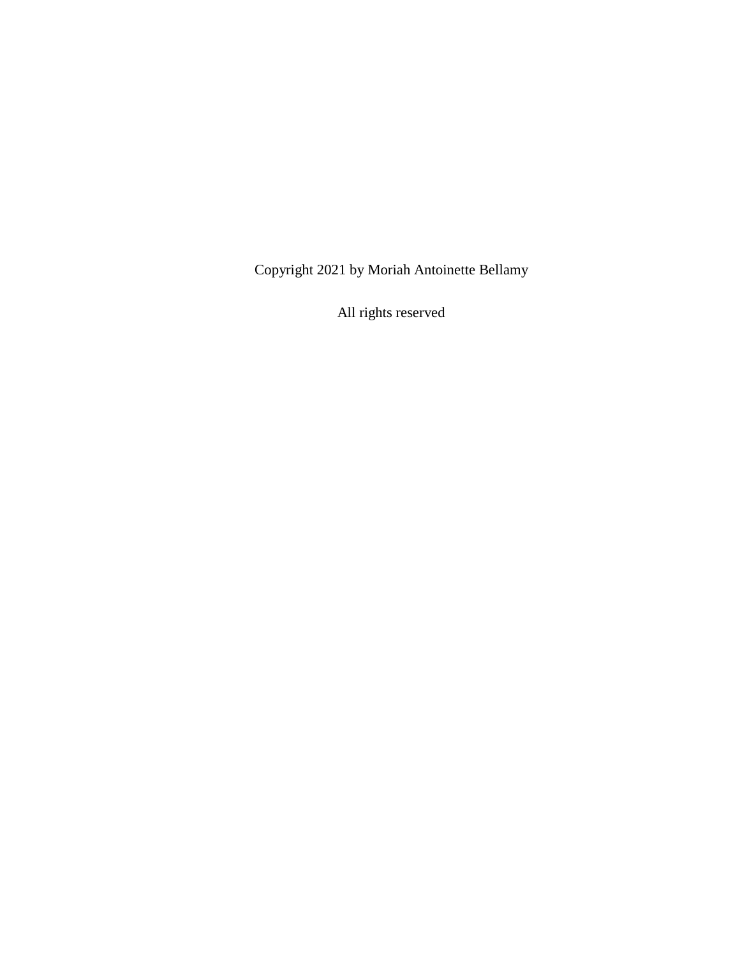Copyright 2021 by Moriah Antoinette Bellamy

All rights reserved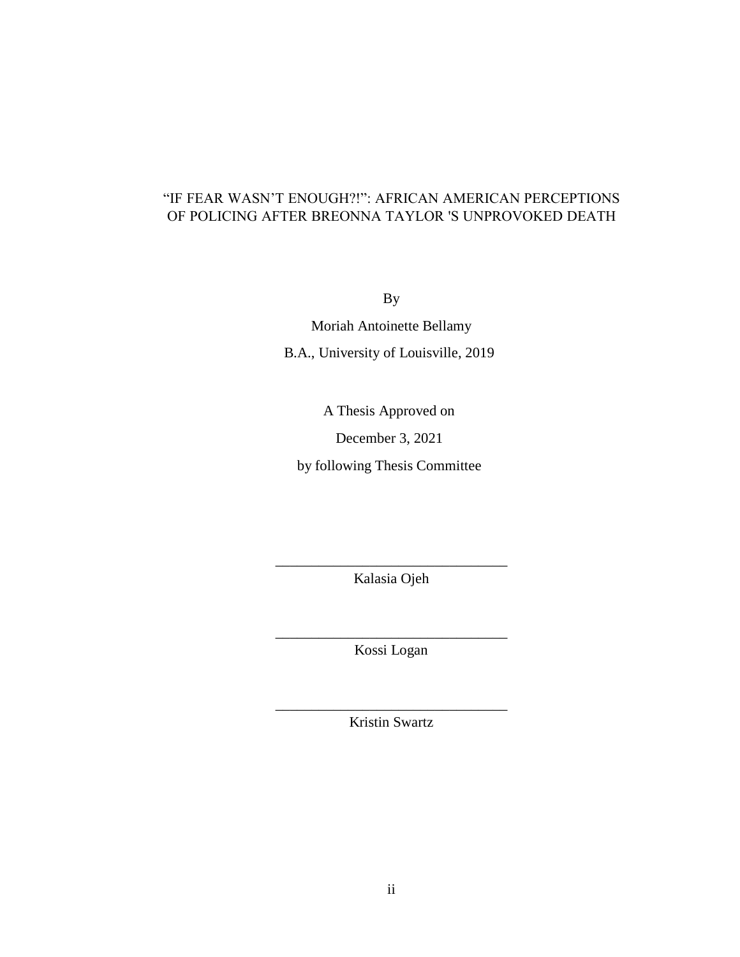# "IF FEAR WASN'T ENOUGH?!": AFRICAN AMERICAN PERCEPTIONS OF POLICING AFTER BREONNA TAYLOR 'S UNPROVOKED DEATH

By

Moriah Antoinette Bellamy B.A., University of Louisville, 2019

A Thesis Approved on

December 3, 2021

by following Thesis Committee

\_\_\_\_\_\_\_\_\_\_\_\_\_\_\_\_\_\_\_\_\_\_\_\_\_\_\_\_\_\_\_\_ Kalasia Ojeh

\_\_\_\_\_\_\_\_\_\_\_\_\_\_\_\_\_\_\_\_\_\_\_\_\_\_\_\_\_\_\_\_ Kossi Logan

\_\_\_\_\_\_\_\_\_\_\_\_\_\_\_\_\_\_\_\_\_\_\_\_\_\_\_\_\_\_\_\_ Kristin Swartz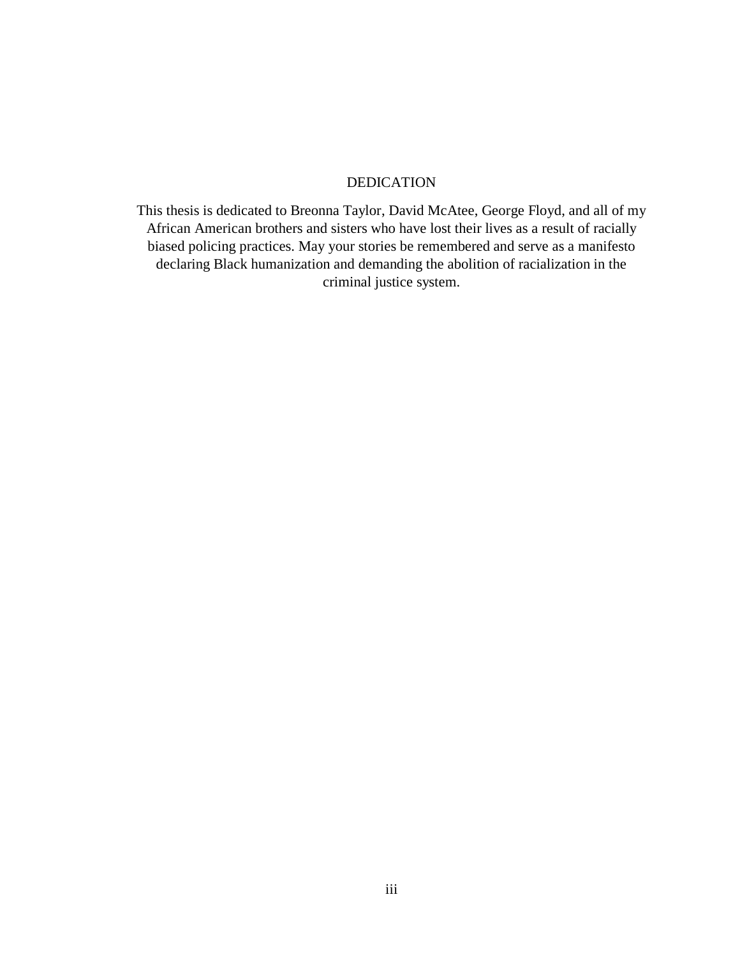## DEDICATION

This thesis is dedicated to Breonna Taylor, David McAtee, George Floyd, and all of my African American brothers and sisters who have lost their lives as a result of racially biased policing practices. May your stories be remembered and serve as a manifesto declaring Black humanization and demanding the abolition of racialization in the criminal justice system.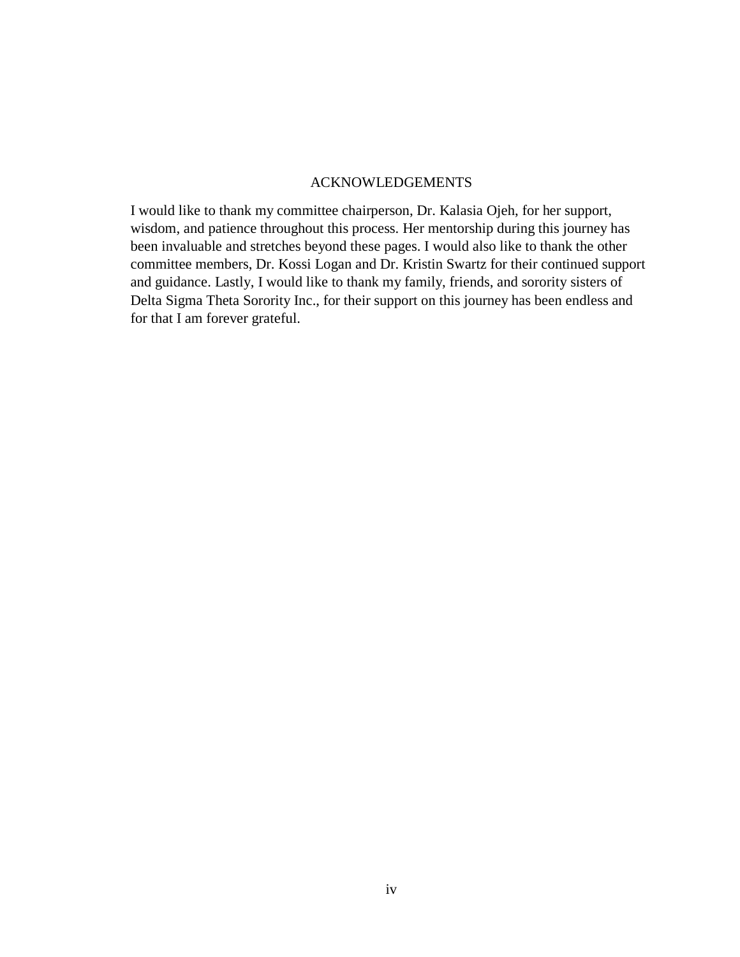## ACKNOWLEDGEMENTS

I would like to thank my committee chairperson, Dr. Kalasia Ojeh, for her support, wisdom, and patience throughout this process. Her mentorship during this journey has been invaluable and stretches beyond these pages. I would also like to thank the other committee members, Dr. Kossi Logan and Dr. Kristin Swartz for their continued support and guidance. Lastly, I would like to thank my family, friends, and sorority sisters of Delta Sigma Theta Sorority Inc., for their support on this journey has been endless and for that I am forever grateful.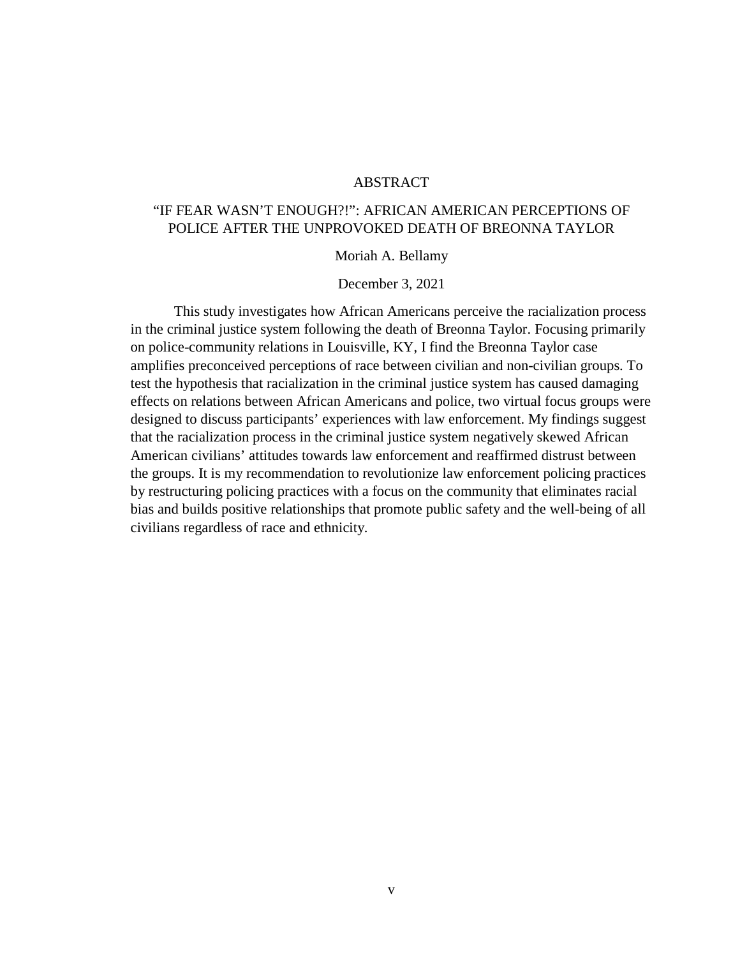# ABSTRACT

# "IF FEAR WASN'T ENOUGH?!": AFRICAN AMERICAN PERCEPTIONS OF POLICE AFTER THE UNPROVOKED DEATH OF BREONNA TAYLOR

#### Moriah A. Bellamy

#### December 3, 2021

This study investigates how African Americans perceive the racialization process in the criminal justice system following the death of Breonna Taylor. Focusing primarily on police-community relations in Louisville, KY, I find the Breonna Taylor case amplifies preconceived perceptions of race between civilian and non-civilian groups. To test the hypothesis that racialization in the criminal justice system has caused damaging effects on relations between African Americans and police, two virtual focus groups were designed to discuss participants' experiences with law enforcement. My findings suggest that the racialization process in the criminal justice system negatively skewed African American civilians' attitudes towards law enforcement and reaffirmed distrust between the groups. It is my recommendation to revolutionize law enforcement policing practices by restructuring policing practices with a focus on the community that eliminates racial bias and builds positive relationships that promote public safety and the well-being of all civilians regardless of race and ethnicity.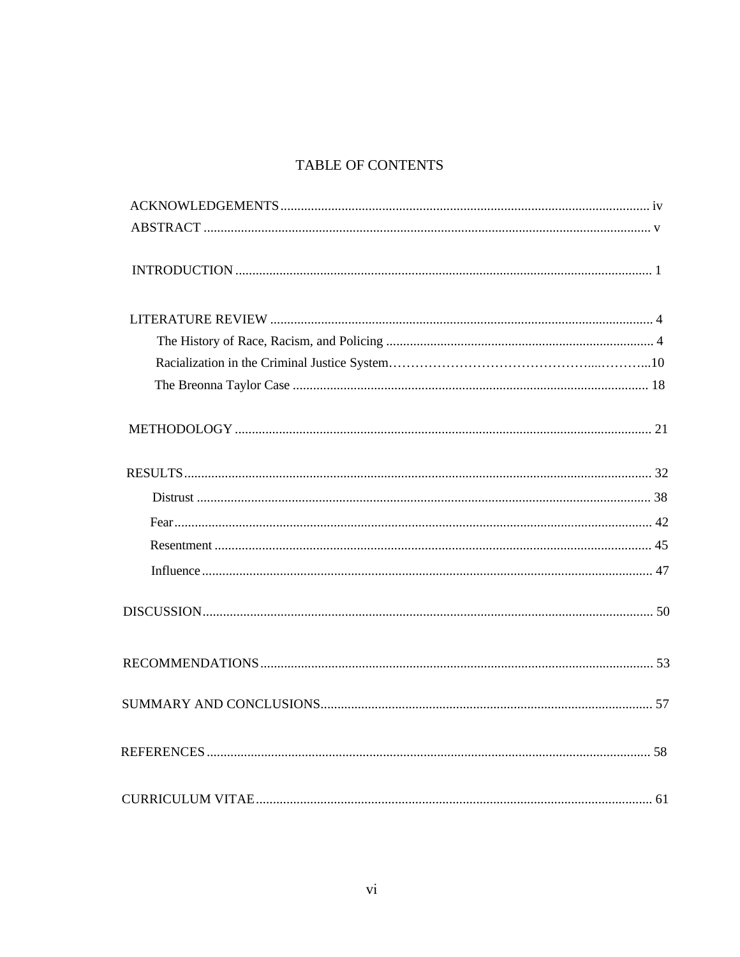# TABLE OF CONTENTS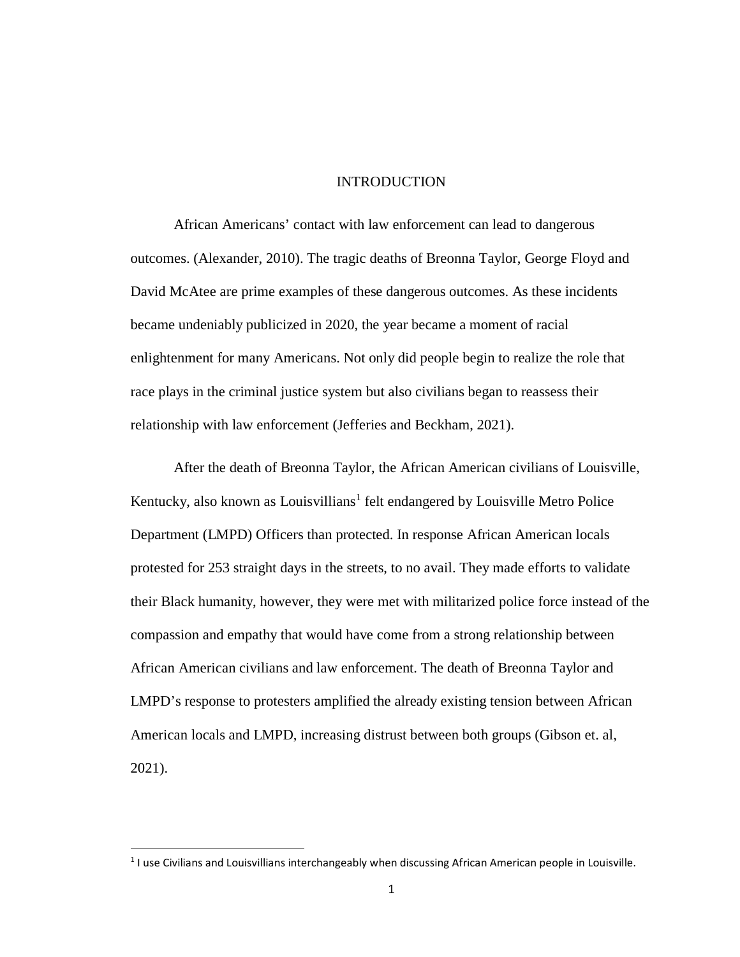#### INTRODUCTION

African Americans' contact with law enforcement can lead to dangerous outcomes. (Alexander, 2010). The tragic deaths of Breonna Taylor, George Floyd and David McAtee are prime examples of these dangerous outcomes. As these incidents became undeniably publicized in 2020, the year became a moment of racial enlightenment for many Americans. Not only did people begin to realize the role that race plays in the criminal justice system but also civilians began to reassess their relationship with law enforcement (Jefferies and Beckham, 2021).

After the death of Breonna Taylor, the African American civilians of Louisville, Kentucky, also known as Louisvillians<sup>[1](#page-9-0)</sup> felt endangered by Louisville Metro Police Department (LMPD) Officers than protected. In response African American locals protested for 253 straight days in the streets, to no avail. They made efforts to validate their Black humanity, however, they were met with militarized police force instead of the compassion and empathy that would have come from a strong relationship between African American civilians and law enforcement. The death of Breonna Taylor and LMPD's response to protesters amplified the already existing tension between African American locals and LMPD, increasing distrust between both groups (Gibson et. al, 2021).

<span id="page-9-0"></span><sup>&</sup>lt;sup>1</sup> I use Civilians and Louisvillians interchangeably when discussing African American people in Louisville.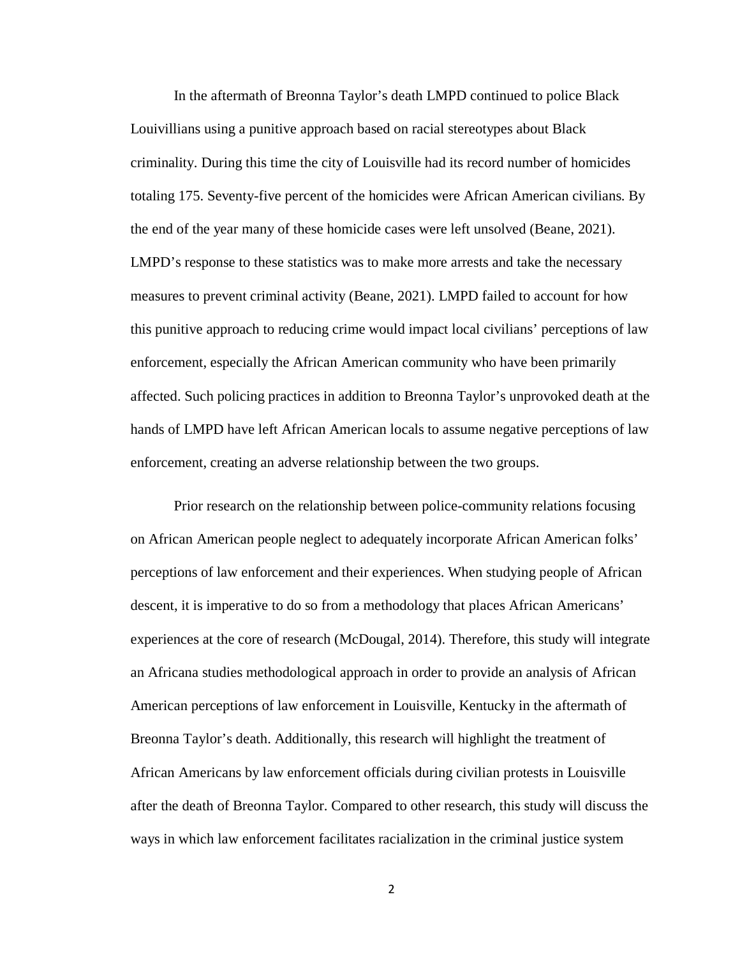In the aftermath of Breonna Taylor's death LMPD continued to police Black Louivillians using a punitive approach based on racial stereotypes about Black criminality. During this time the city of Louisville had its record number of homicides totaling 175. Seventy-five percent of the homicides were African American civilians. By the end of the year many of these homicide cases were left unsolved (Beane, 2021). LMPD's response to these statistics was to make more arrests and take the necessary measures to prevent criminal activity (Beane, 2021). LMPD failed to account for how this punitive approach to reducing crime would impact local civilians' perceptions of law enforcement, especially the African American community who have been primarily affected. Such policing practices in addition to Breonna Taylor's unprovoked death at the hands of LMPD have left African American locals to assume negative perceptions of law enforcement, creating an adverse relationship between the two groups.

Prior research on the relationship between police-community relations focusing on African American people neglect to adequately incorporate African American folks' perceptions of law enforcement and their experiences. When studying people of African descent, it is imperative to do so from a methodology that places African Americans' experiences at the core of research (McDougal, 2014). Therefore, this study will integrate an Africana studies methodological approach in order to provide an analysis of African American perceptions of law enforcement in Louisville, Kentucky in the aftermath of Breonna Taylor's death. Additionally, this research will highlight the treatment of African Americans by law enforcement officials during civilian protests in Louisville after the death of Breonna Taylor. Compared to other research, this study will discuss the ways in which law enforcement facilitates racialization in the criminal justice system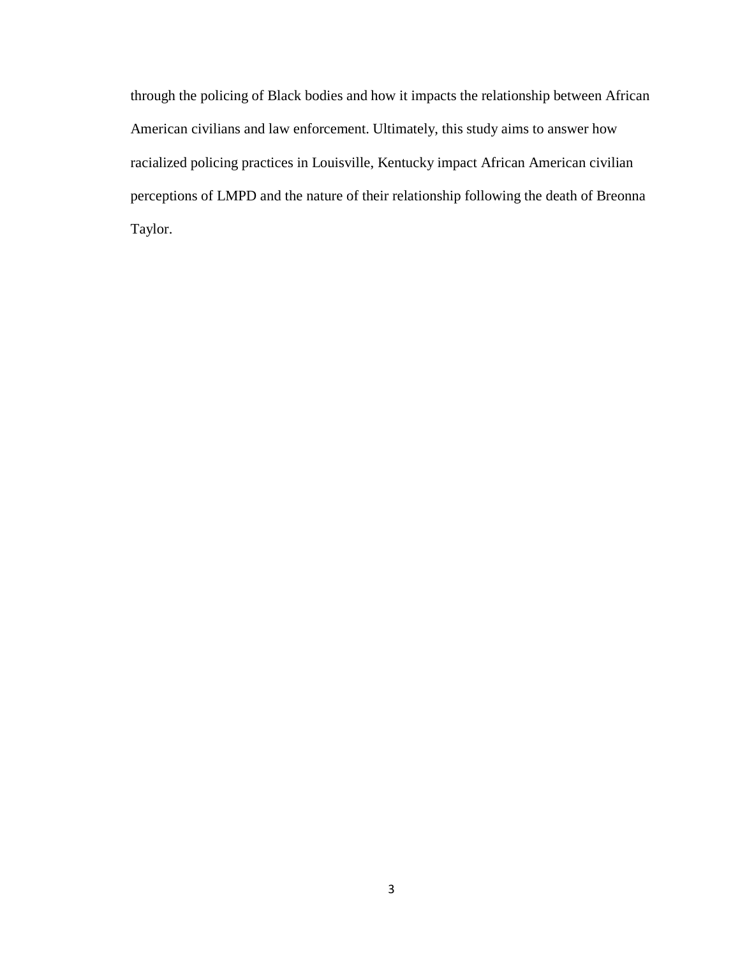through the policing of Black bodies and how it impacts the relationship between African American civilians and law enforcement. Ultimately, this study aims to answer how racialized policing practices in Louisville, Kentucky impact African American civilian perceptions of LMPD and the nature of their relationship following the death of Breonna Taylor.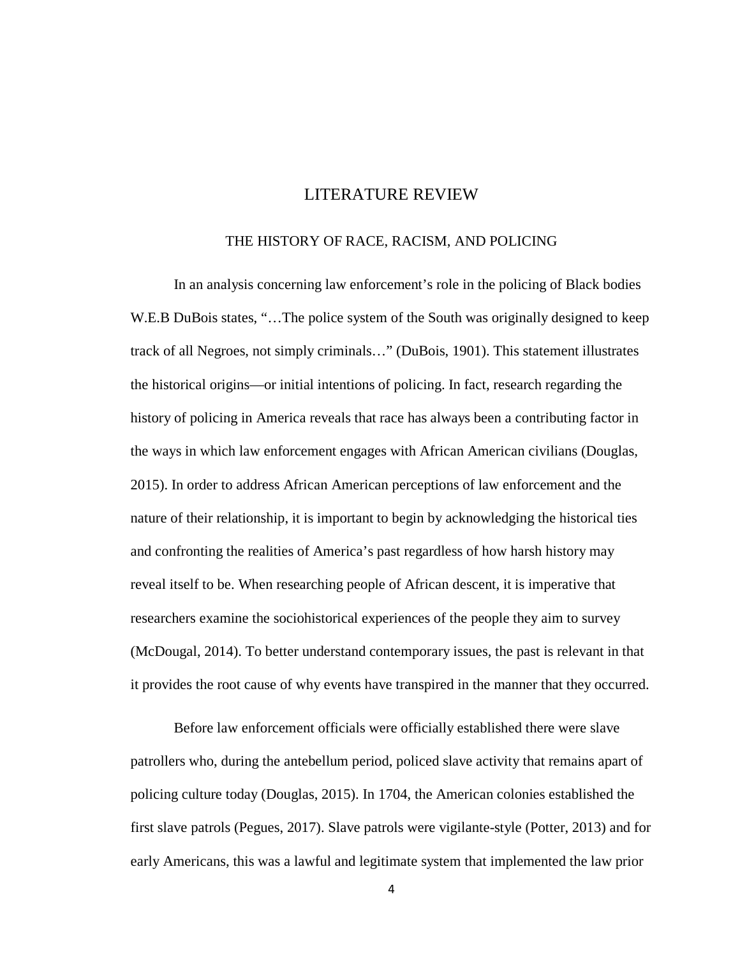# LITERATURE REVIEW

#### THE HISTORY OF RACE, RACISM, AND POLICING

In an analysis concerning law enforcement's role in the policing of Black bodies W.E.B DuBois states, "...The police system of the South was originally designed to keep track of all Negroes, not simply criminals…" (DuBois, 1901). This statement illustrates the historical origins—or initial intentions of policing. In fact, research regarding the history of policing in America reveals that race has always been a contributing factor in the ways in which law enforcement engages with African American civilians (Douglas, 2015). In order to address African American perceptions of law enforcement and the nature of their relationship, it is important to begin by acknowledging the historical ties and confronting the realities of America's past regardless of how harsh history may reveal itself to be. When researching people of African descent, it is imperative that researchers examine the sociohistorical experiences of the people they aim to survey (McDougal, 2014). To better understand contemporary issues, the past is relevant in that it provides the root cause of why events have transpired in the manner that they occurred.

Before law enforcement officials were officially established there were slave patrollers who, during the antebellum period, policed slave activity that remains apart of policing culture today (Douglas, 2015). In 1704, the American colonies established the first slave patrols (Pegues, 2017). Slave patrols were vigilante-style (Potter, 2013) and for early Americans, this was a lawful and legitimate system that implemented the law prior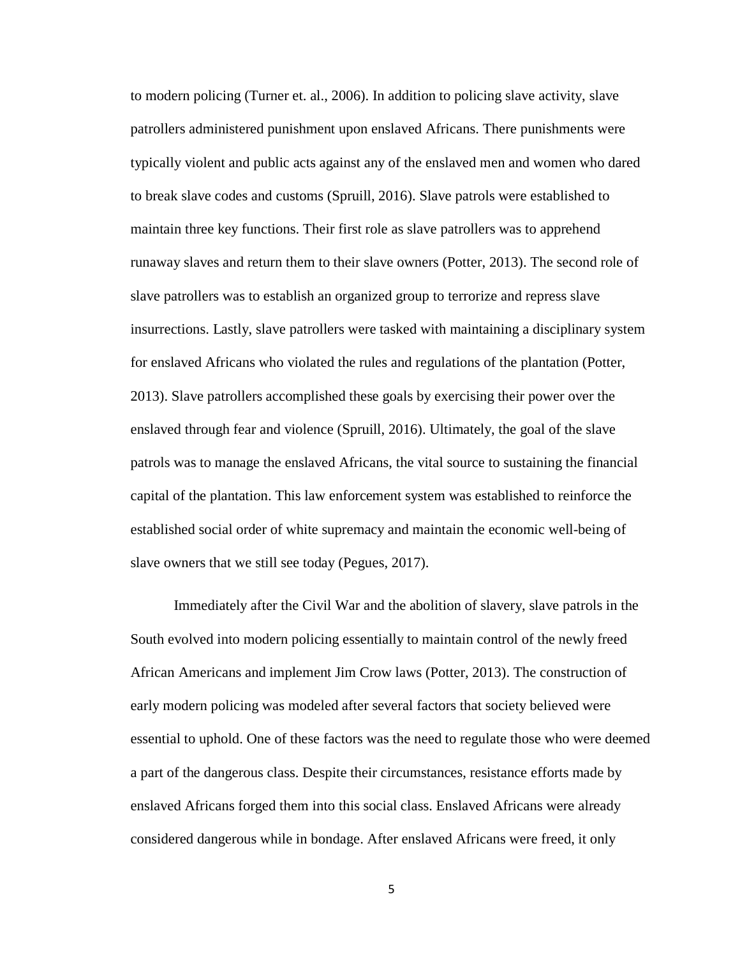to modern policing (Turner et. al., 2006). In addition to policing slave activity, slave patrollers administered punishment upon enslaved Africans. There punishments were typically violent and public acts against any of the enslaved men and women who dared to break slave codes and customs (Spruill, 2016). Slave patrols were established to maintain three key functions. Their first role as slave patrollers was to apprehend runaway slaves and return them to their slave owners (Potter, 2013). The second role of slave patrollers was to establish an organized group to terrorize and repress slave insurrections. Lastly, slave patrollers were tasked with maintaining a disciplinary system for enslaved Africans who violated the rules and regulations of the plantation (Potter, 2013). Slave patrollers accomplished these goals by exercising their power over the enslaved through fear and violence (Spruill, 2016). Ultimately, the goal of the slave patrols was to manage the enslaved Africans, the vital source to sustaining the financial capital of the plantation. This law enforcement system was established to reinforce the established social order of white supremacy and maintain the economic well-being of slave owners that we still see today (Pegues, 2017).

Immediately after the Civil War and the abolition of slavery, slave patrols in the South evolved into modern policing essentially to maintain control of the newly freed African Americans and implement Jim Crow laws (Potter, 2013). The construction of early modern policing was modeled after several factors that society believed were essential to uphold. One of these factors was the need to regulate those who were deemed a part of the dangerous class. Despite their circumstances, resistance efforts made by enslaved Africans forged them into this social class. Enslaved Africans were already considered dangerous while in bondage. After enslaved Africans were freed, it only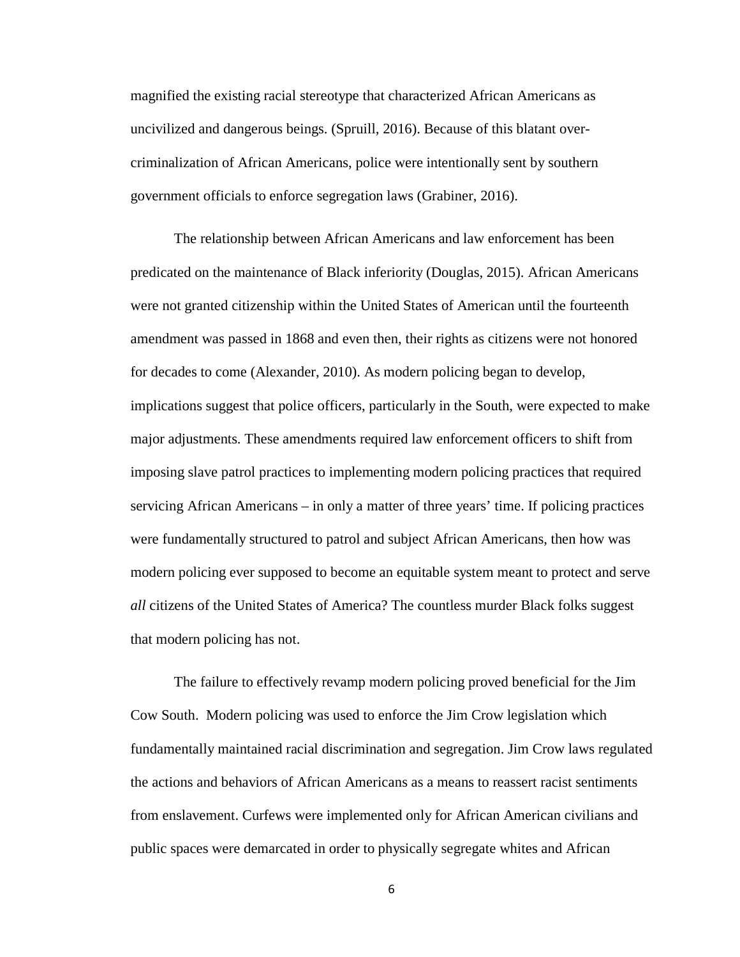magnified the existing racial stereotype that characterized African Americans as uncivilized and dangerous beings. (Spruill, 2016). Because of this blatant overcriminalization of African Americans, police were intentionally sent by southern government officials to enforce segregation laws (Grabiner, 2016).

The relationship between African Americans and law enforcement has been predicated on the maintenance of Black inferiority (Douglas, 2015). African Americans were not granted citizenship within the United States of American until the fourteenth amendment was passed in 1868 and even then, their rights as citizens were not honored for decades to come (Alexander, 2010). As modern policing began to develop, implications suggest that police officers, particularly in the South, were expected to make major adjustments. These amendments required law enforcement officers to shift from imposing slave patrol practices to implementing modern policing practices that required servicing African Americans – in only a matter of three years' time. If policing practices were fundamentally structured to patrol and subject African Americans, then how was modern policing ever supposed to become an equitable system meant to protect and serve *all* citizens of the United States of America? The countless murder Black folks suggest that modern policing has not.

The failure to effectively revamp modern policing proved beneficial for the Jim Cow South. Modern policing was used to enforce the Jim Crow legislation which fundamentally maintained racial discrimination and segregation. Jim Crow laws regulated the actions and behaviors of African Americans as a means to reassert racist sentiments from enslavement. Curfews were implemented only for African American civilians and public spaces were demarcated in order to physically segregate whites and African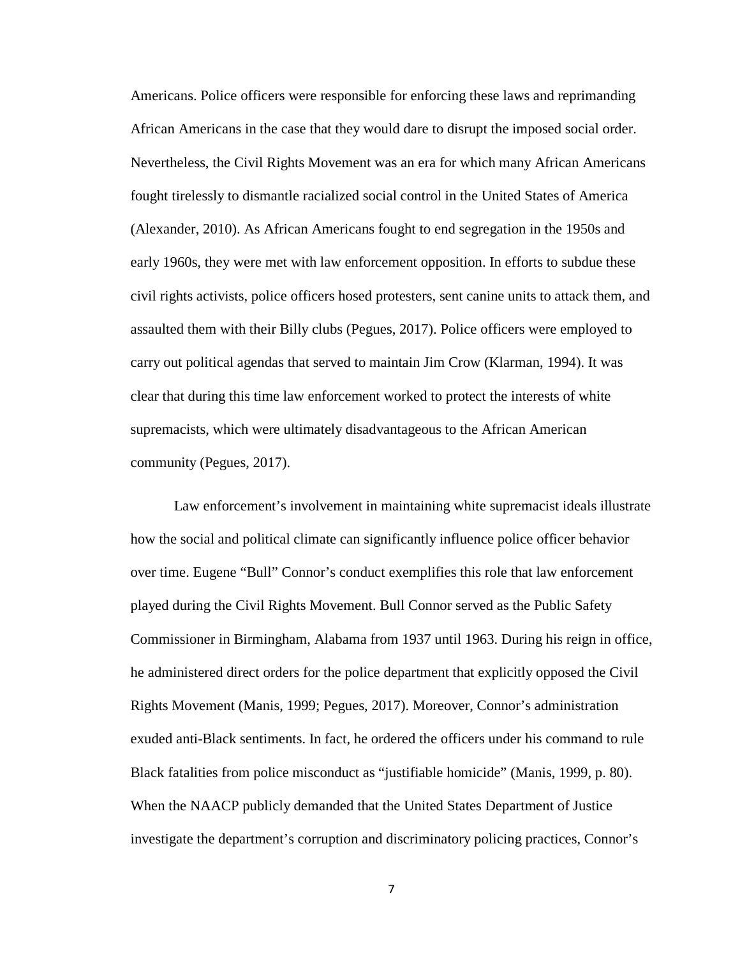Americans. Police officers were responsible for enforcing these laws and reprimanding African Americans in the case that they would dare to disrupt the imposed social order. Nevertheless, the Civil Rights Movement was an era for which many African Americans fought tirelessly to dismantle racialized social control in the United States of America (Alexander, 2010). As African Americans fought to end segregation in the 1950s and early 1960s, they were met with law enforcement opposition. In efforts to subdue these civil rights activists, police officers hosed protesters, sent canine units to attack them, and assaulted them with their Billy clubs (Pegues, 2017). Police officers were employed to carry out political agendas that served to maintain Jim Crow (Klarman, 1994). It was clear that during this time law enforcement worked to protect the interests of white supremacists, which were ultimately disadvantageous to the African American community (Pegues, 2017).

Law enforcement's involvement in maintaining white supremacist ideals illustrate how the social and political climate can significantly influence police officer behavior over time. Eugene "Bull" Connor's conduct exemplifies this role that law enforcement played during the Civil Rights Movement. Bull Connor served as the Public Safety Commissioner in Birmingham, Alabama from 1937 until 1963. During his reign in office, he administered direct orders for the police department that explicitly opposed the Civil Rights Movement (Manis, 1999; Pegues, 2017). Moreover, Connor's administration exuded anti-Black sentiments. In fact, he ordered the officers under his command to rule Black fatalities from police misconduct as "justifiable homicide" (Manis, 1999, p. 80). When the NAACP publicly demanded that the United States Department of Justice investigate the department's corruption and discriminatory policing practices, Connor's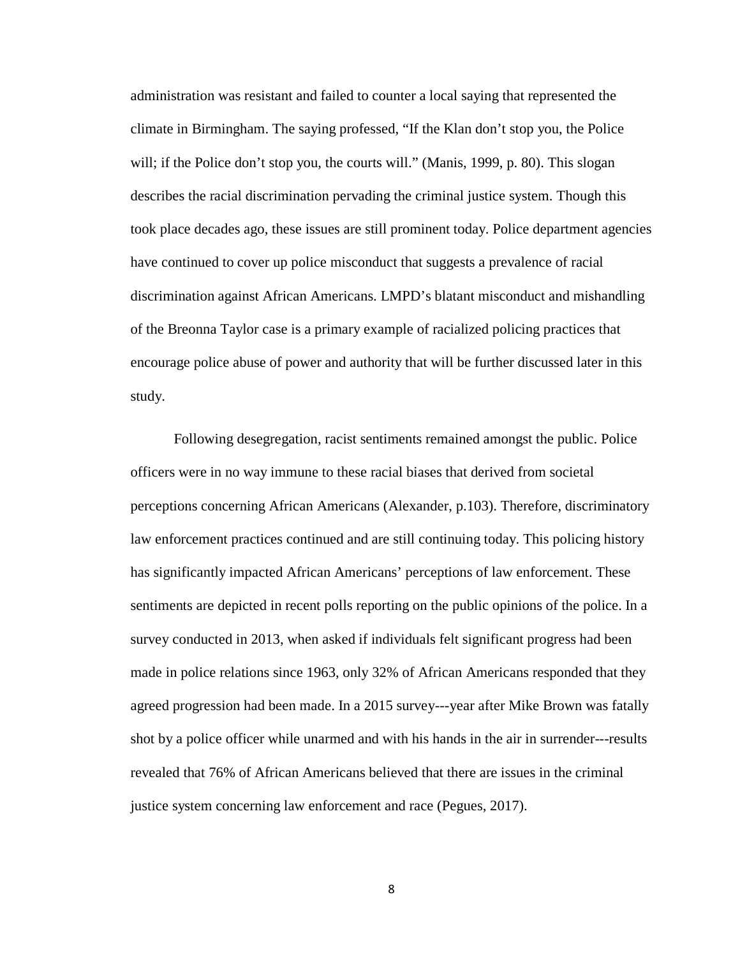administration was resistant and failed to counter a local saying that represented the climate in Birmingham. The saying professed, "If the Klan don't stop you, the Police will; if the Police don't stop you, the courts will." (Manis, 1999, p. 80). This slogan describes the racial discrimination pervading the criminal justice system. Though this took place decades ago, these issues are still prominent today. Police department agencies have continued to cover up police misconduct that suggests a prevalence of racial discrimination against African Americans. LMPD's blatant misconduct and mishandling of the Breonna Taylor case is a primary example of racialized policing practices that encourage police abuse of power and authority that will be further discussed later in this study.

Following desegregation, racist sentiments remained amongst the public. Police officers were in no way immune to these racial biases that derived from societal perceptions concerning African Americans (Alexander, p.103). Therefore, discriminatory law enforcement practices continued and are still continuing today. This policing history has significantly impacted African Americans' perceptions of law enforcement. These sentiments are depicted in recent polls reporting on the public opinions of the police. In a survey conducted in 2013, when asked if individuals felt significant progress had been made in police relations since 1963, only 32% of African Americans responded that they agreed progression had been made. In a 2015 survey---year after Mike Brown was fatally shot by a police officer while unarmed and with his hands in the air in surrender---results revealed that 76% of African Americans believed that there are issues in the criminal justice system concerning law enforcement and race (Pegues, 2017).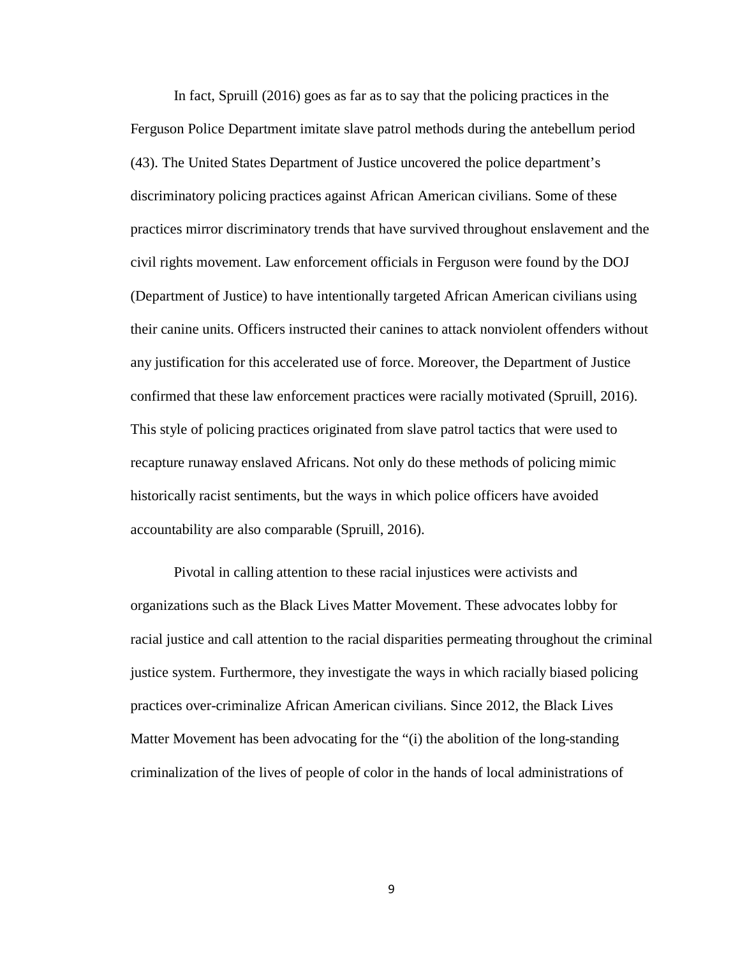In fact, Spruill (2016) goes as far as to say that the policing practices in the Ferguson Police Department imitate slave patrol methods during the antebellum period (43). The United States Department of Justice uncovered the police department's discriminatory policing practices against African American civilians. Some of these practices mirror discriminatory trends that have survived throughout enslavement and the civil rights movement. Law enforcement officials in Ferguson were found by the DOJ (Department of Justice) to have intentionally targeted African American civilians using their canine units. Officers instructed their canines to attack nonviolent offenders without any justification for this accelerated use of force. Moreover, the Department of Justice confirmed that these law enforcement practices were racially motivated (Spruill, 2016). This style of policing practices originated from slave patrol tactics that were used to recapture runaway enslaved Africans. Not only do these methods of policing mimic historically racist sentiments, but the ways in which police officers have avoided accountability are also comparable (Spruill, 2016).

Pivotal in calling attention to these racial injustices were activists and organizations such as the Black Lives Matter Movement. These advocates lobby for racial justice and call attention to the racial disparities permeating throughout the criminal justice system. Furthermore, they investigate the ways in which racially biased policing practices over-criminalize African American civilians. Since 2012, the Black Lives Matter Movement has been advocating for the "(i) the abolition of the long-standing criminalization of the lives of people of color in the hands of local administrations of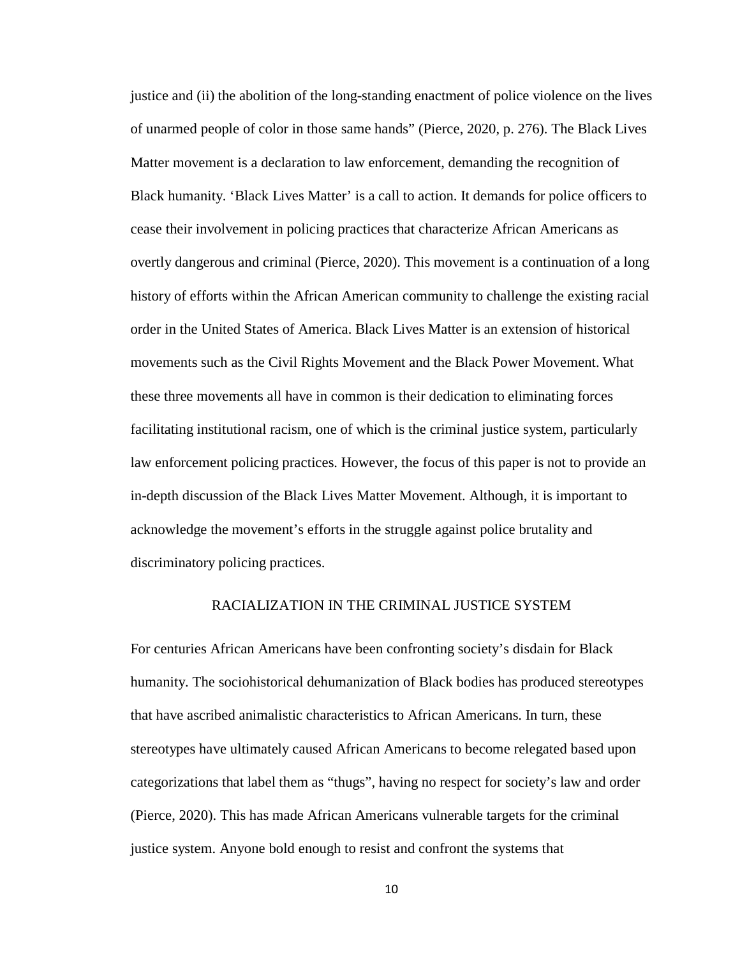justice and (ii) the abolition of the long-standing enactment of police violence on the lives of unarmed people of color in those same hands" (Pierce, 2020, p. 276). The Black Lives Matter movement is a declaration to law enforcement, demanding the recognition of Black humanity. 'Black Lives Matter' is a call to action. It demands for police officers to cease their involvement in policing practices that characterize African Americans as overtly dangerous and criminal (Pierce, 2020). This movement is a continuation of a long history of efforts within the African American community to challenge the existing racial order in the United States of America. Black Lives Matter is an extension of historical movements such as the Civil Rights Movement and the Black Power Movement. What these three movements all have in common is their dedication to eliminating forces facilitating institutional racism, one of which is the criminal justice system, particularly law enforcement policing practices. However, the focus of this paper is not to provide an in-depth discussion of the Black Lives Matter Movement. Although, it is important to acknowledge the movement's efforts in the struggle against police brutality and discriminatory policing practices.

### RACIALIZATION IN THE CRIMINAL JUSTICE SYSTEM

For centuries African Americans have been confronting society's disdain for Black humanity. The sociohistorical dehumanization of Black bodies has produced stereotypes that have ascribed animalistic characteristics to African Americans. In turn, these stereotypes have ultimately caused African Americans to become relegated based upon categorizations that label them as "thugs", having no respect for society's law and order (Pierce, 2020). This has made African Americans vulnerable targets for the criminal justice system. Anyone bold enough to resist and confront the systems that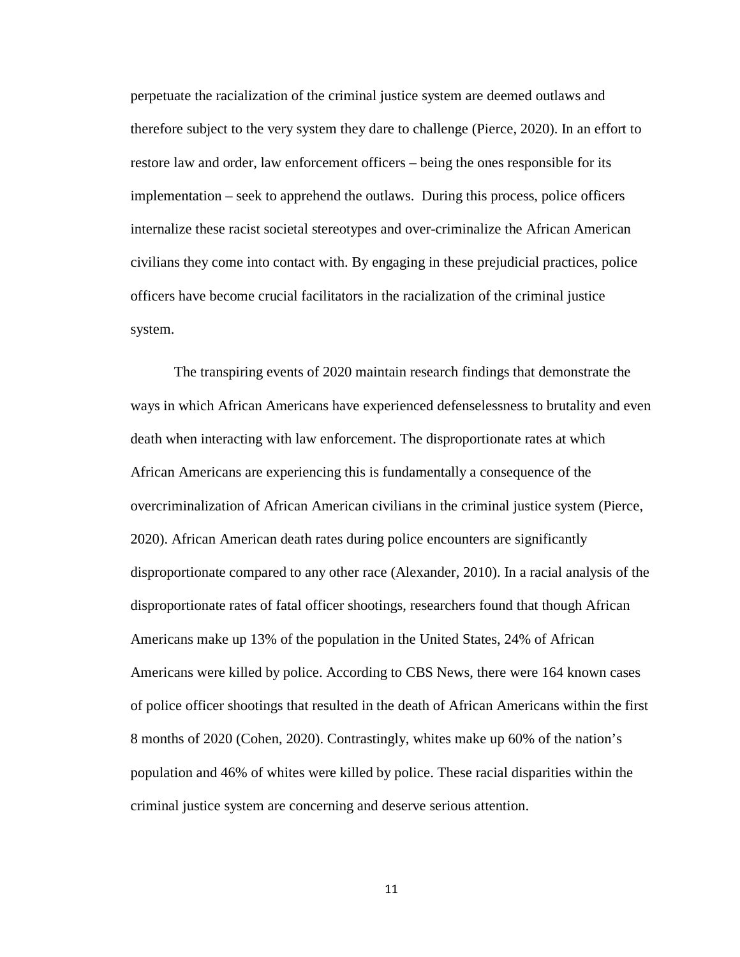perpetuate the racialization of the criminal justice system are deemed outlaws and therefore subject to the very system they dare to challenge (Pierce, 2020). In an effort to restore law and order, law enforcement officers – being the ones responsible for its implementation – seek to apprehend the outlaws. During this process, police officers internalize these racist societal stereotypes and over-criminalize the African American civilians they come into contact with. By engaging in these prejudicial practices, police officers have become crucial facilitators in the racialization of the criminal justice system.

The transpiring events of 2020 maintain research findings that demonstrate the ways in which African Americans have experienced defenselessness to brutality and even death when interacting with law enforcement. The disproportionate rates at which African Americans are experiencing this is fundamentally a consequence of the overcriminalization of African American civilians in the criminal justice system (Pierce, 2020). African American death rates during police encounters are significantly disproportionate compared to any other race (Alexander, 2010). In a racial analysis of the disproportionate rates of fatal officer shootings, researchers found that though African Americans make up 13% of the population in the United States, 24% of African Americans were killed by police. According to CBS News, there were 164 known cases of police officer shootings that resulted in the death of African Americans within the first 8 months of 2020 (Cohen, 2020). Contrastingly, whites make up 60% of the nation's population and 46% of whites were killed by police. These racial disparities within the criminal justice system are concerning and deserve serious attention.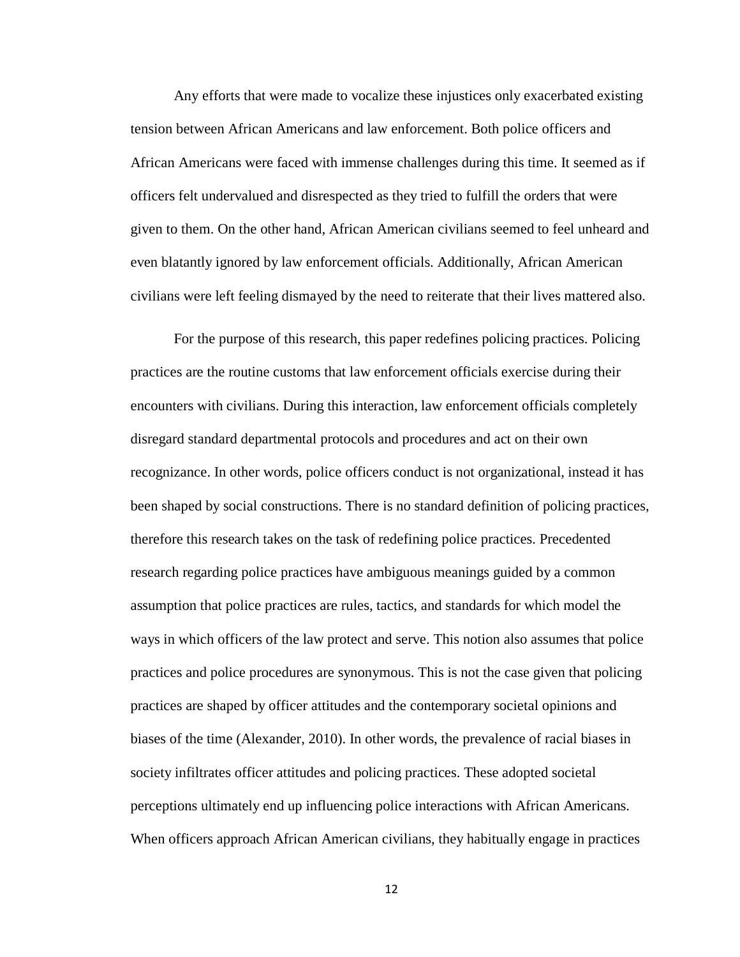Any efforts that were made to vocalize these injustices only exacerbated existing tension between African Americans and law enforcement. Both police officers and African Americans were faced with immense challenges during this time. It seemed as if officers felt undervalued and disrespected as they tried to fulfill the orders that were given to them. On the other hand, African American civilians seemed to feel unheard and even blatantly ignored by law enforcement officials. Additionally, African American civilians were left feeling dismayed by the need to reiterate that their lives mattered also.

For the purpose of this research, this paper redefines policing practices. Policing practices are the routine customs that law enforcement officials exercise during their encounters with civilians. During this interaction, law enforcement officials completely disregard standard departmental protocols and procedures and act on their own recognizance. In other words, police officers conduct is not organizational, instead it has been shaped by social constructions. There is no standard definition of policing practices, therefore this research takes on the task of redefining police practices. Precedented research regarding police practices have ambiguous meanings guided by a common assumption that police practices are rules, tactics, and standards for which model the ways in which officers of the law protect and serve. This notion also assumes that police practices and police procedures are synonymous. This is not the case given that policing practices are shaped by officer attitudes and the contemporary societal opinions and biases of the time (Alexander, 2010). In other words, the prevalence of racial biases in society infiltrates officer attitudes and policing practices. These adopted societal perceptions ultimately end up influencing police interactions with African Americans. When officers approach African American civilians, they habitually engage in practices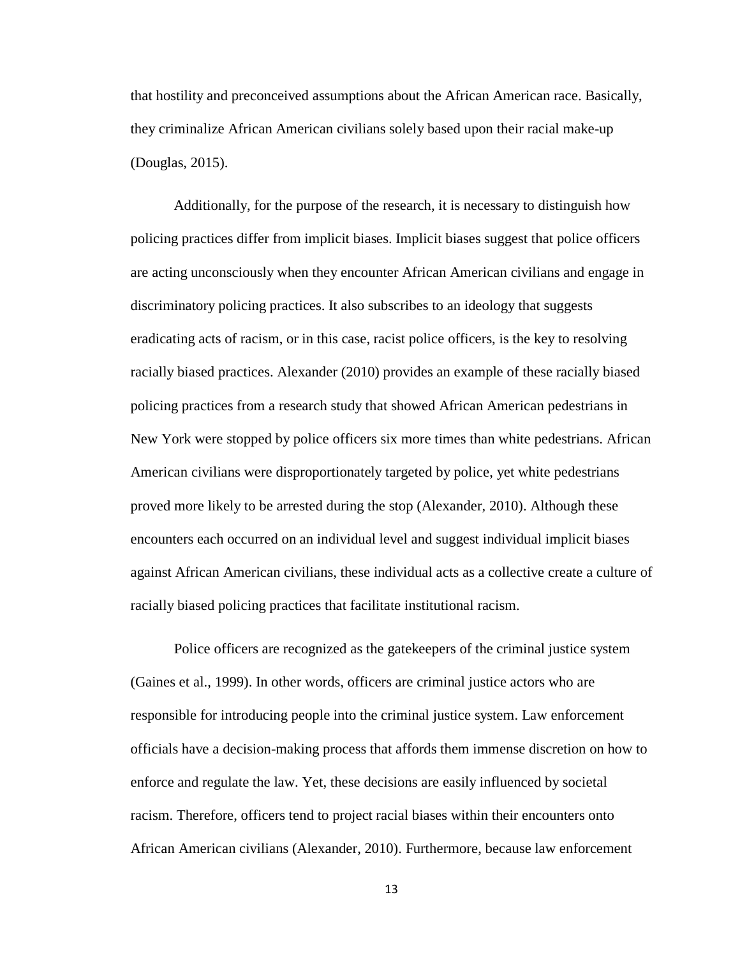that hostility and preconceived assumptions about the African American race. Basically, they criminalize African American civilians solely based upon their racial make-up (Douglas, 2015).

Additionally, for the purpose of the research, it is necessary to distinguish how policing practices differ from implicit biases. Implicit biases suggest that police officers are acting unconsciously when they encounter African American civilians and engage in discriminatory policing practices. It also subscribes to an ideology that suggests eradicating acts of racism, or in this case, racist police officers, is the key to resolving racially biased practices. Alexander (2010) provides an example of these racially biased policing practices from a research study that showed African American pedestrians in New York were stopped by police officers six more times than white pedestrians. African American civilians were disproportionately targeted by police, yet white pedestrians proved more likely to be arrested during the stop (Alexander, 2010). Although these encounters each occurred on an individual level and suggest individual implicit biases against African American civilians, these individual acts as a collective create a culture of racially biased policing practices that facilitate institutional racism.

Police officers are recognized as the gatekeepers of the criminal justice system (Gaines et al., 1999). In other words, officers are criminal justice actors who are responsible for introducing people into the criminal justice system. Law enforcement officials have a decision-making process that affords them immense discretion on how to enforce and regulate the law. Yet, these decisions are easily influenced by societal racism. Therefore, officers tend to project racial biases within their encounters onto African American civilians (Alexander, 2010). Furthermore, because law enforcement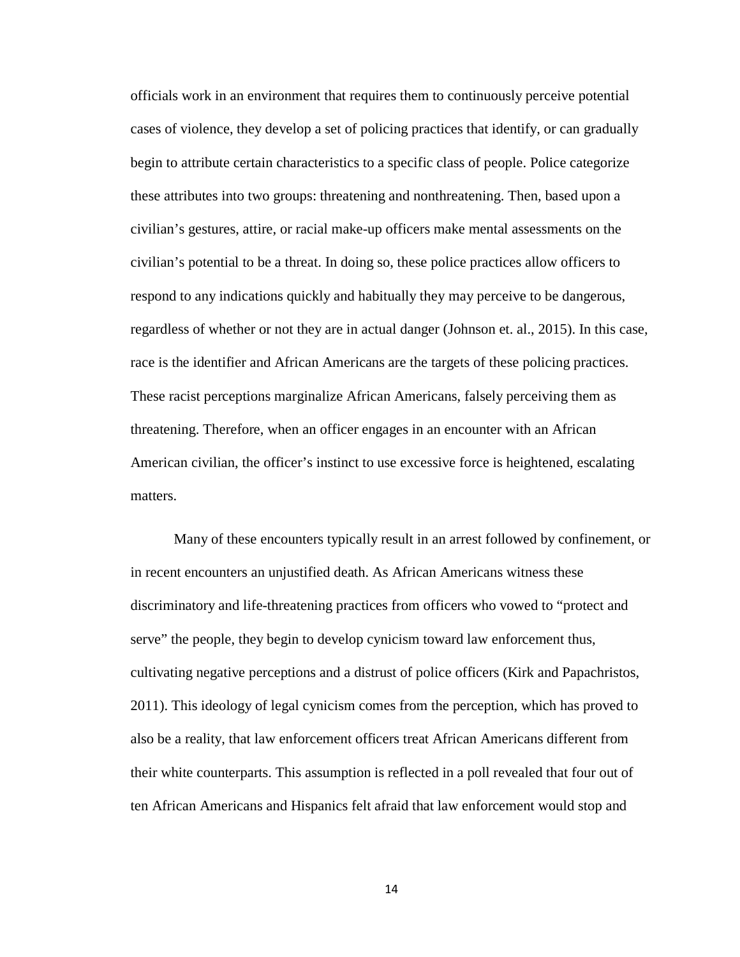officials work in an environment that requires them to continuously perceive potential cases of violence, they develop a set of policing practices that identify, or can gradually begin to attribute certain characteristics to a specific class of people. Police categorize these attributes into two groups: threatening and nonthreatening. Then, based upon a civilian's gestures, attire, or racial make-up officers make mental assessments on the civilian's potential to be a threat. In doing so, these police practices allow officers to respond to any indications quickly and habitually they may perceive to be dangerous, regardless of whether or not they are in actual danger (Johnson et. al., 2015). In this case, race is the identifier and African Americans are the targets of these policing practices. These racist perceptions marginalize African Americans, falsely perceiving them as threatening. Therefore, when an officer engages in an encounter with an African American civilian, the officer's instinct to use excessive force is heightened, escalating matters.

Many of these encounters typically result in an arrest followed by confinement, or in recent encounters an unjustified death. As African Americans witness these discriminatory and life-threatening practices from officers who vowed to "protect and serve" the people, they begin to develop cynicism toward law enforcement thus, cultivating negative perceptions and a distrust of police officers (Kirk and Papachristos, 2011). This ideology of legal cynicism comes from the perception, which has proved to also be a reality, that law enforcement officers treat African Americans different from their white counterparts. This assumption is reflected in a poll revealed that four out of ten African Americans and Hispanics felt afraid that law enforcement would stop and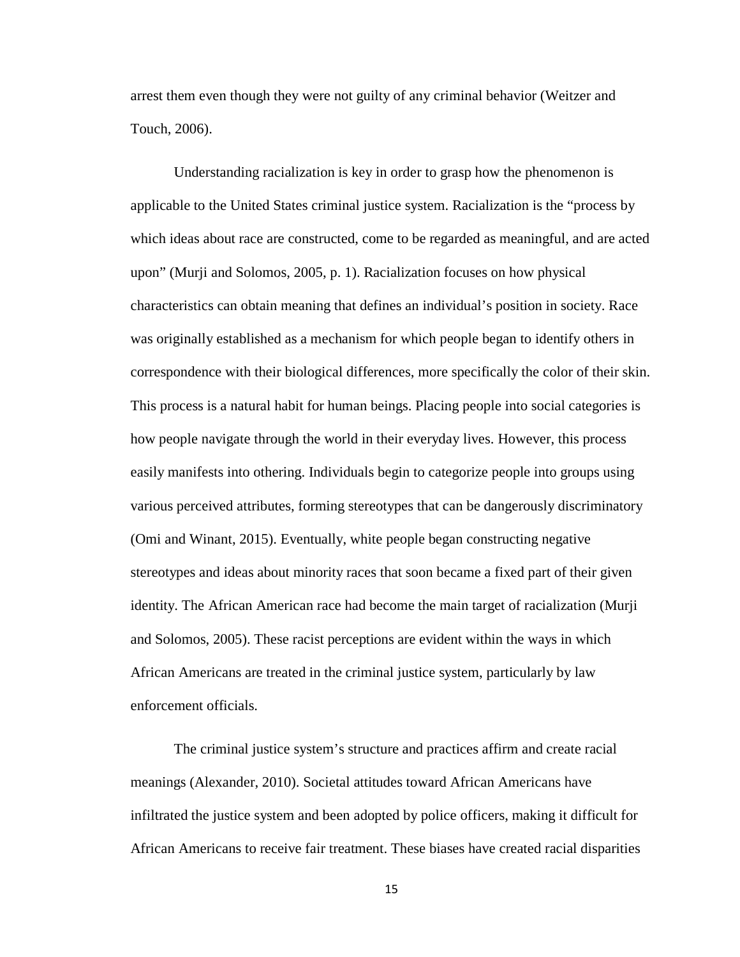arrest them even though they were not guilty of any criminal behavior (Weitzer and Touch, 2006).

Understanding racialization is key in order to grasp how the phenomenon is applicable to the United States criminal justice system. Racialization is the "process by which ideas about race are constructed, come to be regarded as meaningful, and are acted upon" (Murji and Solomos, 2005, p. 1). Racialization focuses on how physical characteristics can obtain meaning that defines an individual's position in society. Race was originally established as a mechanism for which people began to identify others in correspondence with their biological differences, more specifically the color of their skin. This process is a natural habit for human beings. Placing people into social categories is how people navigate through the world in their everyday lives. However, this process easily manifests into othering. Individuals begin to categorize people into groups using various perceived attributes, forming stereotypes that can be dangerously discriminatory (Omi and Winant, 2015). Eventually, white people began constructing negative stereotypes and ideas about minority races that soon became a fixed part of their given identity. The African American race had become the main target of racialization (Murji and Solomos, 2005). These racist perceptions are evident within the ways in which African Americans are treated in the criminal justice system, particularly by law enforcement officials.

The criminal justice system's structure and practices affirm and create racial meanings (Alexander, 2010). Societal attitudes toward African Americans have infiltrated the justice system and been adopted by police officers, making it difficult for African Americans to receive fair treatment. These biases have created racial disparities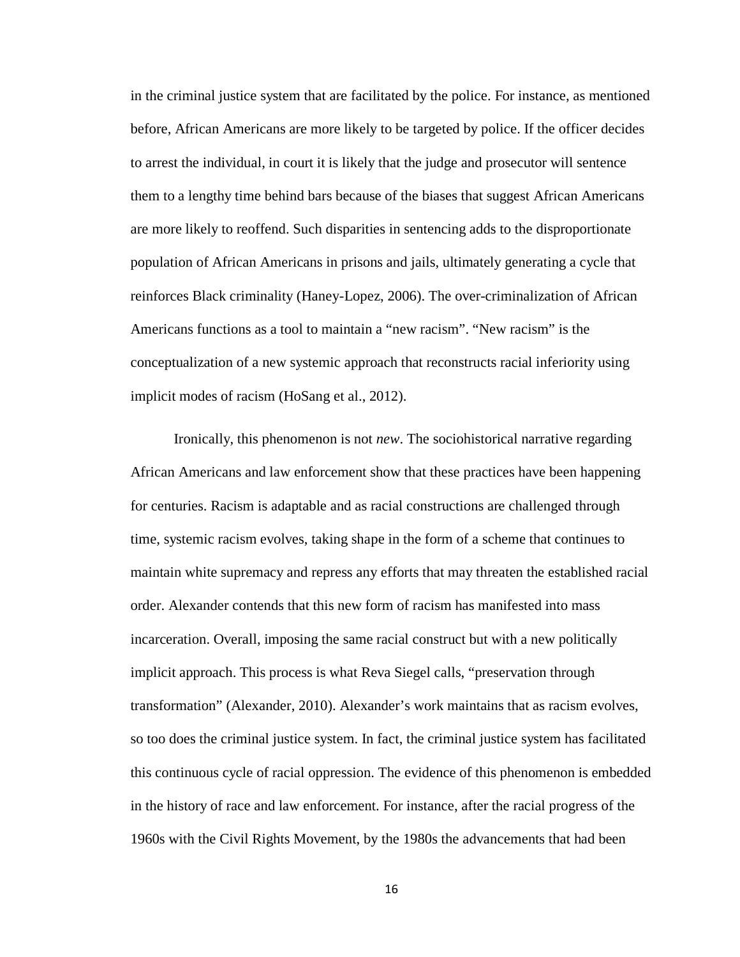in the criminal justice system that are facilitated by the police. For instance, as mentioned before, African Americans are more likely to be targeted by police. If the officer decides to arrest the individual, in court it is likely that the judge and prosecutor will sentence them to a lengthy time behind bars because of the biases that suggest African Americans are more likely to reoffend. Such disparities in sentencing adds to the disproportionate population of African Americans in prisons and jails, ultimately generating a cycle that reinforces Black criminality (Haney-Lopez, 2006). The over-criminalization of African Americans functions as a tool to maintain a "new racism". "New racism" is the conceptualization of a new systemic approach that reconstructs racial inferiority using implicit modes of racism (HoSang et al., 2012).

Ironically, this phenomenon is not *new*. The sociohistorical narrative regarding African Americans and law enforcement show that these practices have been happening for centuries. Racism is adaptable and as racial constructions are challenged through time, systemic racism evolves, taking shape in the form of a scheme that continues to maintain white supremacy and repress any efforts that may threaten the established racial order. Alexander contends that this new form of racism has manifested into mass incarceration. Overall, imposing the same racial construct but with a new politically implicit approach. This process is what Reva Siegel calls, "preservation through transformation" (Alexander, 2010). Alexander's work maintains that as racism evolves, so too does the criminal justice system. In fact, the criminal justice system has facilitated this continuous cycle of racial oppression. The evidence of this phenomenon is embedded in the history of race and law enforcement. For instance, after the racial progress of the 1960s with the Civil Rights Movement, by the 1980s the advancements that had been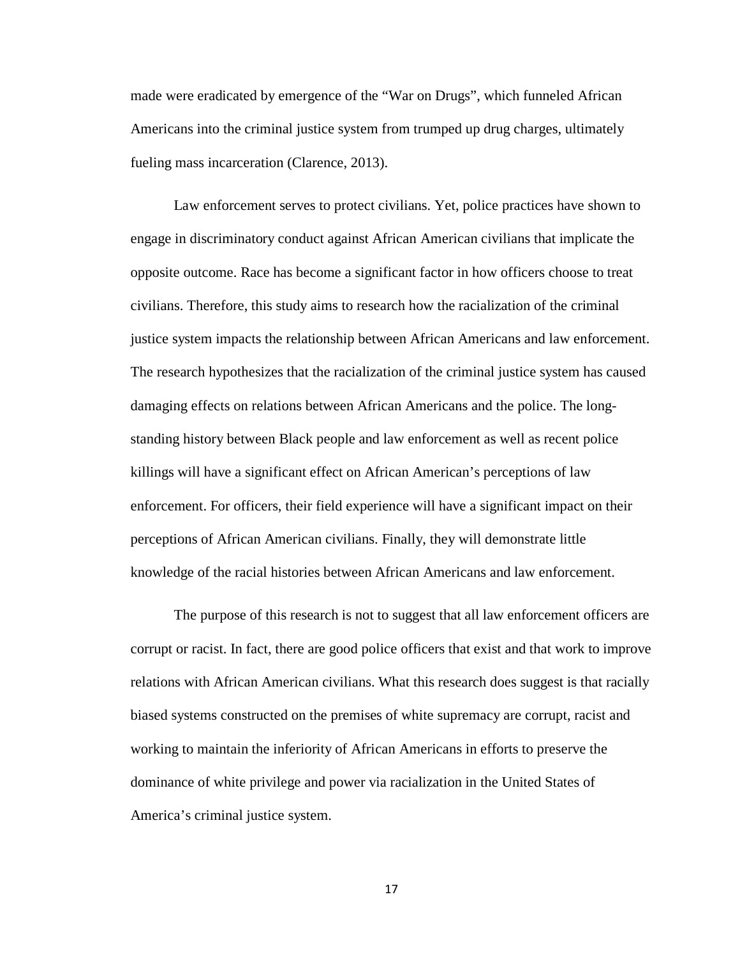made were eradicated by emergence of the "War on Drugs", which funneled African Americans into the criminal justice system from trumped up drug charges, ultimately fueling mass incarceration (Clarence, 2013).

Law enforcement serves to protect civilians. Yet, police practices have shown to engage in discriminatory conduct against African American civilians that implicate the opposite outcome. Race has become a significant factor in how officers choose to treat civilians. Therefore, this study aims to research how the racialization of the criminal justice system impacts the relationship between African Americans and law enforcement. The research hypothesizes that the racialization of the criminal justice system has caused damaging effects on relations between African Americans and the police. The longstanding history between Black people and law enforcement as well as recent police killings will have a significant effect on African American's perceptions of law enforcement. For officers, their field experience will have a significant impact on their perceptions of African American civilians. Finally, they will demonstrate little knowledge of the racial histories between African Americans and law enforcement.

The purpose of this research is not to suggest that all law enforcement officers are corrupt or racist. In fact, there are good police officers that exist and that work to improve relations with African American civilians. What this research does suggest is that racially biased systems constructed on the premises of white supremacy are corrupt, racist and working to maintain the inferiority of African Americans in efforts to preserve the dominance of white privilege and power via racialization in the United States of America's criminal justice system.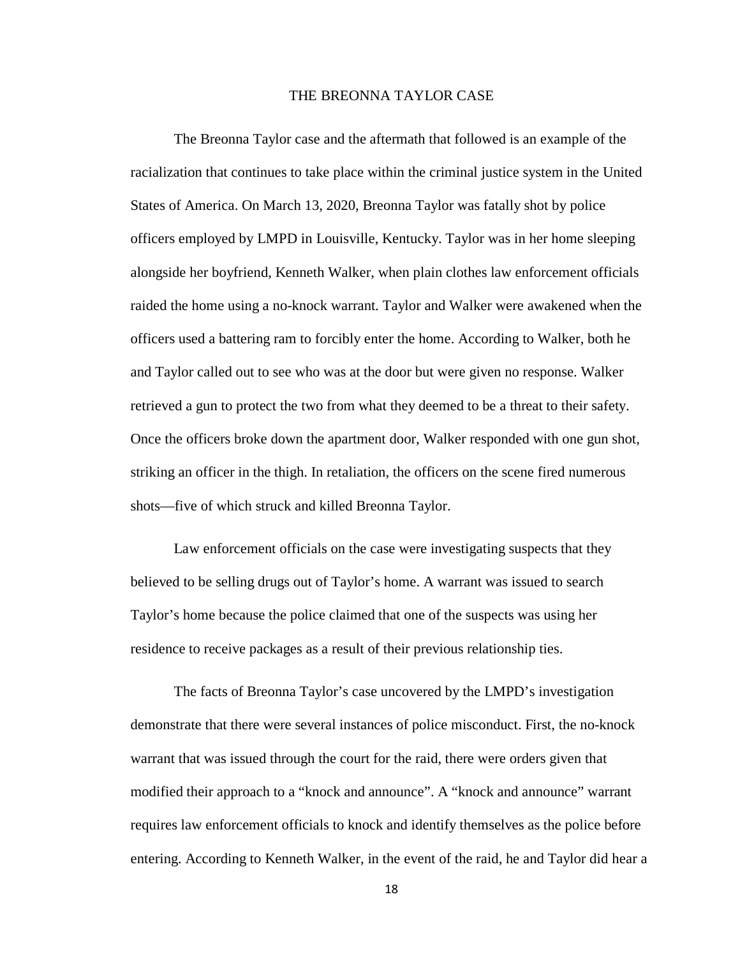### THE BREONNA TAYLOR CASE

The Breonna Taylor case and the aftermath that followed is an example of the racialization that continues to take place within the criminal justice system in the United States of America. On March 13, 2020, Breonna Taylor was fatally shot by police officers employed by LMPD in Louisville, Kentucky. Taylor was in her home sleeping alongside her boyfriend, Kenneth Walker, when plain clothes law enforcement officials raided the home using a no-knock warrant. Taylor and Walker were awakened when the officers used a battering ram to forcibly enter the home. According to Walker, both he and Taylor called out to see who was at the door but were given no response. Walker retrieved a gun to protect the two from what they deemed to be a threat to their safety. Once the officers broke down the apartment door, Walker responded with one gun shot, striking an officer in the thigh. In retaliation, the officers on the scene fired numerous shots—five of which struck and killed Breonna Taylor.

Law enforcement officials on the case were investigating suspects that they believed to be selling drugs out of Taylor's home. A warrant was issued to search Taylor's home because the police claimed that one of the suspects was using her residence to receive packages as a result of their previous relationship ties.

The facts of Breonna Taylor's case uncovered by the LMPD's investigation demonstrate that there were several instances of police misconduct. First, the no-knock warrant that was issued through the court for the raid, there were orders given that modified their approach to a "knock and announce". A "knock and announce" warrant requires law enforcement officials to knock and identify themselves as the police before entering. According to Kenneth Walker, in the event of the raid, he and Taylor did hear a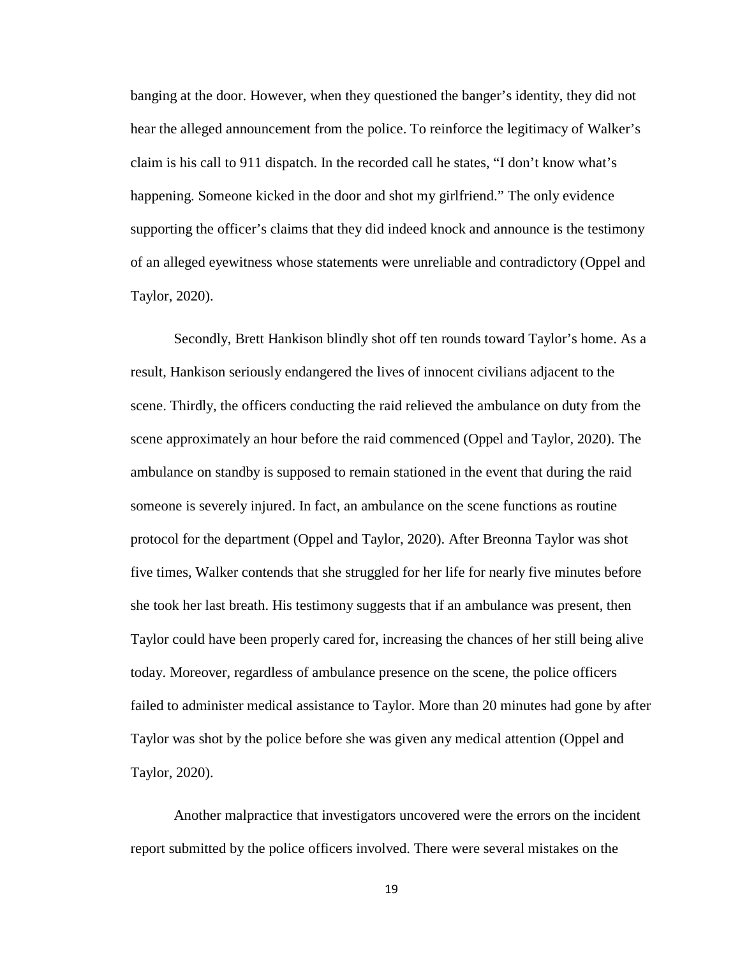banging at the door. However, when they questioned the banger's identity, they did not hear the alleged announcement from the police. To reinforce the legitimacy of Walker's claim is his call to 911 dispatch. In the recorded call he states, "I don't know what's happening. Someone kicked in the door and shot my girlfriend." The only evidence supporting the officer's claims that they did indeed knock and announce is the testimony of an alleged eyewitness whose statements were unreliable and contradictory (Oppel and Taylor, 2020).

Secondly, Brett Hankison blindly shot off ten rounds toward Taylor's home. As a result, Hankison seriously endangered the lives of innocent civilians adjacent to the scene. Thirdly, the officers conducting the raid relieved the ambulance on duty from the scene approximately an hour before the raid commenced (Oppel and Taylor, 2020). The ambulance on standby is supposed to remain stationed in the event that during the raid someone is severely injured. In fact, an ambulance on the scene functions as routine protocol for the department (Oppel and Taylor, 2020). After Breonna Taylor was shot five times, Walker contends that she struggled for her life for nearly five minutes before she took her last breath. His testimony suggests that if an ambulance was present, then Taylor could have been properly cared for, increasing the chances of her still being alive today. Moreover, regardless of ambulance presence on the scene, the police officers failed to administer medical assistance to Taylor. More than 20 minutes had gone by after Taylor was shot by the police before she was given any medical attention (Oppel and Taylor, 2020).

Another malpractice that investigators uncovered were the errors on the incident report submitted by the police officers involved. There were several mistakes on the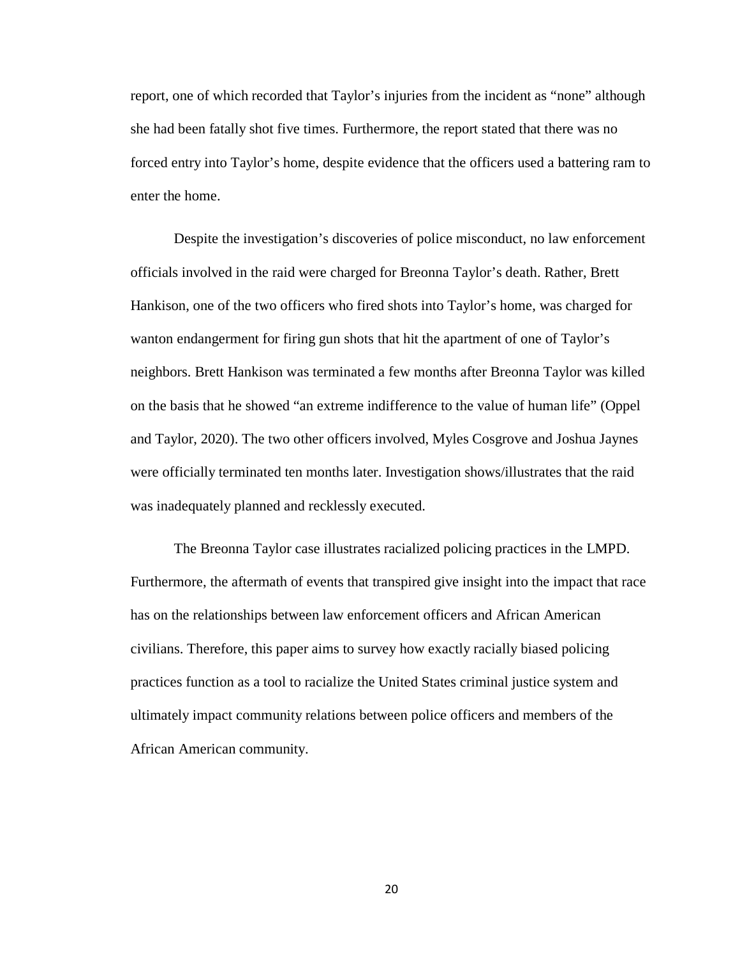report, one of which recorded that Taylor's injuries from the incident as "none" although she had been fatally shot five times. Furthermore, the report stated that there was no forced entry into Taylor's home, despite evidence that the officers used a battering ram to enter the home.

Despite the investigation's discoveries of police misconduct, no law enforcement officials involved in the raid were charged for Breonna Taylor's death. Rather, Brett Hankison, one of the two officers who fired shots into Taylor's home, was charged for wanton endangerment for firing gun shots that hit the apartment of one of Taylor's neighbors. Brett Hankison was terminated a few months after Breonna Taylor was killed on the basis that he showed "an extreme indifference to the value of human life" (Oppel and Taylor, 2020). The two other officers involved, Myles Cosgrove and Joshua Jaynes were officially terminated ten months later. Investigation shows/illustrates that the raid was inadequately planned and recklessly executed.

The Breonna Taylor case illustrates racialized policing practices in the LMPD. Furthermore, the aftermath of events that transpired give insight into the impact that race has on the relationships between law enforcement officers and African American civilians. Therefore, this paper aims to survey how exactly racially biased policing practices function as a tool to racialize the United States criminal justice system and ultimately impact community relations between police officers and members of the African American community.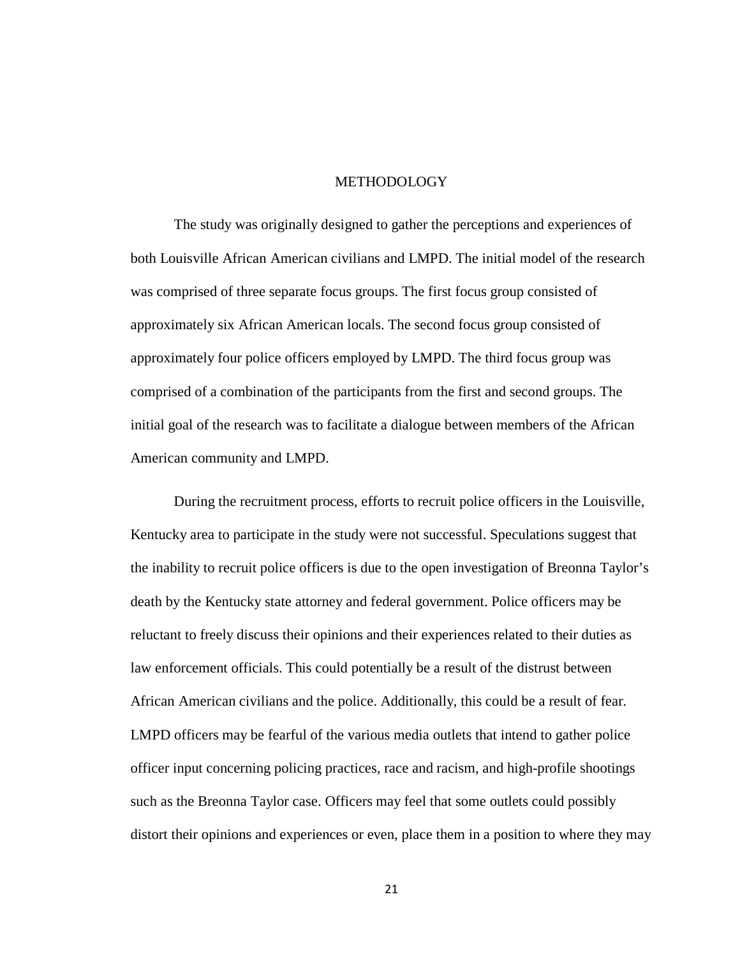#### METHODOLOGY

The study was originally designed to gather the perceptions and experiences of both Louisville African American civilians and LMPD. The initial model of the research was comprised of three separate focus groups. The first focus group consisted of approximately six African American locals. The second focus group consisted of approximately four police officers employed by LMPD. The third focus group was comprised of a combination of the participants from the first and second groups. The initial goal of the research was to facilitate a dialogue between members of the African American community and LMPD.

During the recruitment process, efforts to recruit police officers in the Louisville, Kentucky area to participate in the study were not successful. Speculations suggest that the inability to recruit police officers is due to the open investigation of Breonna Taylor's death by the Kentucky state attorney and federal government. Police officers may be reluctant to freely discuss their opinions and their experiences related to their duties as law enforcement officials. This could potentially be a result of the distrust between African American civilians and the police. Additionally, this could be a result of fear. LMPD officers may be fearful of the various media outlets that intend to gather police officer input concerning policing practices, race and racism, and high-profile shootings such as the Breonna Taylor case. Officers may feel that some outlets could possibly distort their opinions and experiences or even, place them in a position to where they may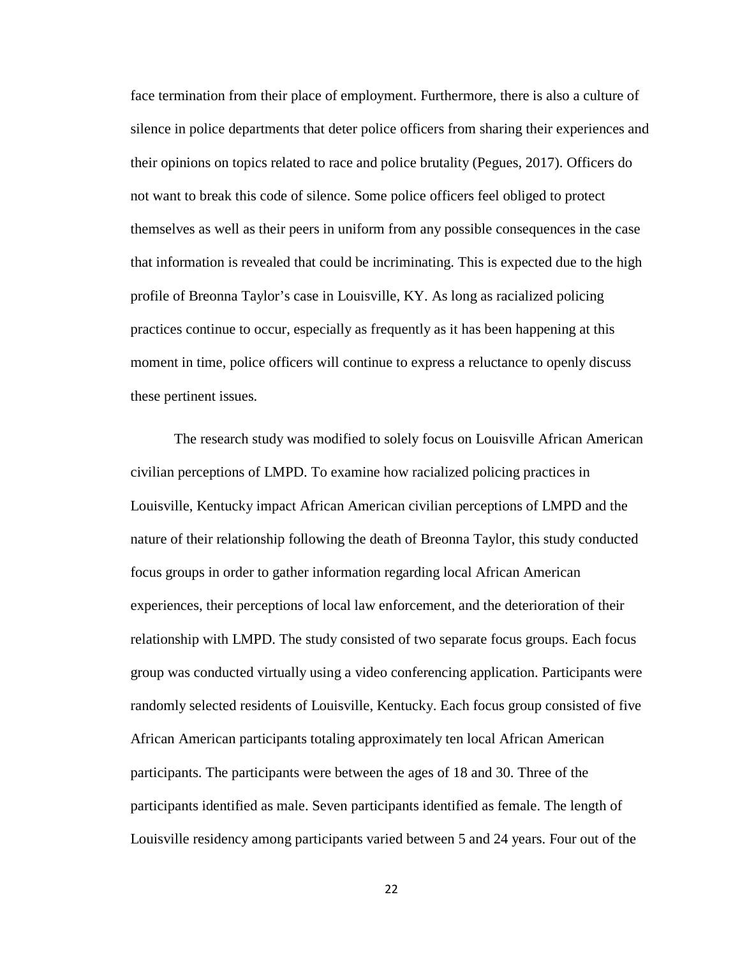face termination from their place of employment. Furthermore, there is also a culture of silence in police departments that deter police officers from sharing their experiences and their opinions on topics related to race and police brutality (Pegues, 2017). Officers do not want to break this code of silence. Some police officers feel obliged to protect themselves as well as their peers in uniform from any possible consequences in the case that information is revealed that could be incriminating. This is expected due to the high profile of Breonna Taylor's case in Louisville, KY. As long as racialized policing practices continue to occur, especially as frequently as it has been happening at this moment in time, police officers will continue to express a reluctance to openly discuss these pertinent issues.

The research study was modified to solely focus on Louisville African American civilian perceptions of LMPD. To examine how racialized policing practices in Louisville, Kentucky impact African American civilian perceptions of LMPD and the nature of their relationship following the death of Breonna Taylor, this study conducted focus groups in order to gather information regarding local African American experiences, their perceptions of local law enforcement, and the deterioration of their relationship with LMPD. The study consisted of two separate focus groups. Each focus group was conducted virtually using a video conferencing application. Participants were randomly selected residents of Louisville, Kentucky. Each focus group consisted of five African American participants totaling approximately ten local African American participants. The participants were between the ages of 18 and 30. Three of the participants identified as male. Seven participants identified as female. The length of Louisville residency among participants varied between 5 and 24 years. Four out of the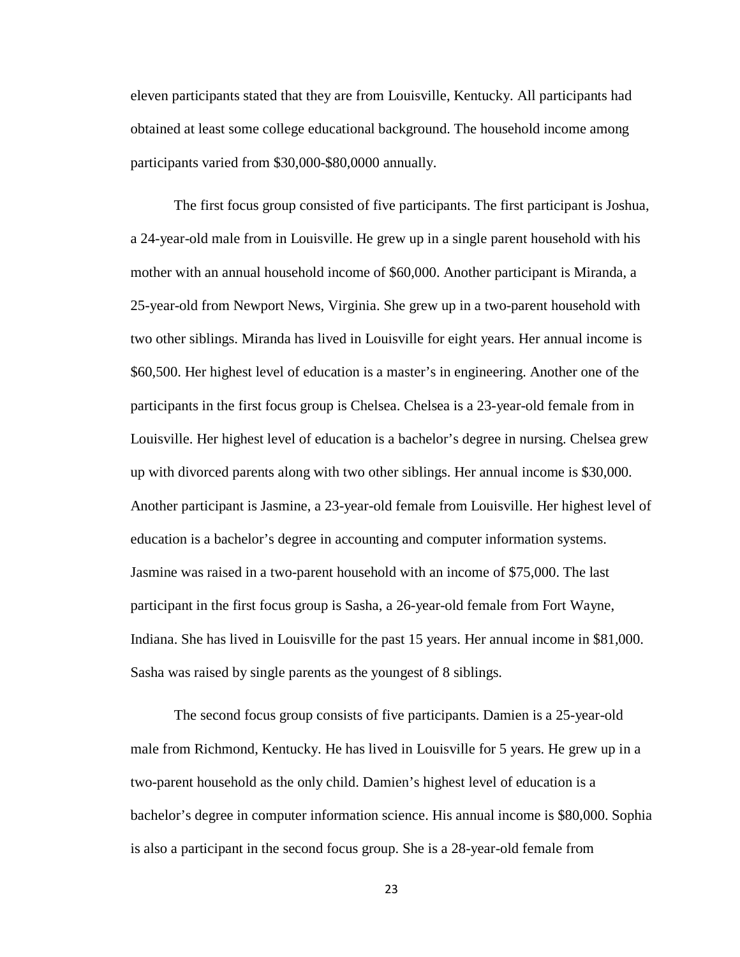eleven participants stated that they are from Louisville, Kentucky. All participants had obtained at least some college educational background. The household income among participants varied from \$30,000-\$80,0000 annually.

The first focus group consisted of five participants. The first participant is Joshua, a 24-year-old male from in Louisville. He grew up in a single parent household with his mother with an annual household income of \$60,000. Another participant is Miranda, a 25-year-old from Newport News, Virginia. She grew up in a two-parent household with two other siblings. Miranda has lived in Louisville for eight years. Her annual income is \$60,500. Her highest level of education is a master's in engineering. Another one of the participants in the first focus group is Chelsea. Chelsea is a 23-year-old female from in Louisville. Her highest level of education is a bachelor's degree in nursing. Chelsea grew up with divorced parents along with two other siblings. Her annual income is \$30,000. Another participant is Jasmine, a 23-year-old female from Louisville. Her highest level of education is a bachelor's degree in accounting and computer information systems. Jasmine was raised in a two-parent household with an income of \$75,000. The last participant in the first focus group is Sasha, a 26-year-old female from Fort Wayne, Indiana. She has lived in Louisville for the past 15 years. Her annual income in \$81,000. Sasha was raised by single parents as the youngest of 8 siblings.

The second focus group consists of five participants. Damien is a 25-year-old male from Richmond, Kentucky. He has lived in Louisville for 5 years. He grew up in a two-parent household as the only child. Damien's highest level of education is a bachelor's degree in computer information science. His annual income is \$80,000. Sophia is also a participant in the second focus group. She is a 28-year-old female from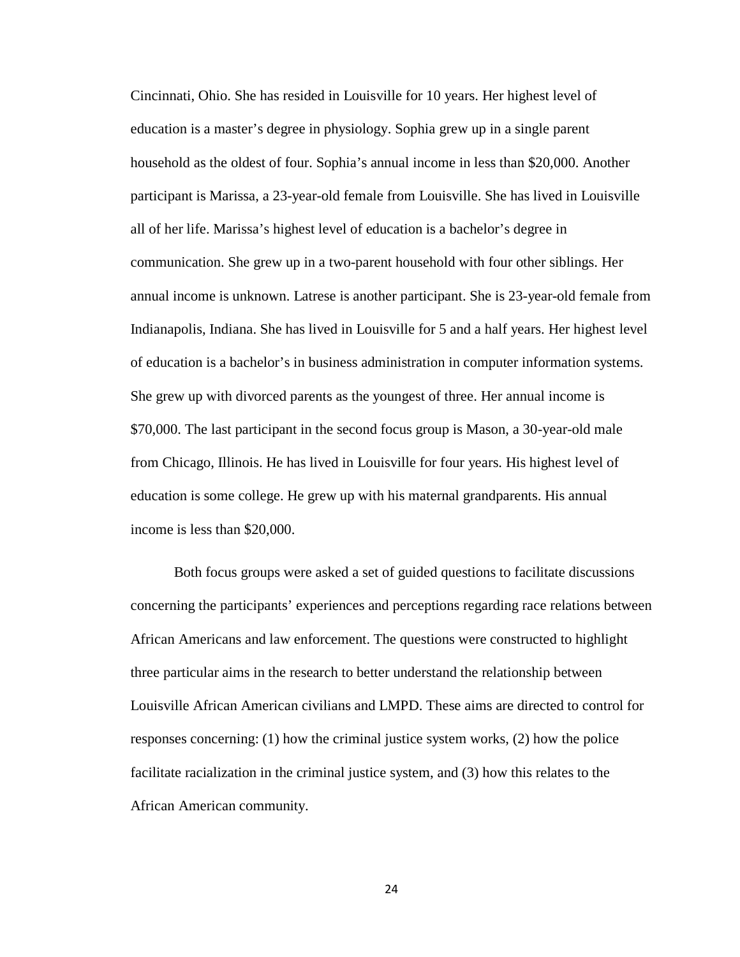Cincinnati, Ohio. She has resided in Louisville for 10 years. Her highest level of education is a master's degree in physiology. Sophia grew up in a single parent household as the oldest of four. Sophia's annual income in less than \$20,000. Another participant is Marissa, a 23-year-old female from Louisville. She has lived in Louisville all of her life. Marissa's highest level of education is a bachelor's degree in communication. She grew up in a two-parent household with four other siblings. Her annual income is unknown. Latrese is another participant. She is 23-year-old female from Indianapolis, Indiana. She has lived in Louisville for 5 and a half years. Her highest level of education is a bachelor's in business administration in computer information systems. She grew up with divorced parents as the youngest of three. Her annual income is \$70,000. The last participant in the second focus group is Mason, a 30-year-old male from Chicago, Illinois. He has lived in Louisville for four years. His highest level of education is some college. He grew up with his maternal grandparents. His annual income is less than \$20,000.

Both focus groups were asked a set of guided questions to facilitate discussions concerning the participants' experiences and perceptions regarding race relations between African Americans and law enforcement. The questions were constructed to highlight three particular aims in the research to better understand the relationship between Louisville African American civilians and LMPD. These aims are directed to control for responses concerning: (1) how the criminal justice system works, (2) how the police facilitate racialization in the criminal justice system, and (3) how this relates to the African American community.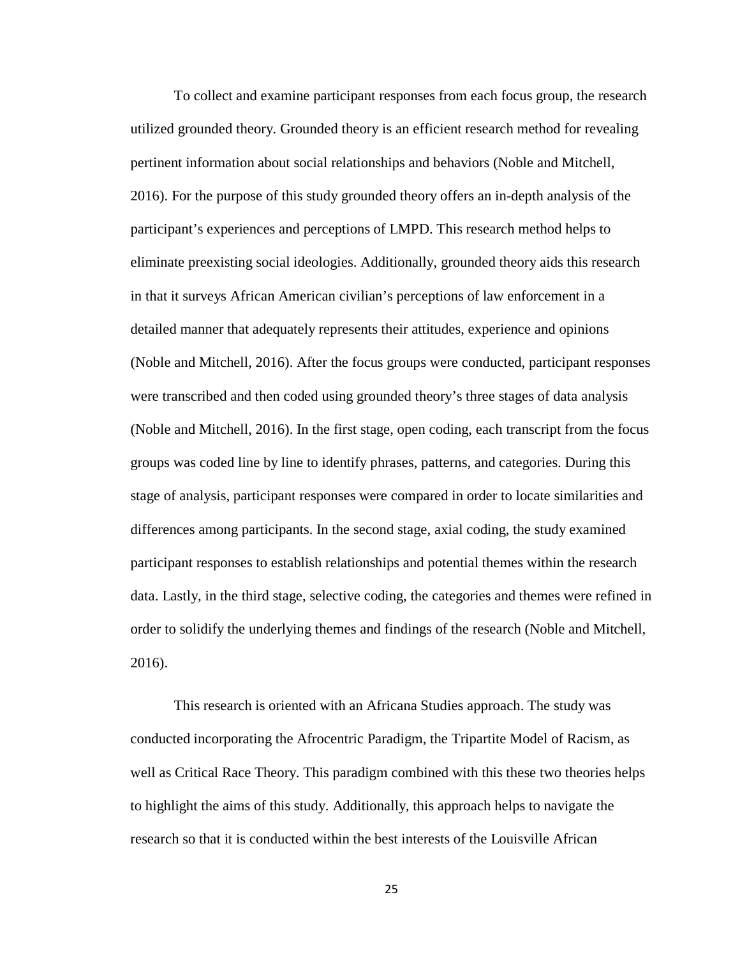To collect and examine participant responses from each focus group, the research utilized grounded theory. Grounded theory is an efficient research method for revealing pertinent information about social relationships and behaviors (Noble and Mitchell, 2016). For the purpose of this study grounded theory offers an in-depth analysis of the participant's experiences and perceptions of LMPD. This research method helps to eliminate preexisting social ideologies. Additionally, grounded theory aids this research in that it surveys African American civilian's perceptions of law enforcement in a detailed manner that adequately represents their attitudes, experience and opinions (Noble and Mitchell, 2016). After the focus groups were conducted, participant responses were transcribed and then coded using grounded theory's three stages of data analysis (Noble and Mitchell, 2016). In the first stage, open coding, each transcript from the focus groups was coded line by line to identify phrases, patterns, and categories. During this stage of analysis, participant responses were compared in order to locate similarities and differences among participants. In the second stage, axial coding, the study examined participant responses to establish relationships and potential themes within the research data. Lastly, in the third stage, selective coding, the categories and themes were refined in order to solidify the underlying themes and findings of the research (Noble and Mitchell, 2016).

This research is oriented with an Africana Studies approach. The study was conducted incorporating the Afrocentric Paradigm, the Tripartite Model of Racism, as well as Critical Race Theory. This paradigm combined with this these two theories helps to highlight the aims of this study. Additionally, this approach helps to navigate the research so that it is conducted within the best interests of the Louisville African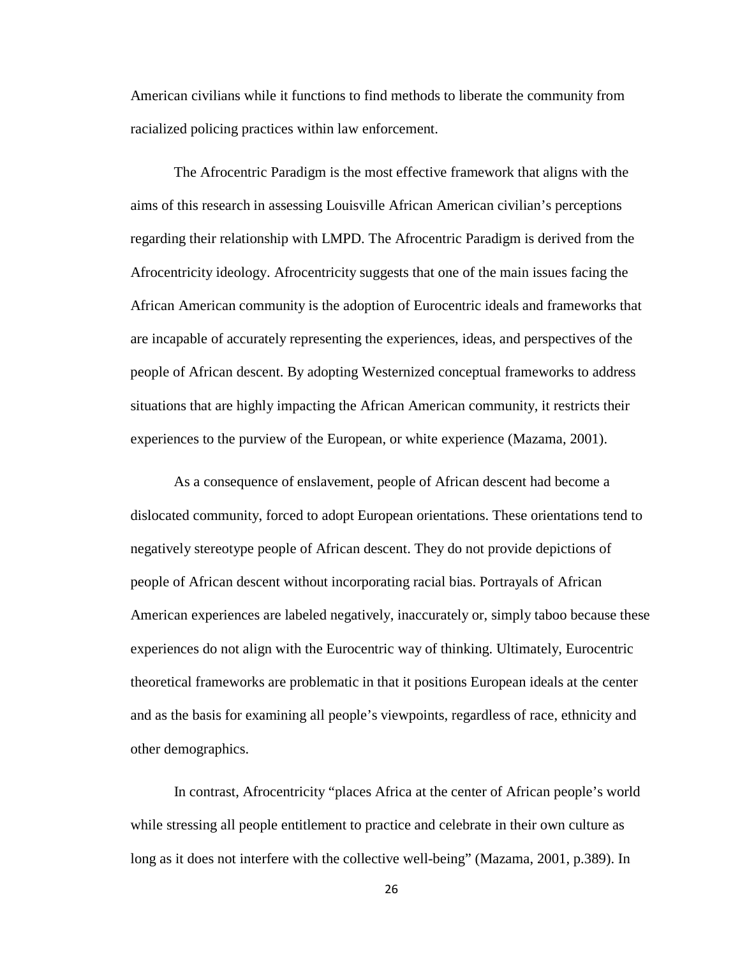American civilians while it functions to find methods to liberate the community from racialized policing practices within law enforcement.

The Afrocentric Paradigm is the most effective framework that aligns with the aims of this research in assessing Louisville African American civilian's perceptions regarding their relationship with LMPD. The Afrocentric Paradigm is derived from the Afrocentricity ideology. Afrocentricity suggests that one of the main issues facing the African American community is the adoption of Eurocentric ideals and frameworks that are incapable of accurately representing the experiences, ideas, and perspectives of the people of African descent. By adopting Westernized conceptual frameworks to address situations that are highly impacting the African American community, it restricts their experiences to the purview of the European, or white experience (Mazama, 2001).

As a consequence of enslavement, people of African descent had become a dislocated community, forced to adopt European orientations. These orientations tend to negatively stereotype people of African descent. They do not provide depictions of people of African descent without incorporating racial bias. Portrayals of African American experiences are labeled negatively, inaccurately or, simply taboo because these experiences do not align with the Eurocentric way of thinking. Ultimately, Eurocentric theoretical frameworks are problematic in that it positions European ideals at the center and as the basis for examining all people's viewpoints, regardless of race, ethnicity and other demographics.

In contrast, Afrocentricity "places Africa at the center of African people's world while stressing all people entitlement to practice and celebrate in their own culture as long as it does not interfere with the collective well-being" (Mazama, 2001, p.389). In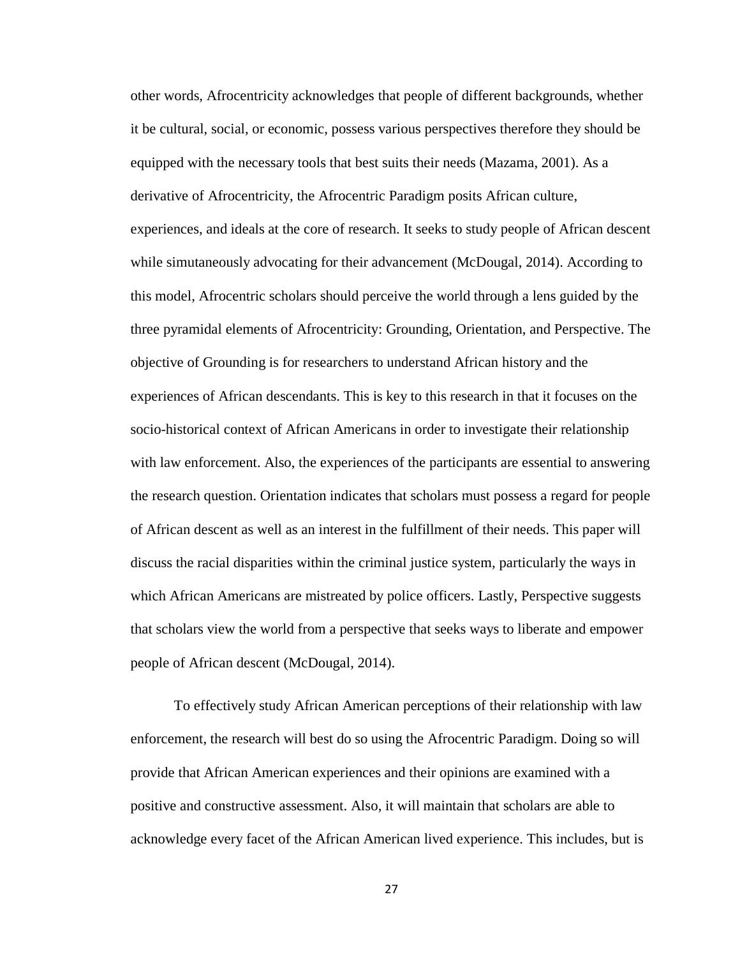other words, Afrocentricity acknowledges that people of different backgrounds, whether it be cultural, social, or economic, possess various perspectives therefore they should be equipped with the necessary tools that best suits their needs (Mazama, 2001). As a derivative of Afrocentricity, the Afrocentric Paradigm posits African culture, experiences, and ideals at the core of research. It seeks to study people of African descent while simutaneously advocating for their advancement (McDougal, 2014). According to this model, Afrocentric scholars should perceive the world through a lens guided by the three pyramidal elements of Afrocentricity: Grounding, Orientation, and Perspective. The objective of Grounding is for researchers to understand African history and the experiences of African descendants. This is key to this research in that it focuses on the socio-historical context of African Americans in order to investigate their relationship with law enforcement. Also, the experiences of the participants are essential to answering the research question. Orientation indicates that scholars must possess a regard for people of African descent as well as an interest in the fulfillment of their needs. This paper will discuss the racial disparities within the criminal justice system, particularly the ways in which African Americans are mistreated by police officers. Lastly, Perspective suggests that scholars view the world from a perspective that seeks ways to liberate and empower people of African descent (McDougal, 2014).

To effectively study African American perceptions of their relationship with law enforcement, the research will best do so using the Afrocentric Paradigm. Doing so will provide that African American experiences and their opinions are examined with a positive and constructive assessment. Also, it will maintain that scholars are able to acknowledge every facet of the African American lived experience. This includes, but is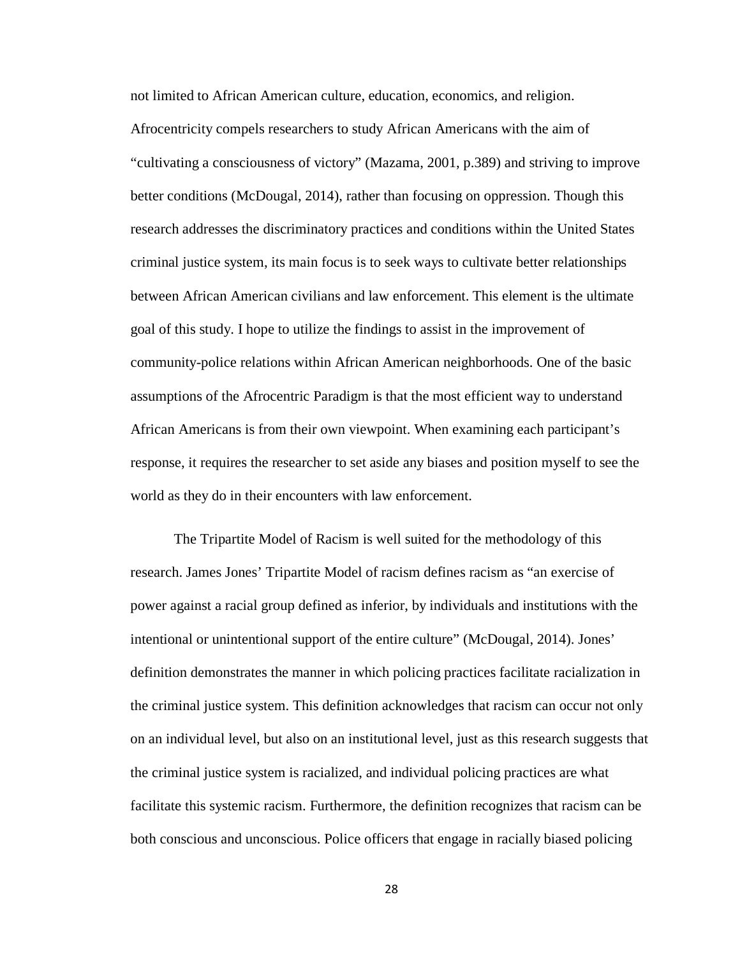not limited to African American culture, education, economics, and religion. Afrocentricity compels researchers to study African Americans with the aim of "cultivating a consciousness of victory" (Mazama, 2001, p.389) and striving to improve better conditions (McDougal, 2014), rather than focusing on oppression. Though this research addresses the discriminatory practices and conditions within the United States criminal justice system, its main focus is to seek ways to cultivate better relationships between African American civilians and law enforcement. This element is the ultimate goal of this study. I hope to utilize the findings to assist in the improvement of community-police relations within African American neighborhoods. One of the basic assumptions of the Afrocentric Paradigm is that the most efficient way to understand African Americans is from their own viewpoint. When examining each participant's response, it requires the researcher to set aside any biases and position myself to see the world as they do in their encounters with law enforcement.

The Tripartite Model of Racism is well suited for the methodology of this research. James Jones' Tripartite Model of racism defines racism as "an exercise of power against a racial group defined as inferior, by individuals and institutions with the intentional or unintentional support of the entire culture" (McDougal, 2014). Jones' definition demonstrates the manner in which policing practices facilitate racialization in the criminal justice system. This definition acknowledges that racism can occur not only on an individual level, but also on an institutional level, just as this research suggests that the criminal justice system is racialized, and individual policing practices are what facilitate this systemic racism. Furthermore, the definition recognizes that racism can be both conscious and unconscious. Police officers that engage in racially biased policing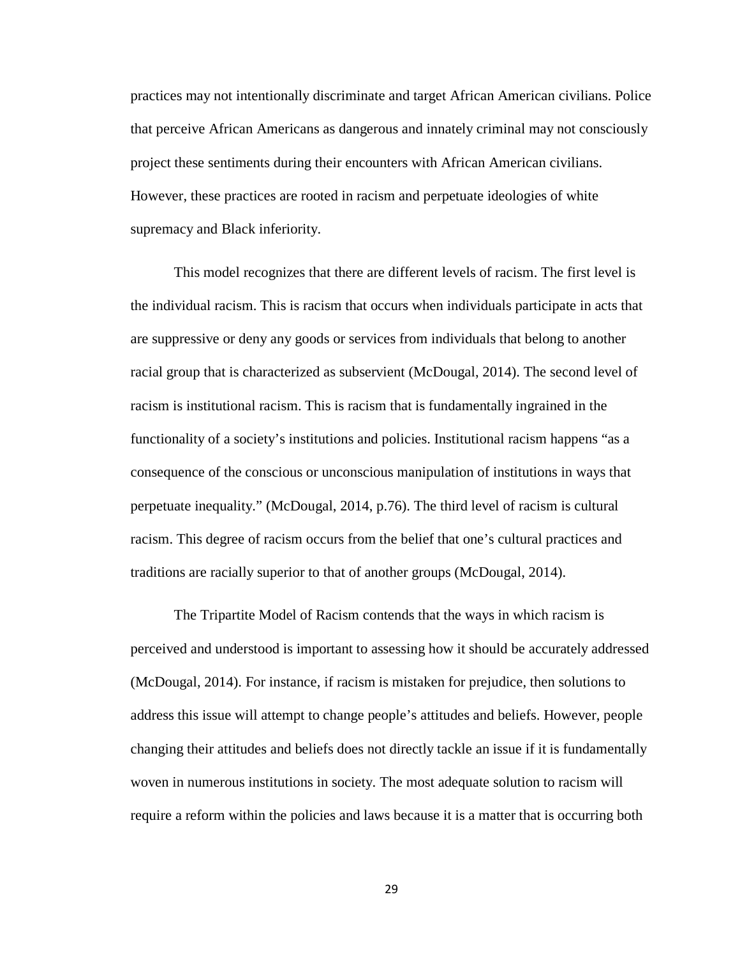practices may not intentionally discriminate and target African American civilians. Police that perceive African Americans as dangerous and innately criminal may not consciously project these sentiments during their encounters with African American civilians. However, these practices are rooted in racism and perpetuate ideologies of white supremacy and Black inferiority.

This model recognizes that there are different levels of racism. The first level is the individual racism. This is racism that occurs when individuals participate in acts that are suppressive or deny any goods or services from individuals that belong to another racial group that is characterized as subservient (McDougal, 2014). The second level of racism is institutional racism. This is racism that is fundamentally ingrained in the functionality of a society's institutions and policies. Institutional racism happens "as a consequence of the conscious or unconscious manipulation of institutions in ways that perpetuate inequality." (McDougal, 2014, p.76). The third level of racism is cultural racism. This degree of racism occurs from the belief that one's cultural practices and traditions are racially superior to that of another groups (McDougal, 2014).

The Tripartite Model of Racism contends that the ways in which racism is perceived and understood is important to assessing how it should be accurately addressed (McDougal, 2014). For instance, if racism is mistaken for prejudice, then solutions to address this issue will attempt to change people's attitudes and beliefs. However, people changing their attitudes and beliefs does not directly tackle an issue if it is fundamentally woven in numerous institutions in society. The most adequate solution to racism will require a reform within the policies and laws because it is a matter that is occurring both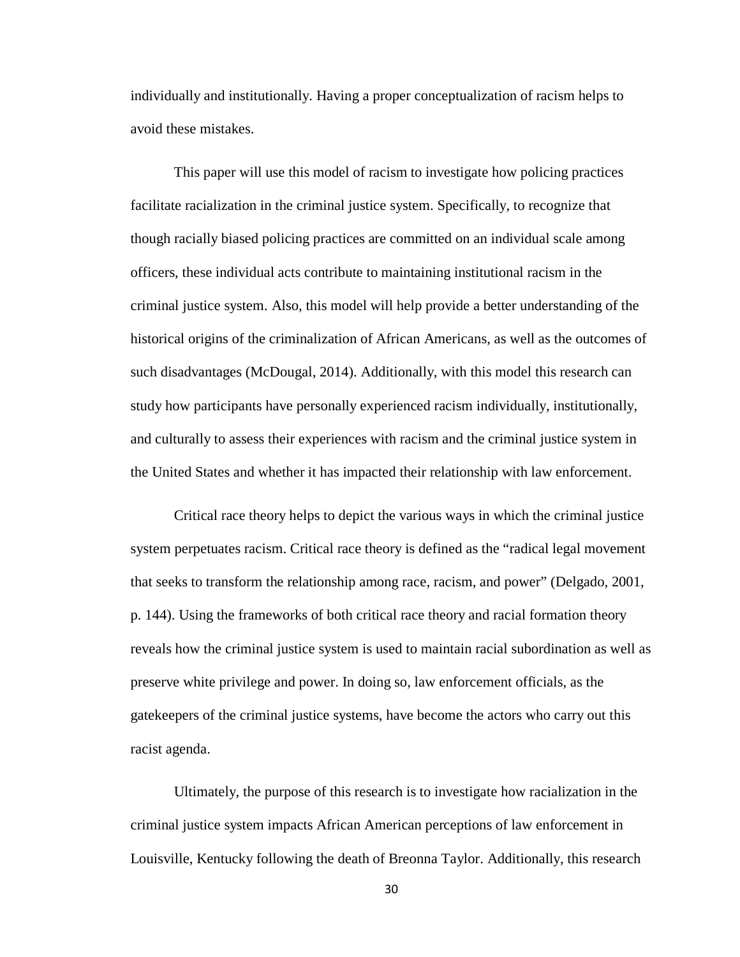individually and institutionally. Having a proper conceptualization of racism helps to avoid these mistakes.

This paper will use this model of racism to investigate how policing practices facilitate racialization in the criminal justice system. Specifically, to recognize that though racially biased policing practices are committed on an individual scale among officers, these individual acts contribute to maintaining institutional racism in the criminal justice system. Also, this model will help provide a better understanding of the historical origins of the criminalization of African Americans, as well as the outcomes of such disadvantages (McDougal, 2014). Additionally, with this model this research can study how participants have personally experienced racism individually, institutionally, and culturally to assess their experiences with racism and the criminal justice system in the United States and whether it has impacted their relationship with law enforcement.

Critical race theory helps to depict the various ways in which the criminal justice system perpetuates racism. Critical race theory is defined as the "radical legal movement that seeks to transform the relationship among race, racism, and power" (Delgado, 2001, p. 144). Using the frameworks of both critical race theory and racial formation theory reveals how the criminal justice system is used to maintain racial subordination as well as preserve white privilege and power. In doing so, law enforcement officials, as the gatekeepers of the criminal justice systems, have become the actors who carry out this racist agenda.

Ultimately, the purpose of this research is to investigate how racialization in the criminal justice system impacts African American perceptions of law enforcement in Louisville, Kentucky following the death of Breonna Taylor. Additionally, this research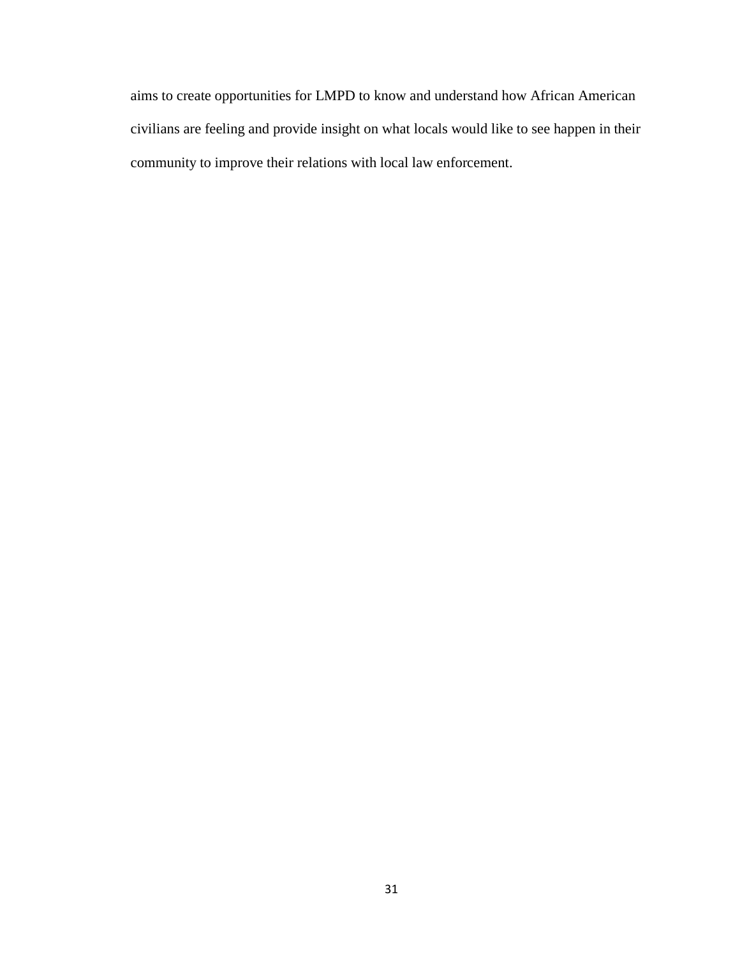aims to create opportunities for LMPD to know and understand how African American civilians are feeling and provide insight on what locals would like to see happen in their community to improve their relations with local law enforcement.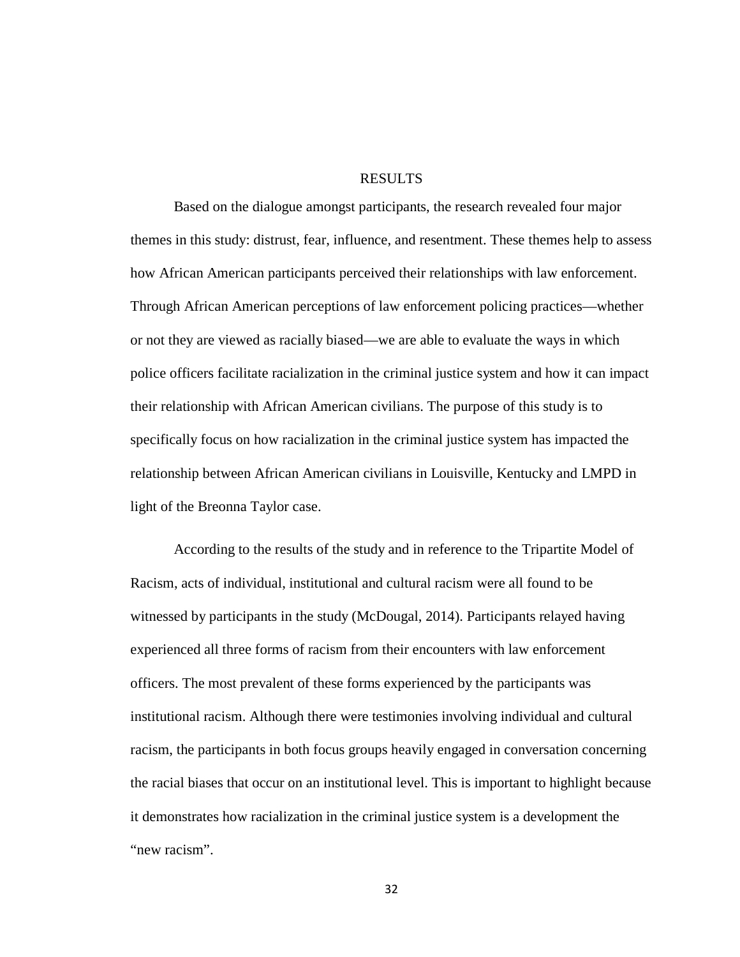#### RESULTS

Based on the dialogue amongst participants, the research revealed four major themes in this study: distrust, fear, influence, and resentment. These themes help to assess how African American participants perceived their relationships with law enforcement. Through African American perceptions of law enforcement policing practices—whether or not they are viewed as racially biased—we are able to evaluate the ways in which police officers facilitate racialization in the criminal justice system and how it can impact their relationship with African American civilians. The purpose of this study is to specifically focus on how racialization in the criminal justice system has impacted the relationship between African American civilians in Louisville, Kentucky and LMPD in light of the Breonna Taylor case.

According to the results of the study and in reference to the Tripartite Model of Racism, acts of individual, institutional and cultural racism were all found to be witnessed by participants in the study (McDougal, 2014). Participants relayed having experienced all three forms of racism from their encounters with law enforcement officers. The most prevalent of these forms experienced by the participants was institutional racism. Although there were testimonies involving individual and cultural racism, the participants in both focus groups heavily engaged in conversation concerning the racial biases that occur on an institutional level. This is important to highlight because it demonstrates how racialization in the criminal justice system is a development the "new racism".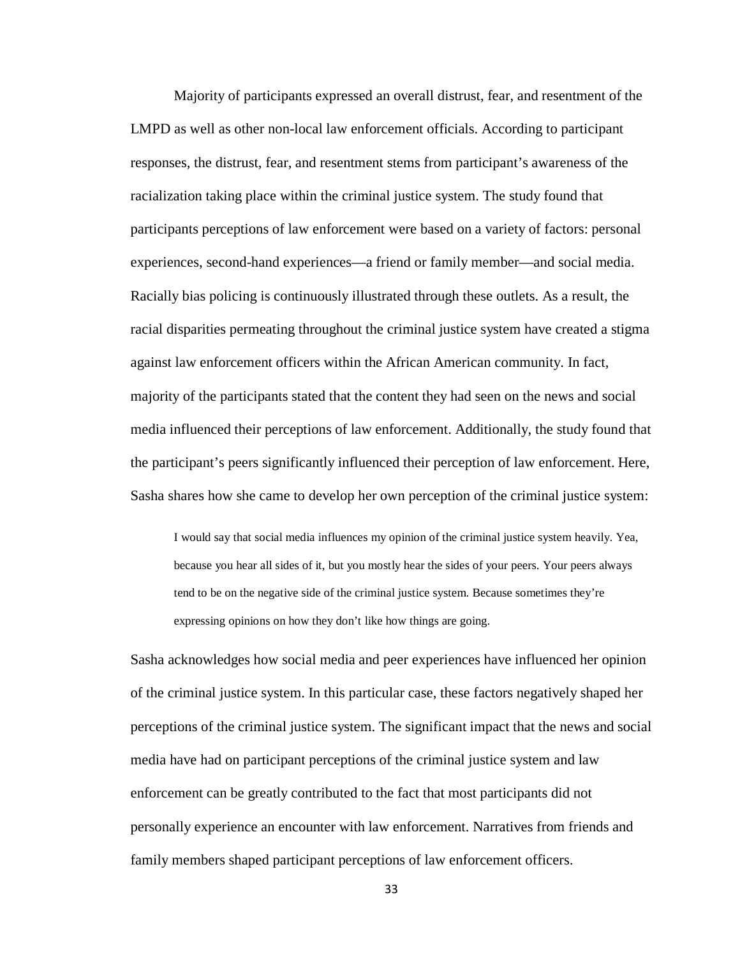Majority of participants expressed an overall distrust, fear, and resentment of the LMPD as well as other non-local law enforcement officials. According to participant responses, the distrust, fear, and resentment stems from participant's awareness of the racialization taking place within the criminal justice system. The study found that participants perceptions of law enforcement were based on a variety of factors: personal experiences, second-hand experiences—a friend or family member—and social media. Racially bias policing is continuously illustrated through these outlets. As a result, the racial disparities permeating throughout the criminal justice system have created a stigma against law enforcement officers within the African American community. In fact, majority of the participants stated that the content they had seen on the news and social media influenced their perceptions of law enforcement. Additionally, the study found that the participant's peers significantly influenced their perception of law enforcement. Here, Sasha shares how she came to develop her own perception of the criminal justice system:

I would say that social media influences my opinion of the criminal justice system heavily. Yea, because you hear all sides of it, but you mostly hear the sides of your peers. Your peers always tend to be on the negative side of the criminal justice system. Because sometimes they're expressing opinions on how they don't like how things are going.

Sasha acknowledges how social media and peer experiences have influenced her opinion of the criminal justice system. In this particular case, these factors negatively shaped her perceptions of the criminal justice system. The significant impact that the news and social media have had on participant perceptions of the criminal justice system and law enforcement can be greatly contributed to the fact that most participants did not personally experience an encounter with law enforcement. Narratives from friends and family members shaped participant perceptions of law enforcement officers.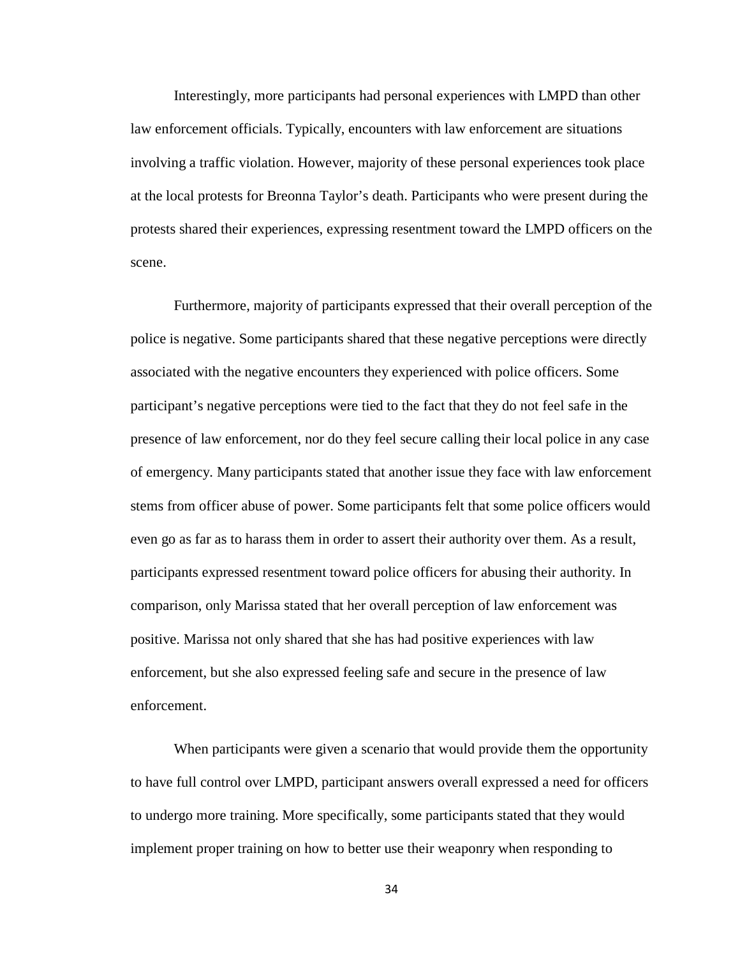Interestingly, more participants had personal experiences with LMPD than other law enforcement officials. Typically, encounters with law enforcement are situations involving a traffic violation. However, majority of these personal experiences took place at the local protests for Breonna Taylor's death. Participants who were present during the protests shared their experiences, expressing resentment toward the LMPD officers on the scene.

Furthermore, majority of participants expressed that their overall perception of the police is negative. Some participants shared that these negative perceptions were directly associated with the negative encounters they experienced with police officers. Some participant's negative perceptions were tied to the fact that they do not feel safe in the presence of law enforcement, nor do they feel secure calling their local police in any case of emergency. Many participants stated that another issue they face with law enforcement stems from officer abuse of power. Some participants felt that some police officers would even go as far as to harass them in order to assert their authority over them. As a result, participants expressed resentment toward police officers for abusing their authority. In comparison, only Marissa stated that her overall perception of law enforcement was positive. Marissa not only shared that she has had positive experiences with law enforcement, but she also expressed feeling safe and secure in the presence of law enforcement.

When participants were given a scenario that would provide them the opportunity to have full control over LMPD, participant answers overall expressed a need for officers to undergo more training. More specifically, some participants stated that they would implement proper training on how to better use their weaponry when responding to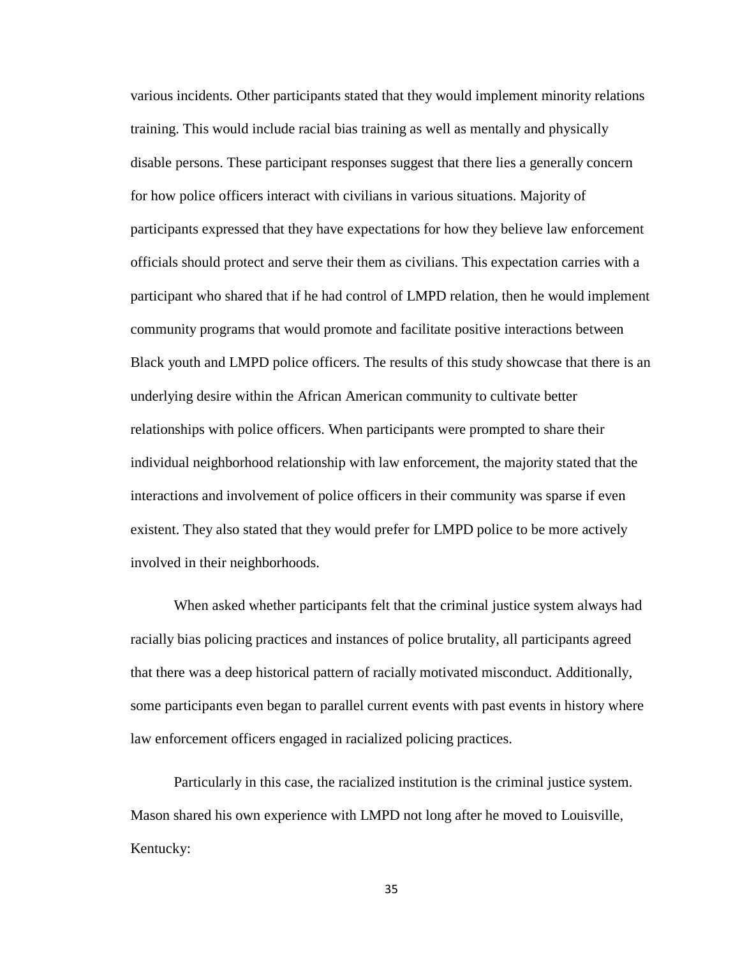various incidents. Other participants stated that they would implement minority relations training. This would include racial bias training as well as mentally and physically disable persons. These participant responses suggest that there lies a generally concern for how police officers interact with civilians in various situations. Majority of participants expressed that they have expectations for how they believe law enforcement officials should protect and serve their them as civilians. This expectation carries with a participant who shared that if he had control of LMPD relation, then he would implement community programs that would promote and facilitate positive interactions between Black youth and LMPD police officers. The results of this study showcase that there is an underlying desire within the African American community to cultivate better relationships with police officers. When participants were prompted to share their individual neighborhood relationship with law enforcement, the majority stated that the interactions and involvement of police officers in their community was sparse if even existent. They also stated that they would prefer for LMPD police to be more actively involved in their neighborhoods.

When asked whether participants felt that the criminal justice system always had racially bias policing practices and instances of police brutality, all participants agreed that there was a deep historical pattern of racially motivated misconduct. Additionally, some participants even began to parallel current events with past events in history where law enforcement officers engaged in racialized policing practices.

Particularly in this case, the racialized institution is the criminal justice system. Mason shared his own experience with LMPD not long after he moved to Louisville, Kentucky: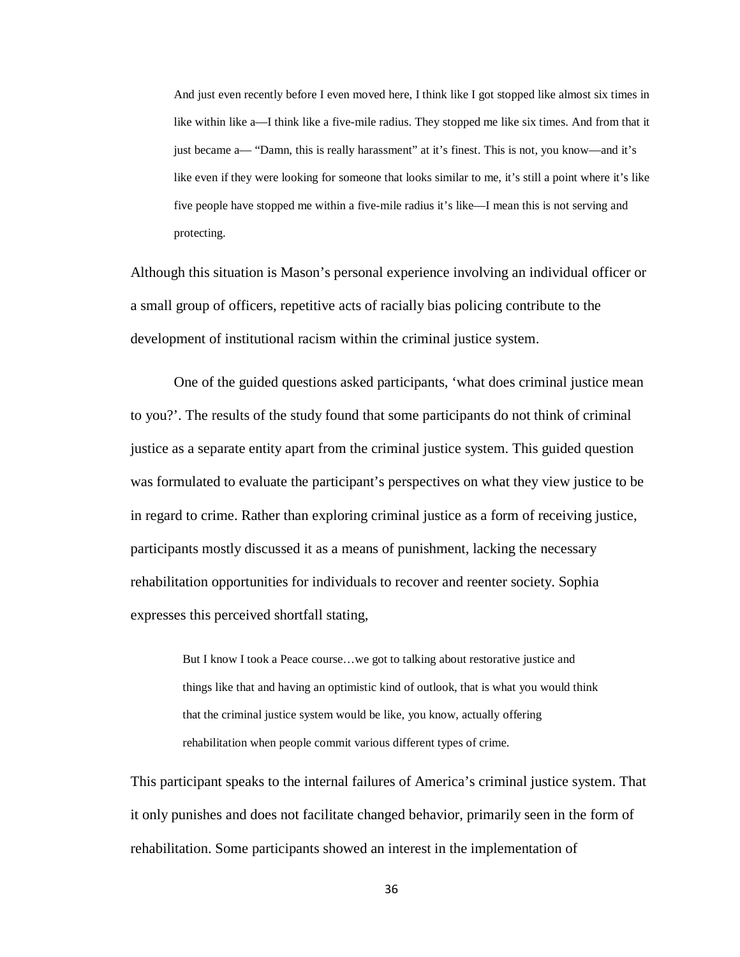And just even recently before I even moved here, I think like I got stopped like almost six times in like within like a—I think like a five-mile radius. They stopped me like six times. And from that it just became a— "Damn, this is really harassment" at it's finest. This is not, you know—and it's like even if they were looking for someone that looks similar to me, it's still a point where it's like five people have stopped me within a five-mile radius it's like—I mean this is not serving and protecting.

Although this situation is Mason's personal experience involving an individual officer or a small group of officers, repetitive acts of racially bias policing contribute to the development of institutional racism within the criminal justice system.

One of the guided questions asked participants, 'what does criminal justice mean to you?'. The results of the study found that some participants do not think of criminal justice as a separate entity apart from the criminal justice system. This guided question was formulated to evaluate the participant's perspectives on what they view justice to be in regard to crime. Rather than exploring criminal justice as a form of receiving justice, participants mostly discussed it as a means of punishment, lacking the necessary rehabilitation opportunities for individuals to recover and reenter society. Sophia expresses this perceived shortfall stating,

> But I know I took a Peace course…we got to talking about restorative justice and things like that and having an optimistic kind of outlook, that is what you would think that the criminal justice system would be like, you know, actually offering rehabilitation when people commit various different types of crime.

This participant speaks to the internal failures of America's criminal justice system. That it only punishes and does not facilitate changed behavior, primarily seen in the form of rehabilitation. Some participants showed an interest in the implementation of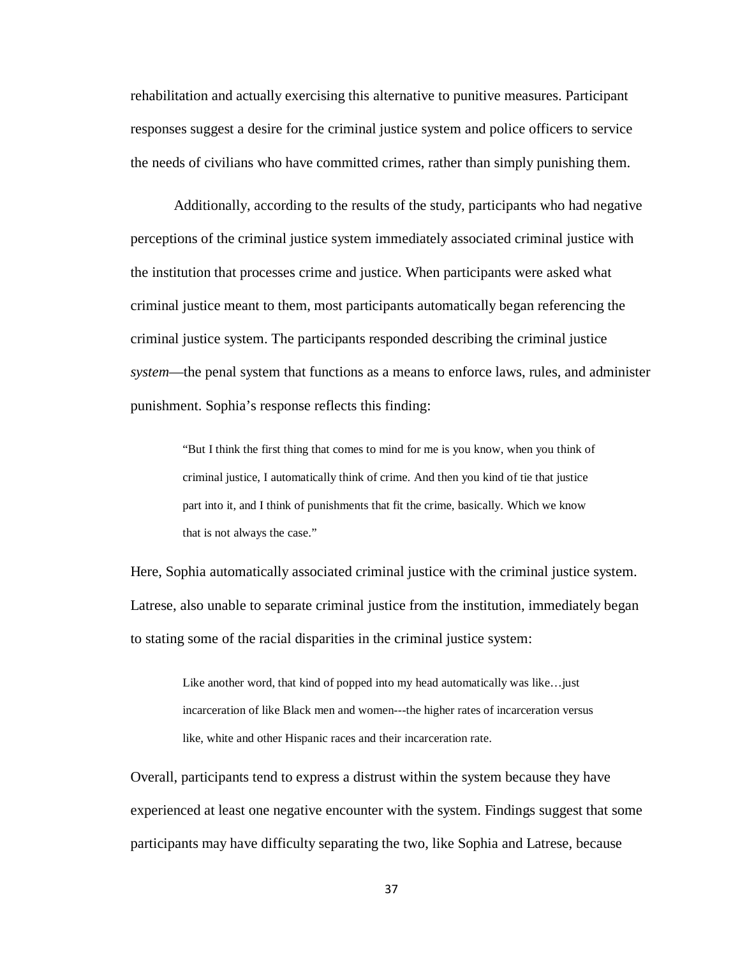rehabilitation and actually exercising this alternative to punitive measures. Participant responses suggest a desire for the criminal justice system and police officers to service the needs of civilians who have committed crimes, rather than simply punishing them.

Additionally, according to the results of the study, participants who had negative perceptions of the criminal justice system immediately associated criminal justice with the institution that processes crime and justice. When participants were asked what criminal justice meant to them, most participants automatically began referencing the criminal justice system. The participants responded describing the criminal justice *system*—the penal system that functions as a means to enforce laws, rules, and administer punishment. Sophia's response reflects this finding:

"But I think the first thing that comes to mind for me is you know, when you think of criminal justice, I automatically think of crime. And then you kind of tie that justice part into it, and I think of punishments that fit the crime, basically. Which we know that is not always the case."

Here, Sophia automatically associated criminal justice with the criminal justice system. Latrese, also unable to separate criminal justice from the institution, immediately began to stating some of the racial disparities in the criminal justice system:

Like another word, that kind of popped into my head automatically was like…just incarceration of like Black men and women---the higher rates of incarceration versus like, white and other Hispanic races and their incarceration rate.

Overall, participants tend to express a distrust within the system because they have experienced at least one negative encounter with the system. Findings suggest that some participants may have difficulty separating the two, like Sophia and Latrese, because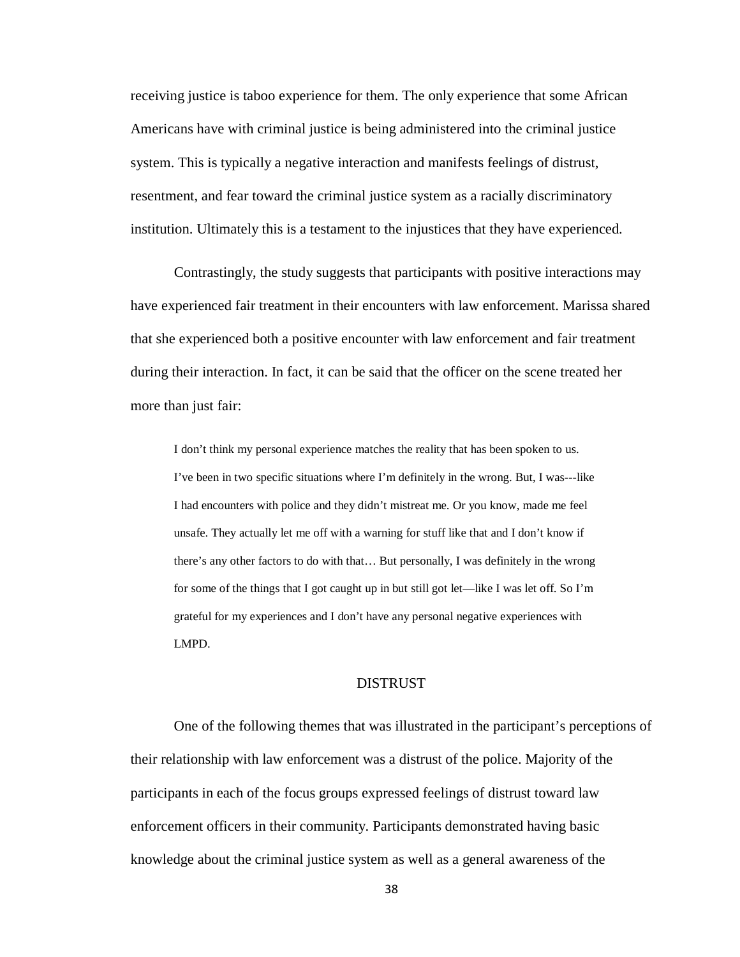receiving justice is taboo experience for them. The only experience that some African Americans have with criminal justice is being administered into the criminal justice system. This is typically a negative interaction and manifests feelings of distrust, resentment, and fear toward the criminal justice system as a racially discriminatory institution. Ultimately this is a testament to the injustices that they have experienced.

Contrastingly, the study suggests that participants with positive interactions may have experienced fair treatment in their encounters with law enforcement. Marissa shared that she experienced both a positive encounter with law enforcement and fair treatment during their interaction. In fact, it can be said that the officer on the scene treated her more than just fair:

I don't think my personal experience matches the reality that has been spoken to us. I've been in two specific situations where I'm definitely in the wrong. But, I was---like I had encounters with police and they didn't mistreat me. Or you know, made me feel unsafe. They actually let me off with a warning for stuff like that and I don't know if there's any other factors to do with that… But personally, I was definitely in the wrong for some of the things that I got caught up in but still got let—like I was let off. So I'm grateful for my experiences and I don't have any personal negative experiences with LMPD.

#### DISTRUST

One of the following themes that was illustrated in the participant's perceptions of their relationship with law enforcement was a distrust of the police. Majority of the participants in each of the focus groups expressed feelings of distrust toward law enforcement officers in their community. Participants demonstrated having basic knowledge about the criminal justice system as well as a general awareness of the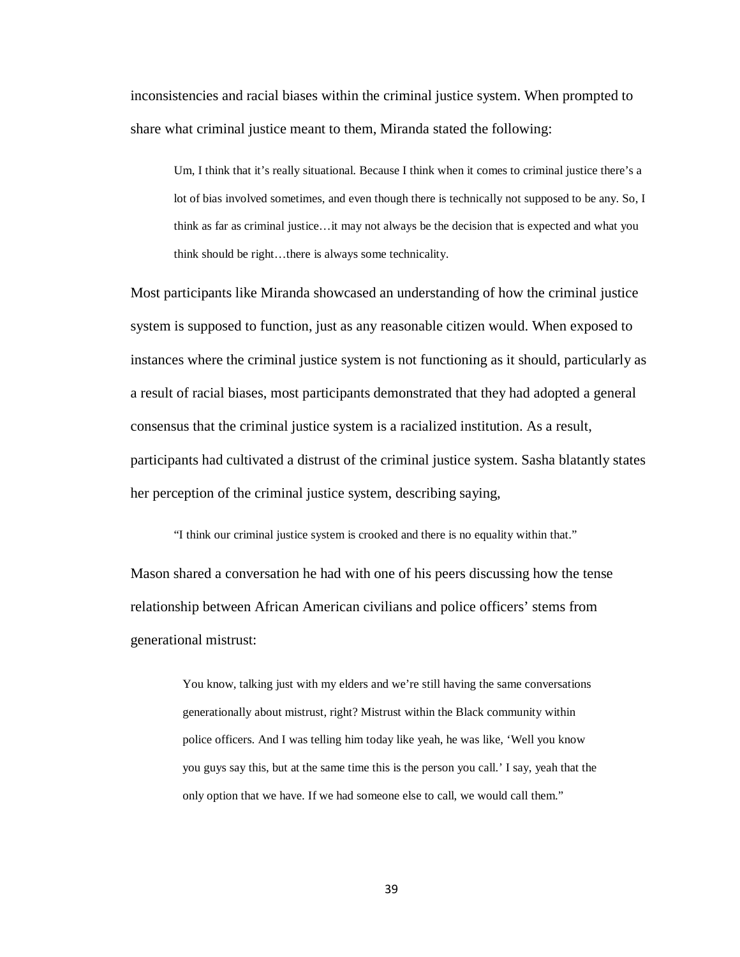inconsistencies and racial biases within the criminal justice system. When prompted to share what criminal justice meant to them, Miranda stated the following:

Um, I think that it's really situational. Because I think when it comes to criminal justice there's a lot of bias involved sometimes, and even though there is technically not supposed to be any. So, I think as far as criminal justice…it may not always be the decision that is expected and what you think should be right…there is always some technicality.

Most participants like Miranda showcased an understanding of how the criminal justice system is supposed to function, just as any reasonable citizen would. When exposed to instances where the criminal justice system is not functioning as it should, particularly as a result of racial biases, most participants demonstrated that they had adopted a general consensus that the criminal justice system is a racialized institution. As a result, participants had cultivated a distrust of the criminal justice system. Sasha blatantly states her perception of the criminal justice system, describing saying,

"I think our criminal justice system is crooked and there is no equality within that."

Mason shared a conversation he had with one of his peers discussing how the tense relationship between African American civilians and police officers' stems from generational mistrust:

> You know, talking just with my elders and we're still having the same conversations generationally about mistrust, right? Mistrust within the Black community within police officers. And I was telling him today like yeah, he was like, 'Well you know you guys say this, but at the same time this is the person you call.' I say, yeah that the only option that we have. If we had someone else to call, we would call them."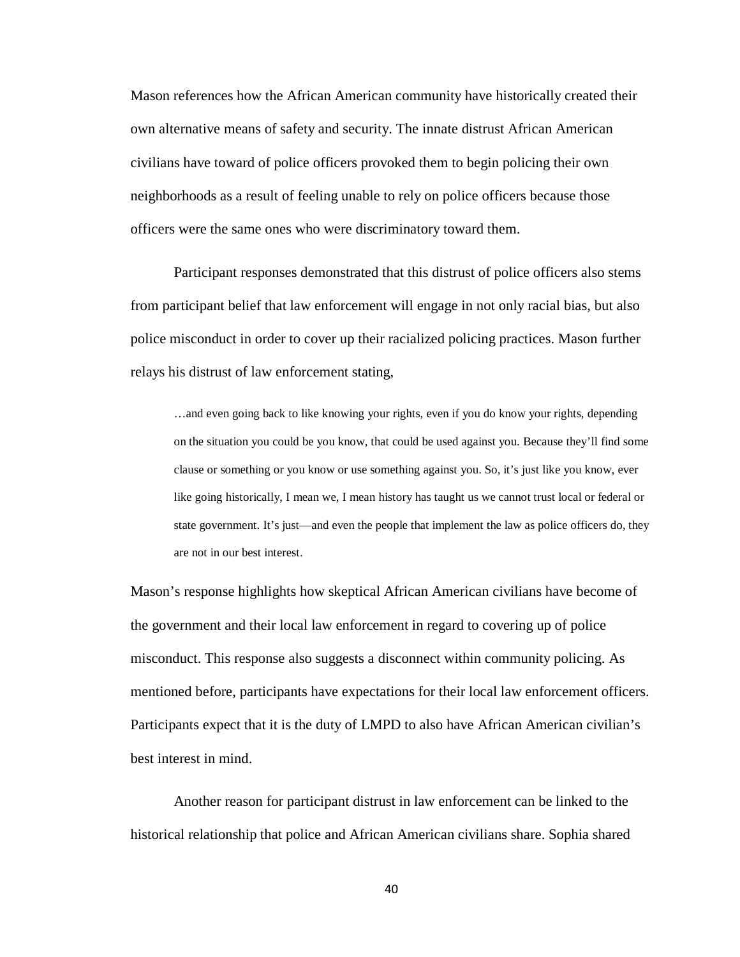Mason references how the African American community have historically created their own alternative means of safety and security. The innate distrust African American civilians have toward of police officers provoked them to begin policing their own neighborhoods as a result of feeling unable to rely on police officers because those officers were the same ones who were discriminatory toward them.

Participant responses demonstrated that this distrust of police officers also stems from participant belief that law enforcement will engage in not only racial bias, but also police misconduct in order to cover up their racialized policing practices. Mason further relays his distrust of law enforcement stating,

…and even going back to like knowing your rights, even if you do know your rights, depending on the situation you could be you know, that could be used against you. Because they'll find some clause or something or you know or use something against you. So, it's just like you know, ever like going historically, I mean we, I mean history has taught us we cannot trust local or federal or state government. It's just—and even the people that implement the law as police officers do, they are not in our best interest.

Mason's response highlights how skeptical African American civilians have become of the government and their local law enforcement in regard to covering up of police misconduct. This response also suggests a disconnect within community policing. As mentioned before, participants have expectations for their local law enforcement officers. Participants expect that it is the duty of LMPD to also have African American civilian's best interest in mind.

Another reason for participant distrust in law enforcement can be linked to the historical relationship that police and African American civilians share. Sophia shared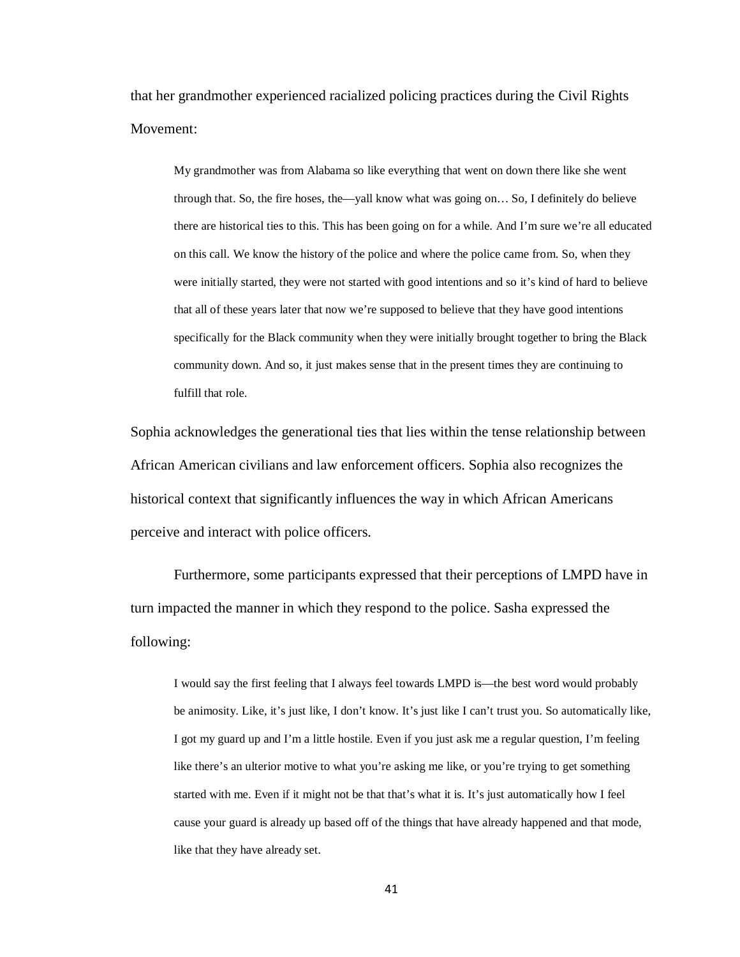that her grandmother experienced racialized policing practices during the Civil Rights Movement:

My grandmother was from Alabama so like everything that went on down there like she went through that. So, the fire hoses, the—yall know what was going on… So, I definitely do believe there are historical ties to this. This has been going on for a while. And I'm sure we're all educated on this call. We know the history of the police and where the police came from. So, when they were initially started, they were not started with good intentions and so it's kind of hard to believe that all of these years later that now we're supposed to believe that they have good intentions specifically for the Black community when they were initially brought together to bring the Black community down. And so, it just makes sense that in the present times they are continuing to fulfill that role.

Sophia acknowledges the generational ties that lies within the tense relationship between African American civilians and law enforcement officers. Sophia also recognizes the historical context that significantly influences the way in which African Americans perceive and interact with police officers.

Furthermore, some participants expressed that their perceptions of LMPD have in turn impacted the manner in which they respond to the police. Sasha expressed the following:

I would say the first feeling that I always feel towards LMPD is—the best word would probably be animosity. Like, it's just like, I don't know. It's just like I can't trust you. So automatically like, I got my guard up and I'm a little hostile. Even if you just ask me a regular question, I'm feeling like there's an ulterior motive to what you're asking me like, or you're trying to get something started with me. Even if it might not be that that's what it is. It's just automatically how I feel cause your guard is already up based off of the things that have already happened and that mode, like that they have already set.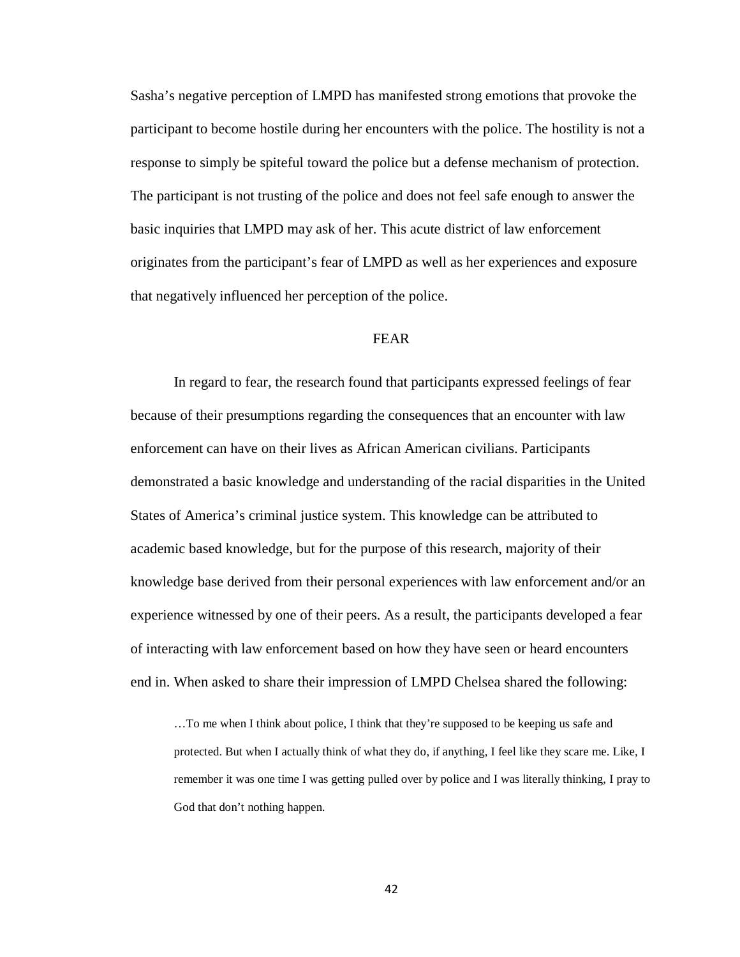Sasha's negative perception of LMPD has manifested strong emotions that provoke the participant to become hostile during her encounters with the police. The hostility is not a response to simply be spiteful toward the police but a defense mechanism of protection. The participant is not trusting of the police and does not feel safe enough to answer the basic inquiries that LMPD may ask of her. This acute district of law enforcement originates from the participant's fear of LMPD as well as her experiences and exposure that negatively influenced her perception of the police.

### FEAR

In regard to fear, the research found that participants expressed feelings of fear because of their presumptions regarding the consequences that an encounter with law enforcement can have on their lives as African American civilians. Participants demonstrated a basic knowledge and understanding of the racial disparities in the United States of America's criminal justice system. This knowledge can be attributed to academic based knowledge, but for the purpose of this research, majority of their knowledge base derived from their personal experiences with law enforcement and/or an experience witnessed by one of their peers. As a result, the participants developed a fear of interacting with law enforcement based on how they have seen or heard encounters end in. When asked to share their impression of LMPD Chelsea shared the following:

…To me when I think about police, I think that they're supposed to be keeping us safe and protected. But when I actually think of what they do, if anything, I feel like they scare me. Like, I remember it was one time I was getting pulled over by police and I was literally thinking, I pray to God that don't nothing happen.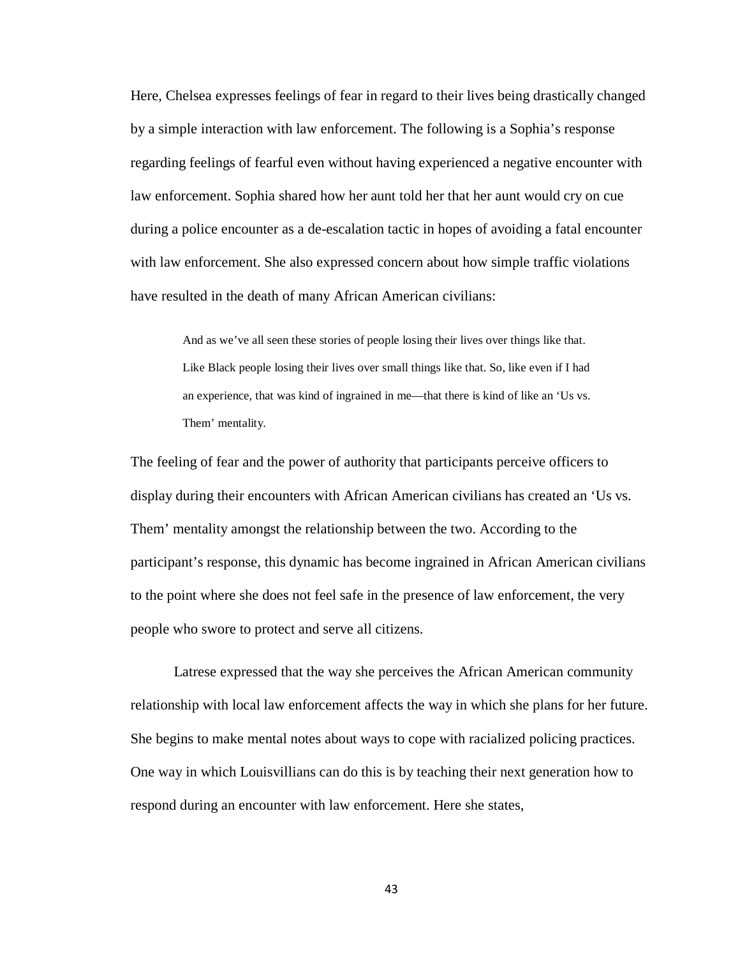Here, Chelsea expresses feelings of fear in regard to their lives being drastically changed by a simple interaction with law enforcement. The following is a Sophia's response regarding feelings of fearful even without having experienced a negative encounter with law enforcement. Sophia shared how her aunt told her that her aunt would cry on cue during a police encounter as a de-escalation tactic in hopes of avoiding a fatal encounter with law enforcement. She also expressed concern about how simple traffic violations have resulted in the death of many African American civilians:

And as we've all seen these stories of people losing their lives over things like that. Like Black people losing their lives over small things like that. So, like even if I had an experience, that was kind of ingrained in me—that there is kind of like an 'Us vs. Them' mentality.

The feeling of fear and the power of authority that participants perceive officers to display during their encounters with African American civilians has created an 'Us vs. Them' mentality amongst the relationship between the two. According to the participant's response, this dynamic has become ingrained in African American civilians to the point where she does not feel safe in the presence of law enforcement, the very people who swore to protect and serve all citizens.

Latrese expressed that the way she perceives the African American community relationship with local law enforcement affects the way in which she plans for her future. She begins to make mental notes about ways to cope with racialized policing practices. One way in which Louisvillians can do this is by teaching their next generation how to respond during an encounter with law enforcement. Here she states,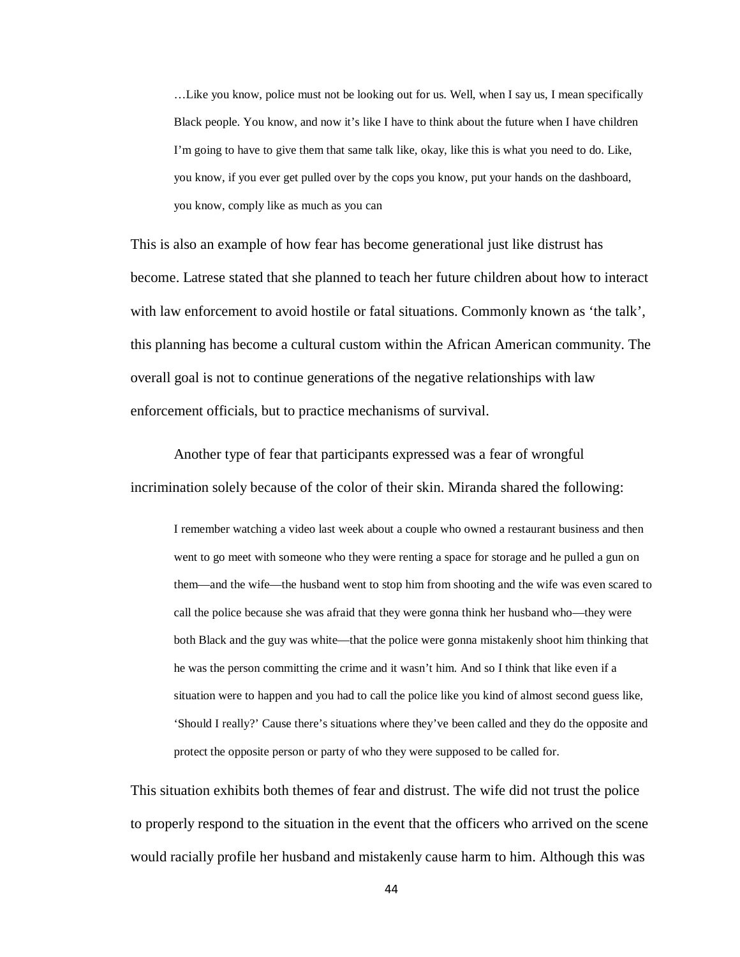…Like you know, police must not be looking out for us. Well, when I say us, I mean specifically Black people. You know, and now it's like I have to think about the future when I have children I'm going to have to give them that same talk like, okay, like this is what you need to do. Like, you know, if you ever get pulled over by the cops you know, put your hands on the dashboard, you know, comply like as much as you can

This is also an example of how fear has become generational just like distrust has become. Latrese stated that she planned to teach her future children about how to interact with law enforcement to avoid hostile or fatal situations. Commonly known as 'the talk', this planning has become a cultural custom within the African American community. The overall goal is not to continue generations of the negative relationships with law enforcement officials, but to practice mechanisms of survival.

Another type of fear that participants expressed was a fear of wrongful incrimination solely because of the color of their skin. Miranda shared the following:

I remember watching a video last week about a couple who owned a restaurant business and then went to go meet with someone who they were renting a space for storage and he pulled a gun on them—and the wife—the husband went to stop him from shooting and the wife was even scared to call the police because she was afraid that they were gonna think her husband who—they were both Black and the guy was white—that the police were gonna mistakenly shoot him thinking that he was the person committing the crime and it wasn't him. And so I think that like even if a situation were to happen and you had to call the police like you kind of almost second guess like, 'Should I really?' Cause there's situations where they've been called and they do the opposite and protect the opposite person or party of who they were supposed to be called for.

This situation exhibits both themes of fear and distrust. The wife did not trust the police to properly respond to the situation in the event that the officers who arrived on the scene would racially profile her husband and mistakenly cause harm to him. Although this was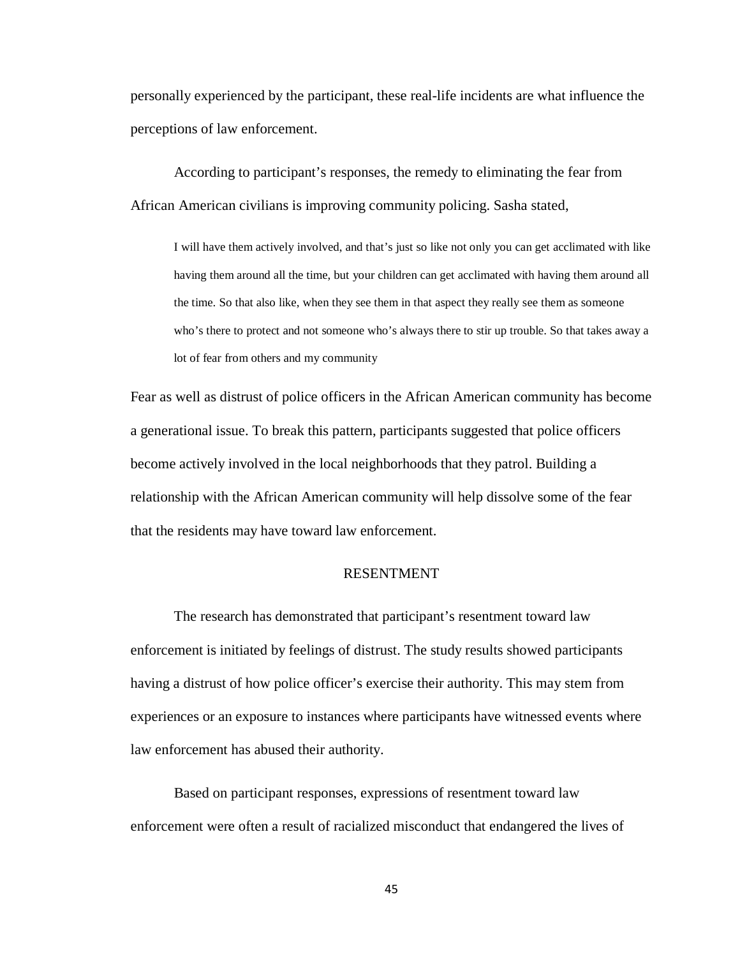personally experienced by the participant, these real-life incidents are what influence the perceptions of law enforcement.

According to participant's responses, the remedy to eliminating the fear from African American civilians is improving community policing. Sasha stated,

I will have them actively involved, and that's just so like not only you can get acclimated with like having them around all the time, but your children can get acclimated with having them around all the time. So that also like, when they see them in that aspect they really see them as someone who's there to protect and not someone who's always there to stir up trouble. So that takes away a lot of fear from others and my community

Fear as well as distrust of police officers in the African American community has become a generational issue. To break this pattern, participants suggested that police officers become actively involved in the local neighborhoods that they patrol. Building a relationship with the African American community will help dissolve some of the fear that the residents may have toward law enforcement.

### RESENTMENT

The research has demonstrated that participant's resentment toward law enforcement is initiated by feelings of distrust. The study results showed participants having a distrust of how police officer's exercise their authority. This may stem from experiences or an exposure to instances where participants have witnessed events where law enforcement has abused their authority.

Based on participant responses, expressions of resentment toward law enforcement were often a result of racialized misconduct that endangered the lives of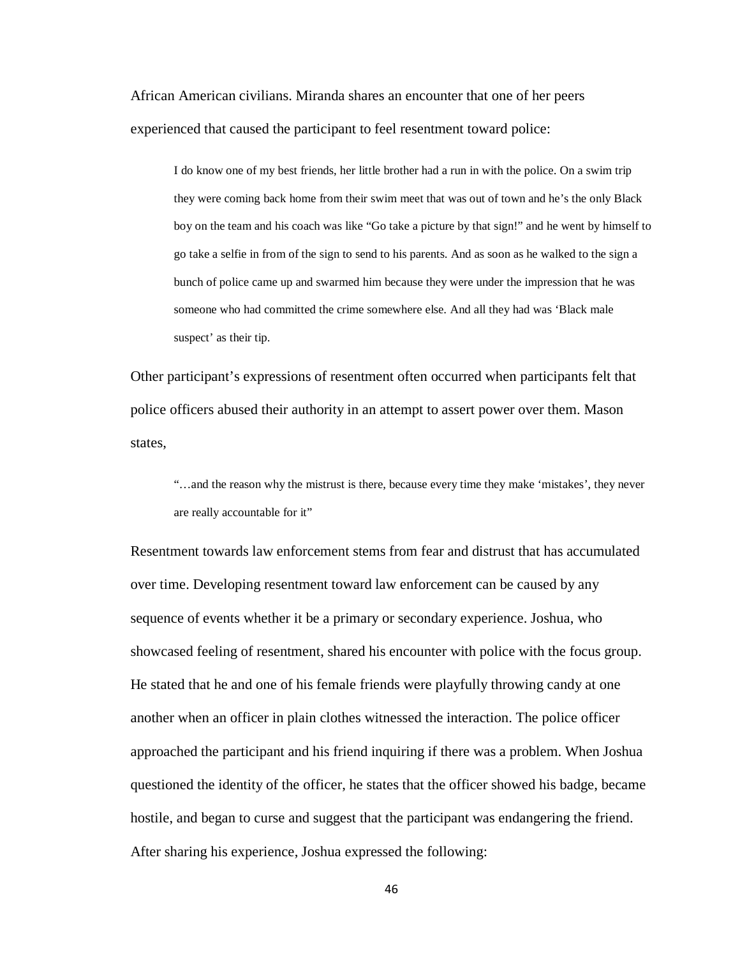African American civilians. Miranda shares an encounter that one of her peers experienced that caused the participant to feel resentment toward police:

I do know one of my best friends, her little brother had a run in with the police. On a swim trip they were coming back home from their swim meet that was out of town and he's the only Black boy on the team and his coach was like "Go take a picture by that sign!" and he went by himself to go take a selfie in from of the sign to send to his parents. And as soon as he walked to the sign a bunch of police came up and swarmed him because they were under the impression that he was someone who had committed the crime somewhere else. And all they had was 'Black male suspect' as their tip.

Other participant's expressions of resentment often occurred when participants felt that police officers abused their authority in an attempt to assert power over them. Mason states,

"…and the reason why the mistrust is there, because every time they make 'mistakes', they never are really accountable for it"

Resentment towards law enforcement stems from fear and distrust that has accumulated over time. Developing resentment toward law enforcement can be caused by any sequence of events whether it be a primary or secondary experience. Joshua, who showcased feeling of resentment, shared his encounter with police with the focus group. He stated that he and one of his female friends were playfully throwing candy at one another when an officer in plain clothes witnessed the interaction. The police officer approached the participant and his friend inquiring if there was a problem. When Joshua questioned the identity of the officer, he states that the officer showed his badge, became hostile, and began to curse and suggest that the participant was endangering the friend. After sharing his experience, Joshua expressed the following: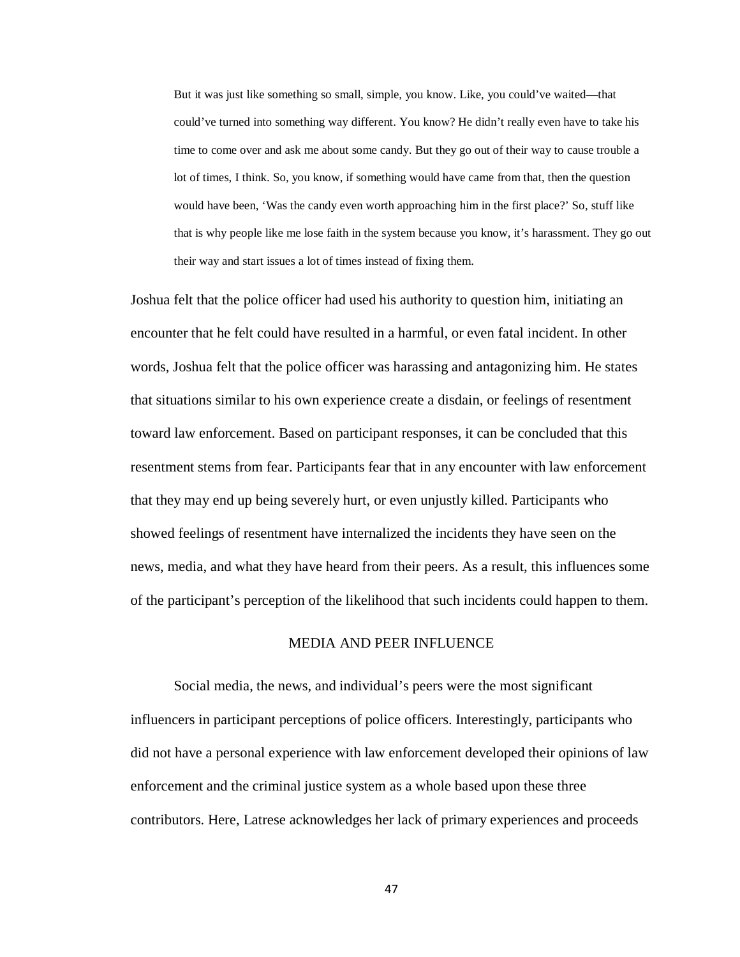But it was just like something so small, simple, you know. Like, you could've waited—that could've turned into something way different. You know? He didn't really even have to take his time to come over and ask me about some candy. But they go out of their way to cause trouble a lot of times, I think. So, you know, if something would have came from that, then the question would have been, 'Was the candy even worth approaching him in the first place?' So, stuff like that is why people like me lose faith in the system because you know, it's harassment. They go out their way and start issues a lot of times instead of fixing them.

Joshua felt that the police officer had used his authority to question him, initiating an encounter that he felt could have resulted in a harmful, or even fatal incident. In other words, Joshua felt that the police officer was harassing and antagonizing him. He states that situations similar to his own experience create a disdain, or feelings of resentment toward law enforcement. Based on participant responses, it can be concluded that this resentment stems from fear. Participants fear that in any encounter with law enforcement that they may end up being severely hurt, or even unjustly killed. Participants who showed feelings of resentment have internalized the incidents they have seen on the news, media, and what they have heard from their peers. As a result, this influences some of the participant's perception of the likelihood that such incidents could happen to them.

#### MEDIA AND PEER INFLUENCE

Social media, the news, and individual's peers were the most significant influencers in participant perceptions of police officers. Interestingly, participants who did not have a personal experience with law enforcement developed their opinions of law enforcement and the criminal justice system as a whole based upon these three contributors. Here, Latrese acknowledges her lack of primary experiences and proceeds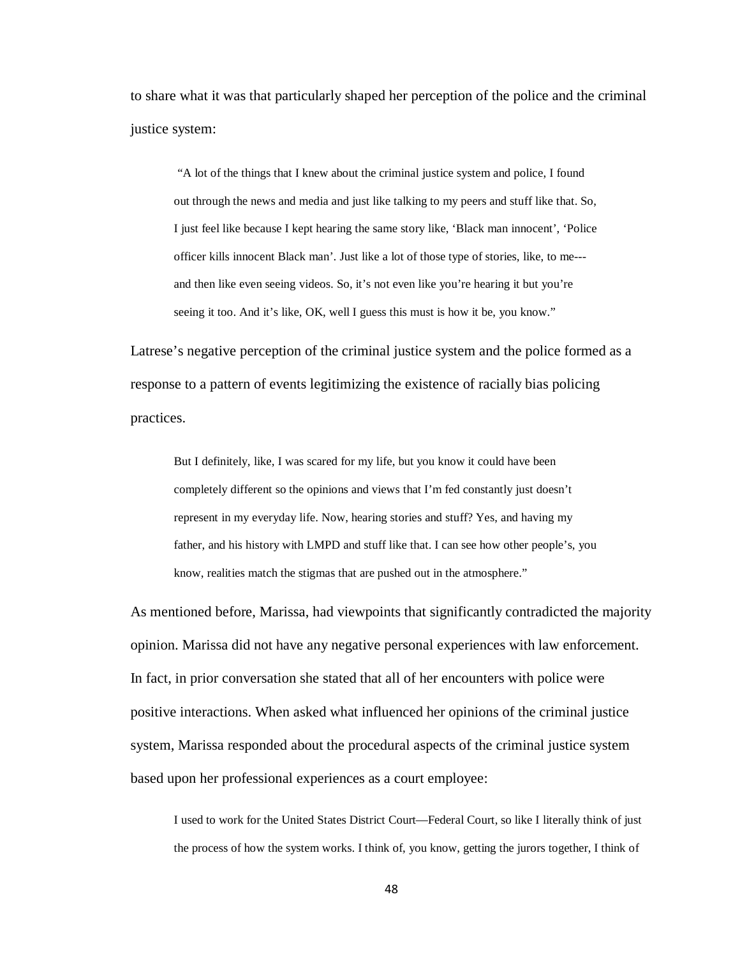to share what it was that particularly shaped her perception of the police and the criminal justice system:

"A lot of the things that I knew about the criminal justice system and police, I found out through the news and media and just like talking to my peers and stuff like that. So, I just feel like because I kept hearing the same story like, 'Black man innocent', 'Police officer kills innocent Black man'. Just like a lot of those type of stories, like, to me-- and then like even seeing videos. So, it's not even like you're hearing it but you're seeing it too. And it's like, OK, well I guess this must is how it be, you know."

Latrese's negative perception of the criminal justice system and the police formed as a response to a pattern of events legitimizing the existence of racially bias policing practices.

But I definitely, like, I was scared for my life, but you know it could have been completely different so the opinions and views that I'm fed constantly just doesn't represent in my everyday life. Now, hearing stories and stuff? Yes, and having my father, and his history with LMPD and stuff like that. I can see how other people's, you know, realities match the stigmas that are pushed out in the atmosphere."

As mentioned before, Marissa, had viewpoints that significantly contradicted the majority opinion. Marissa did not have any negative personal experiences with law enforcement. In fact, in prior conversation she stated that all of her encounters with police were positive interactions. When asked what influenced her opinions of the criminal justice system, Marissa responded about the procedural aspects of the criminal justice system based upon her professional experiences as a court employee:

I used to work for the United States District Court—Federal Court, so like I literally think of just the process of how the system works. I think of, you know, getting the jurors together, I think of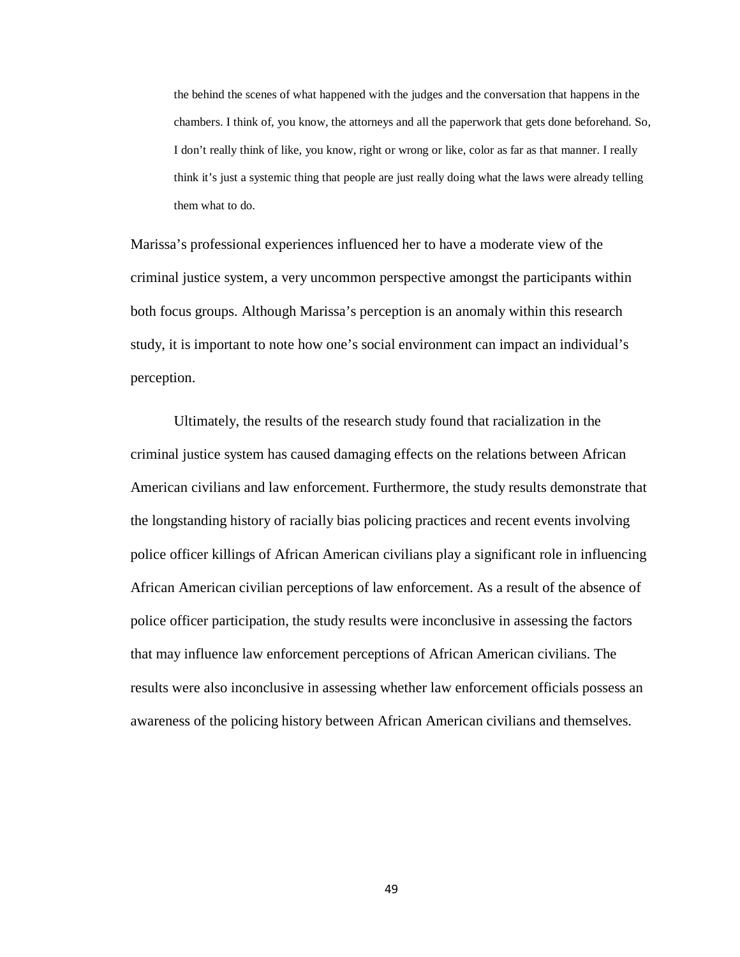the behind the scenes of what happened with the judges and the conversation that happens in the chambers. I think of, you know, the attorneys and all the paperwork that gets done beforehand. So, I don't really think of like, you know, right or wrong or like, color as far as that manner. I really think it's just a systemic thing that people are just really doing what the laws were already telling them what to do.

Marissa's professional experiences influenced her to have a moderate view of the criminal justice system, a very uncommon perspective amongst the participants within both focus groups. Although Marissa's perception is an anomaly within this research study, it is important to note how one's social environment can impact an individual's perception.

Ultimately, the results of the research study found that racialization in the criminal justice system has caused damaging effects on the relations between African American civilians and law enforcement. Furthermore, the study results demonstrate that the longstanding history of racially bias policing practices and recent events involving police officer killings of African American civilians play a significant role in influencing African American civilian perceptions of law enforcement. As a result of the absence of police officer participation, the study results were inconclusive in assessing the factors that may influence law enforcement perceptions of African American civilians. The results were also inconclusive in assessing whether law enforcement officials possess an awareness of the policing history between African American civilians and themselves.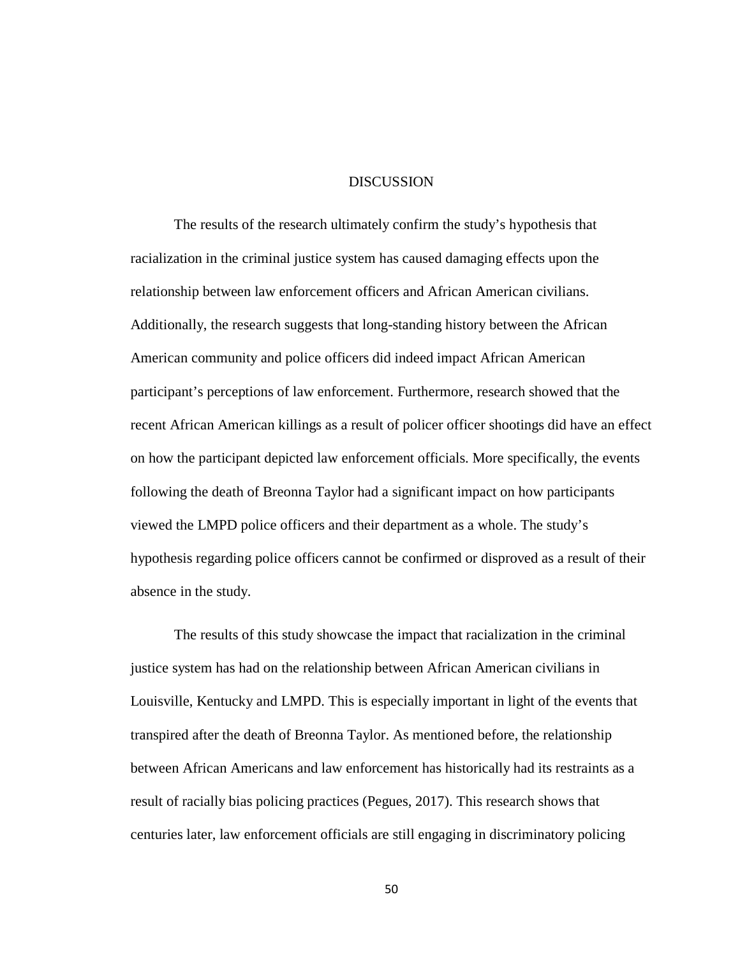#### **DISCUSSION**

The results of the research ultimately confirm the study's hypothesis that racialization in the criminal justice system has caused damaging effects upon the relationship between law enforcement officers and African American civilians. Additionally, the research suggests that long-standing history between the African American community and police officers did indeed impact African American participant's perceptions of law enforcement. Furthermore, research showed that the recent African American killings as a result of policer officer shootings did have an effect on how the participant depicted law enforcement officials. More specifically, the events following the death of Breonna Taylor had a significant impact on how participants viewed the LMPD police officers and their department as a whole. The study's hypothesis regarding police officers cannot be confirmed or disproved as a result of their absence in the study.

The results of this study showcase the impact that racialization in the criminal justice system has had on the relationship between African American civilians in Louisville, Kentucky and LMPD. This is especially important in light of the events that transpired after the death of Breonna Taylor. As mentioned before, the relationship between African Americans and law enforcement has historically had its restraints as a result of racially bias policing practices (Pegues, 2017). This research shows that centuries later, law enforcement officials are still engaging in discriminatory policing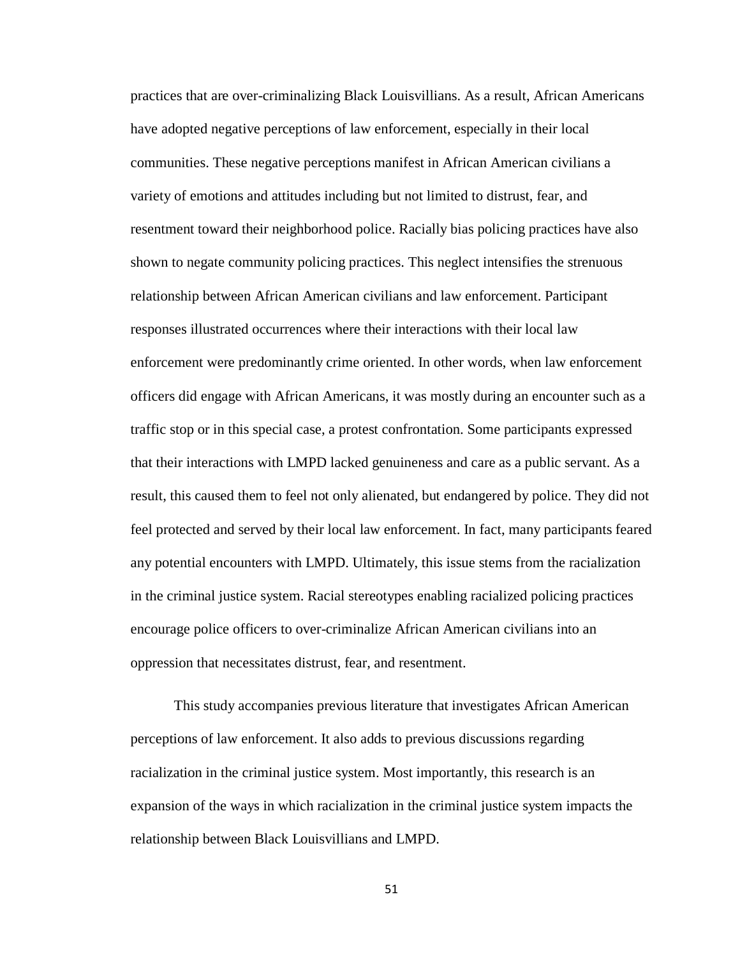practices that are over-criminalizing Black Louisvillians. As a result, African Americans have adopted negative perceptions of law enforcement, especially in their local communities. These negative perceptions manifest in African American civilians a variety of emotions and attitudes including but not limited to distrust, fear, and resentment toward their neighborhood police. Racially bias policing practices have also shown to negate community policing practices. This neglect intensifies the strenuous relationship between African American civilians and law enforcement. Participant responses illustrated occurrences where their interactions with their local law enforcement were predominantly crime oriented. In other words, when law enforcement officers did engage with African Americans, it was mostly during an encounter such as a traffic stop or in this special case, a protest confrontation. Some participants expressed that their interactions with LMPD lacked genuineness and care as a public servant. As a result, this caused them to feel not only alienated, but endangered by police. They did not feel protected and served by their local law enforcement. In fact, many participants feared any potential encounters with LMPD. Ultimately, this issue stems from the racialization in the criminal justice system. Racial stereotypes enabling racialized policing practices encourage police officers to over-criminalize African American civilians into an oppression that necessitates distrust, fear, and resentment.

This study accompanies previous literature that investigates African American perceptions of law enforcement. It also adds to previous discussions regarding racialization in the criminal justice system. Most importantly, this research is an expansion of the ways in which racialization in the criminal justice system impacts the relationship between Black Louisvillians and LMPD.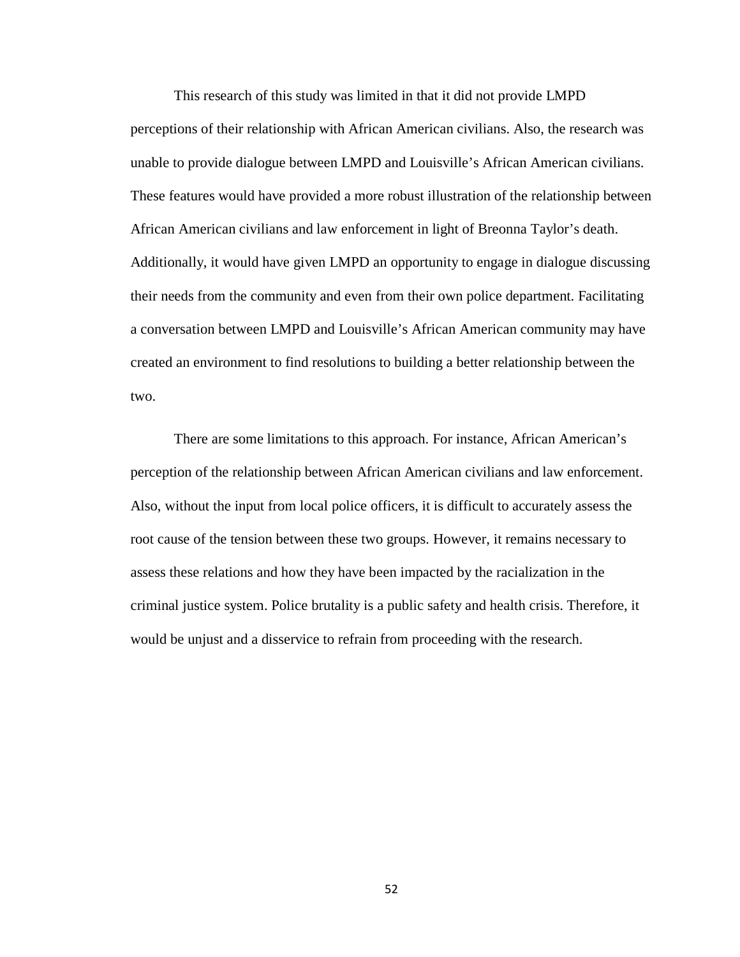This research of this study was limited in that it did not provide LMPD perceptions of their relationship with African American civilians. Also, the research was unable to provide dialogue between LMPD and Louisville's African American civilians. These features would have provided a more robust illustration of the relationship between African American civilians and law enforcement in light of Breonna Taylor's death. Additionally, it would have given LMPD an opportunity to engage in dialogue discussing their needs from the community and even from their own police department. Facilitating a conversation between LMPD and Louisville's African American community may have created an environment to find resolutions to building a better relationship between the two.

There are some limitations to this approach. For instance, African American's perception of the relationship between African American civilians and law enforcement. Also, without the input from local police officers, it is difficult to accurately assess the root cause of the tension between these two groups. However, it remains necessary to assess these relations and how they have been impacted by the racialization in the criminal justice system. Police brutality is a public safety and health crisis. Therefore, it would be unjust and a disservice to refrain from proceeding with the research.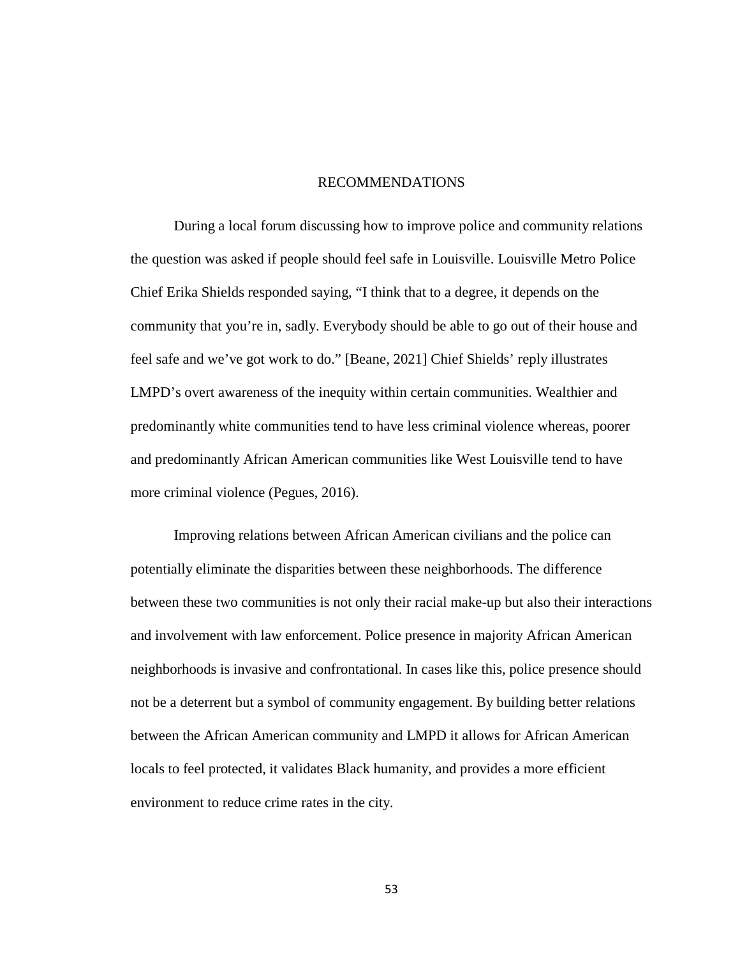#### RECOMMENDATIONS

During a local forum discussing how to improve police and community relations the question was asked if people should feel safe in Louisville. Louisville Metro Police Chief Erika Shields responded saying, "I think that to a degree, it depends on the community that you're in, sadly. Everybody should be able to go out of their house and feel safe and we've got work to do." [Beane, 2021] Chief Shields' reply illustrates LMPD's overt awareness of the inequity within certain communities. Wealthier and predominantly white communities tend to have less criminal violence whereas, poorer and predominantly African American communities like West Louisville tend to have more criminal violence (Pegues, 2016).

Improving relations between African American civilians and the police can potentially eliminate the disparities between these neighborhoods. The difference between these two communities is not only their racial make-up but also their interactions and involvement with law enforcement. Police presence in majority African American neighborhoods is invasive and confrontational. In cases like this, police presence should not be a deterrent but a symbol of community engagement. By building better relations between the African American community and LMPD it allows for African American locals to feel protected, it validates Black humanity, and provides a more efficient environment to reduce crime rates in the city.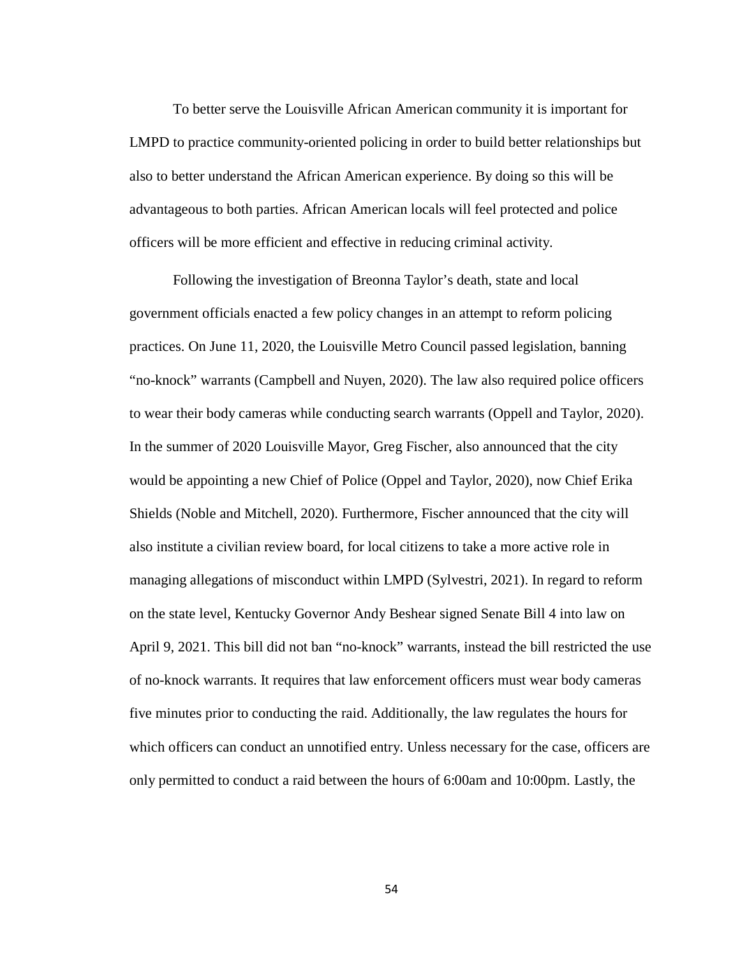To better serve the Louisville African American community it is important for LMPD to practice community-oriented policing in order to build better relationships but also to better understand the African American experience. By doing so this will be advantageous to both parties. African American locals will feel protected and police officers will be more efficient and effective in reducing criminal activity.

Following the investigation of Breonna Taylor's death, state and local government officials enacted a few policy changes in an attempt to reform policing practices. On June 11, 2020, the Louisville Metro Council passed legislation, banning "no-knock" warrants (Campbell and Nuyen, 2020). The law also required police officers to wear their body cameras while conducting search warrants (Oppell and Taylor, 2020). In the summer of 2020 Louisville Mayor, Greg Fischer, also announced that the city would be appointing a new Chief of Police (Oppel and Taylor, 2020), now Chief Erika Shields (Noble and Mitchell, 2020). Furthermore, Fischer announced that the city will also institute a civilian review board, for local citizens to take a more active role in managing allegations of misconduct within LMPD (Sylvestri, 2021). In regard to reform on the state level, Kentucky Governor Andy Beshear signed Senate Bill 4 into law on April 9, 2021. This bill did not ban "no-knock" warrants, instead the bill restricted the use of no-knock warrants. It requires that law enforcement officers must wear body cameras five minutes prior to conducting the raid. Additionally, the law regulates the hours for which officers can conduct an unnotified entry. Unless necessary for the case, officers are only permitted to conduct a raid between the hours of 6:00am and 10:00pm. Lastly, the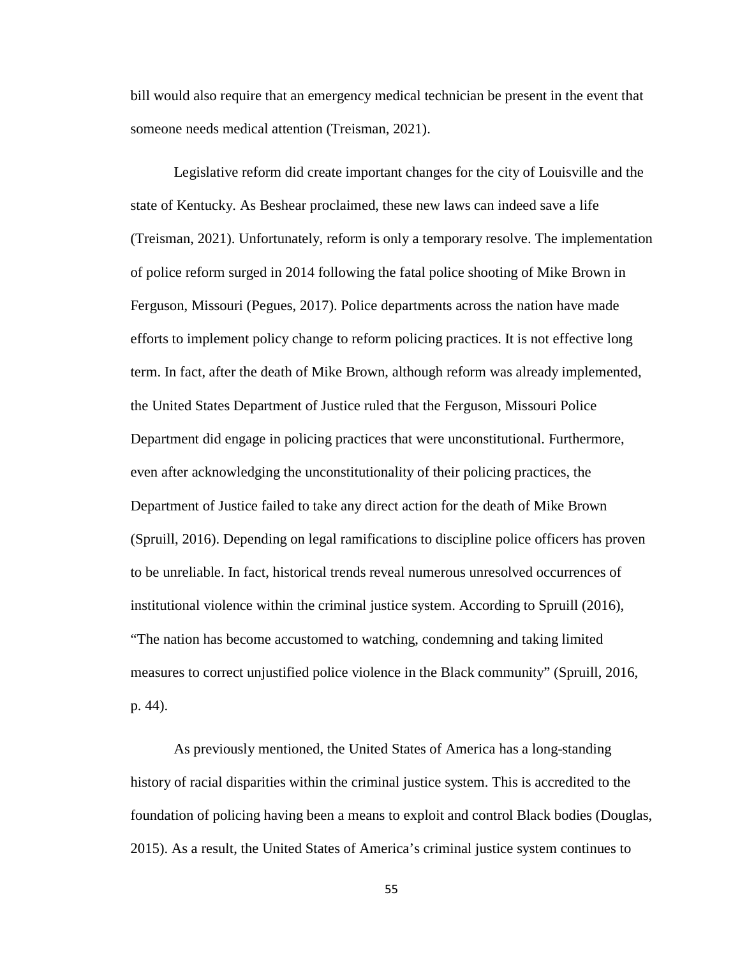bill would also require that an emergency medical technician be present in the event that someone needs medical attention (Treisman, 2021).

Legislative reform did create important changes for the city of Louisville and the state of Kentucky. As Beshear proclaimed, these new laws can indeed save a life (Treisman, 2021). Unfortunately, reform is only a temporary resolve. The implementation of police reform surged in 2014 following the fatal police shooting of Mike Brown in Ferguson, Missouri (Pegues, 2017). Police departments across the nation have made efforts to implement policy change to reform policing practices. It is not effective long term. In fact, after the death of Mike Brown, although reform was already implemented, the United States Department of Justice ruled that the Ferguson, Missouri Police Department did engage in policing practices that were unconstitutional. Furthermore, even after acknowledging the unconstitutionality of their policing practices, the Department of Justice failed to take any direct action for the death of Mike Brown (Spruill, 2016). Depending on legal ramifications to discipline police officers has proven to be unreliable. In fact, historical trends reveal numerous unresolved occurrences of institutional violence within the criminal justice system. According to Spruill (2016), "The nation has become accustomed to watching, condemning and taking limited measures to correct unjustified police violence in the Black community" (Spruill, 2016, p. 44).

As previously mentioned, the United States of America has a long-standing history of racial disparities within the criminal justice system. This is accredited to the foundation of policing having been a means to exploit and control Black bodies (Douglas, 2015). As a result, the United States of America's criminal justice system continues to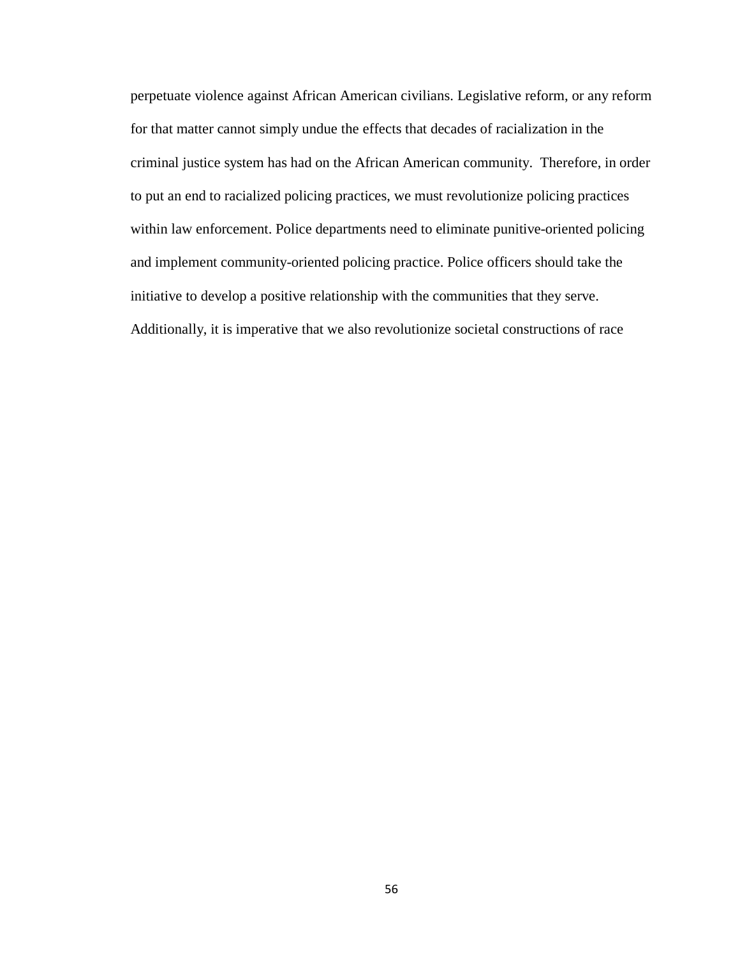perpetuate violence against African American civilians. Legislative reform, or any reform for that matter cannot simply undue the effects that decades of racialization in the criminal justice system has had on the African American community. Therefore, in order to put an end to racialized policing practices, we must revolutionize policing practices within law enforcement. Police departments need to eliminate punitive-oriented policing and implement community-oriented policing practice. Police officers should take the initiative to develop a positive relationship with the communities that they serve. Additionally, it is imperative that we also revolutionize societal constructions of race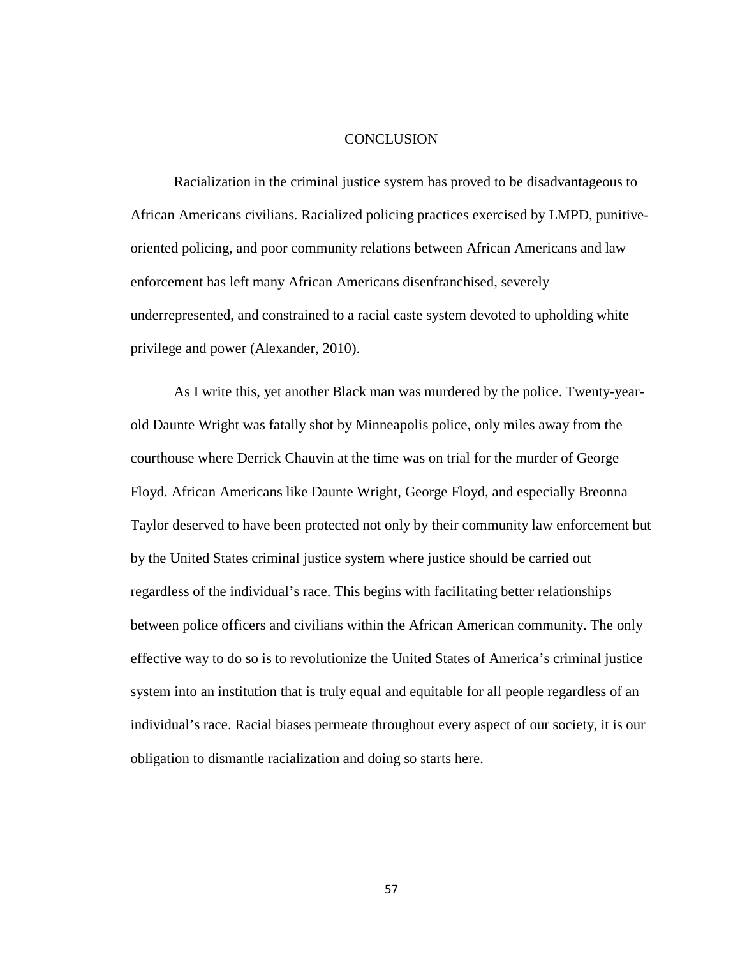#### **CONCLUSION**

Racialization in the criminal justice system has proved to be disadvantageous to African Americans civilians. Racialized policing practices exercised by LMPD, punitiveoriented policing, and poor community relations between African Americans and law enforcement has left many African Americans disenfranchised, severely underrepresented, and constrained to a racial caste system devoted to upholding white privilege and power (Alexander, 2010).

As I write this, yet another Black man was murdered by the police. Twenty-yearold Daunte Wright was fatally shot by Minneapolis police, only miles away from the courthouse where Derrick Chauvin at the time was on trial for the murder of George Floyd. African Americans like Daunte Wright, George Floyd, and especially Breonna Taylor deserved to have been protected not only by their community law enforcement but by the United States criminal justice system where justice should be carried out regardless of the individual's race. This begins with facilitating better relationships between police officers and civilians within the African American community. The only effective way to do so is to revolutionize the United States of America's criminal justice system into an institution that is truly equal and equitable for all people regardless of an individual's race. Racial biases permeate throughout every aspect of our society, it is our obligation to dismantle racialization and doing so starts here.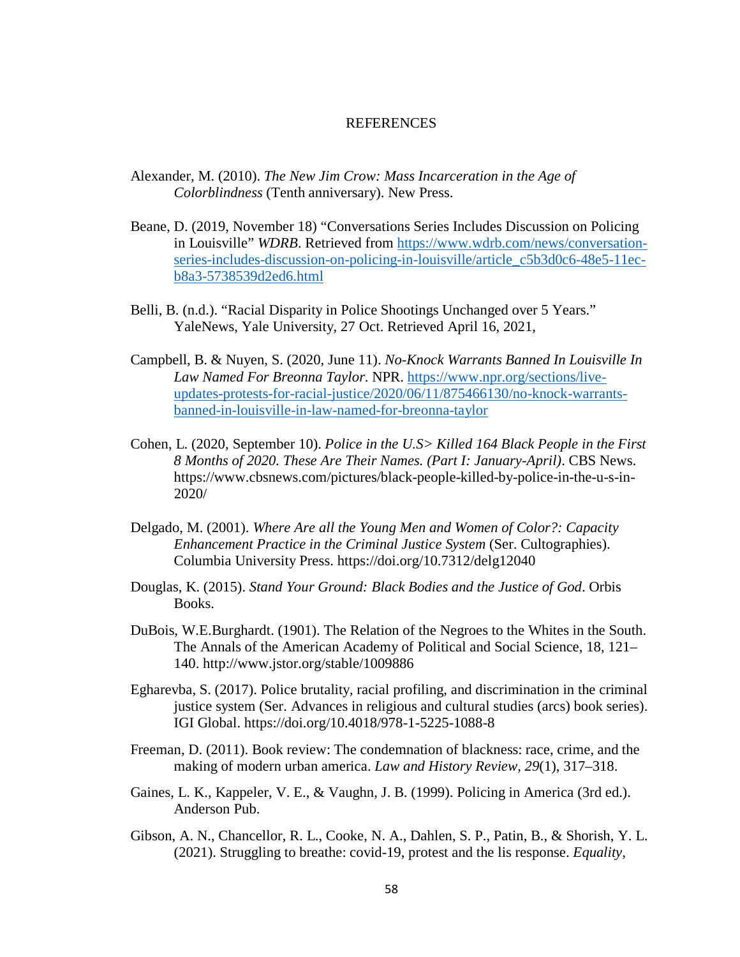#### **REFERENCES**

- Alexander, M. (2010). *The New Jim Crow: Mass Incarceration in the Age of Colorblindness* (Tenth anniversary). New Press.
- Beane, D. (2019, November 18) "Conversations Series Includes Discussion on Policing in Louisville" *WDRB*. Retrieved from [https://www.wdrb.com/news/conversation](https://www.wdrb.com/news/conversation-series-includes-discussion-on-policing-in-louisville/article_c5b3d0c6-48e5-11ec-b8a3-5738539d2ed6.html)[series-includes-discussion-on-policing-in-louisville/article\\_c5b3d0c6-48e5-11ec](https://www.wdrb.com/news/conversation-series-includes-discussion-on-policing-in-louisville/article_c5b3d0c6-48e5-11ec-b8a3-5738539d2ed6.html)[b8a3-5738539d2ed6.html](https://www.wdrb.com/news/conversation-series-includes-discussion-on-policing-in-louisville/article_c5b3d0c6-48e5-11ec-b8a3-5738539d2ed6.html)
- Belli, B. (n.d.). "Racial Disparity in Police Shootings Unchanged over 5 Years." YaleNews, Yale University, 27 Oct. Retrieved April 16, 2021,
- Campbell, B. & Nuyen, S. (2020, June 11). *No-Knock Warrants Banned In Louisville In Law Named For Breonna Taylor*. NPR. [https://www.npr.org/sections/live](https://www.npr.org/sections/live-updates-protests-for-racial-justice/2020/06/11/875466130/no-knock-warrants-banned-in-louisville-in-law-named-for-breonna-taylor)[updates-protests-for-racial-justice/2020/06/11/875466130/no-knock-warrants](https://www.npr.org/sections/live-updates-protests-for-racial-justice/2020/06/11/875466130/no-knock-warrants-banned-in-louisville-in-law-named-for-breonna-taylor)[banned-in-louisville-in-law-named-for-breonna-taylor](https://www.npr.org/sections/live-updates-protests-for-racial-justice/2020/06/11/875466130/no-knock-warrants-banned-in-louisville-in-law-named-for-breonna-taylor)
- Cohen, L. (2020, September 10). *Police in the U.S> Killed 164 Black People in the First 8 Months of 2020. These Are Their Names. (Part I: January-April)*. CBS News. https://www.cbsnews.com/pictures/black-people-killed-by-police-in-the-u-s-in-2020/
- Delgado, M. (2001). *Where Are all the Young Men and Women of Color?: Capacity Enhancement Practice in the Criminal Justice System* (Ser. Cultographies). Columbia University Press. https://doi.org/10.7312/delg12040
- Douglas, K. (2015). *Stand Your Ground: Black Bodies and the Justice of God*. Orbis Books.
- DuBois, W.E.Burghardt. (1901). The Relation of the Negroes to the Whites in the South. The Annals of the American Academy of Political and Social Science, 18, 121– 140. http://www.jstor.org/stable/1009886
- Egharevba, S. (2017). Police brutality, racial profiling, and discrimination in the criminal justice system (Ser. Advances in religious and cultural studies (arcs) book series). IGI Global. https://doi.org/10.4018/978-1-5225-1088-8
- Freeman, D. (2011). Book review: The condemnation of blackness: race, crime, and the making of modern urban america. *Law and History Review*, *29*(1), 317–318.
- Gaines, L. K., Kappeler, V. E., & Vaughn, J. B. (1999). Policing in America (3rd ed.). Anderson Pub.
- Gibson, A. N., Chancellor, R. L., Cooke, N. A., Dahlen, S. P., Patin, B., & Shorish, Y. L. (2021). Struggling to breathe: covid-19, protest and the lis response. *Equality,*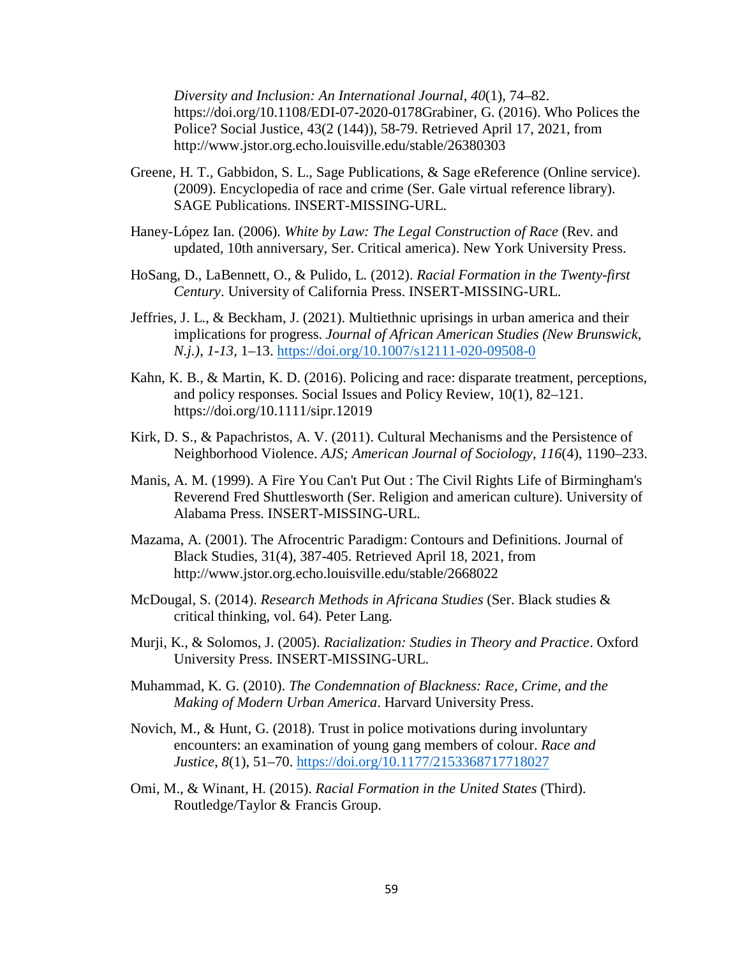*Diversity and Inclusion: An International Journal*, *40*(1), 74–82. https://doi.org/10.1108/EDI-07-2020-0178Grabiner, G. (2016). Who Polices the Police? Social Justice, 43(2 (144)), 58-79. Retrieved April 17, 2021, from http://www.jstor.org.echo.louisville.edu/stable/26380303

- Greene, H. T., Gabbidon, S. L., Sage Publications, & Sage eReference (Online service). (2009). Encyclopedia of race and crime (Ser. Gale virtual reference library). SAGE Publications. INSERT-MISSING-URL.
- Haney-López Ian. (2006). *White by Law: The Legal Construction of Race* (Rev. and updated, 10th anniversary, Ser. Critical america). New York University Press.
- HoSang, D., LaBennett, O., & Pulido, L. (2012). *Racial Formation in the Twenty-first Century*. University of California Press. INSERT-MISSING-URL.
- Jeffries, J. L., & Beckham, J. (2021). Multiethnic uprisings in urban america and their implications for progress. *Journal of African American Studies (New Brunswick, N.j.)*, *1-13*, 1–13.<https://doi.org/10.1007/s12111-020-09508-0>
- Kahn, K. B., & Martin, K. D. (2016). Policing and race: disparate treatment, perceptions, and policy responses. Social Issues and Policy Review, 10(1), 82–121. <https://doi.org/10.1111/sipr.12019>
- Kirk, D. S., & Papachristos, A. V. (2011). Cultural Mechanisms and the Persistence of Neighborhood Violence. *AJS; American Journal of Sociology*, *116*(4), 1190–233.
- Manis, A. M. (1999). A Fire You Can't Put Out : The Civil Rights Life of Birmingham's Reverend Fred Shuttlesworth (Ser. Religion and american culture). University of Alabama Press. INSERT-MISSING-URL.
- Mazama, A. (2001). The Afrocentric Paradigm: Contours and Definitions. Journal of Black Studies, 31(4), 387-405. Retrieved April 18, 2021, from http://www.jstor.org.echo.louisville.edu/stable/2668022
- McDougal, S. (2014). *Research Methods in Africana Studies* (Ser. Black studies & critical thinking, vol. 64). Peter Lang.
- Murji, K., & Solomos, J. (2005). *Racialization: Studies in Theory and Practice*. Oxford University Press. INSERT-MISSING-URL.
- Muhammad, K. G. (2010). *The Condemnation of Blackness: Race, Crime, and the Making of Modern Urban America*. Harvard University Press.
- Novich, M., & Hunt, G. (2018). Trust in police motivations during involuntary encounters: an examination of young gang members of colour. *Race and Justice*, *8*(1), 51–70.<https://doi.org/10.1177/2153368717718027>
- Omi, M., & Winant, H. (2015). *Racial Formation in the United States* (Third). Routledge/Taylor & Francis Group.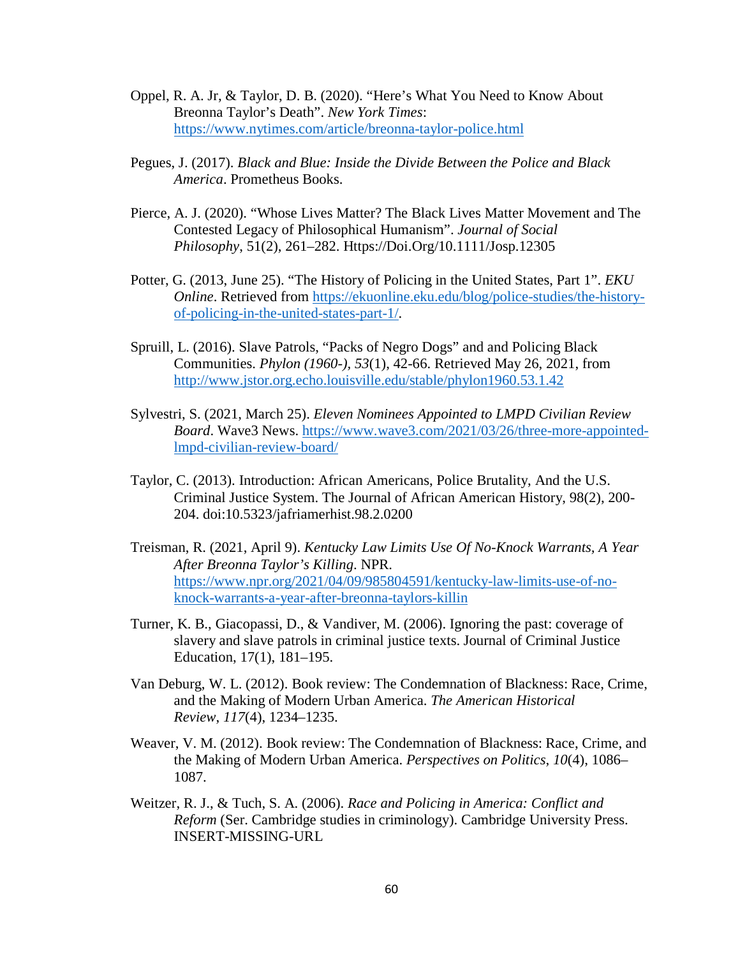- Oppel, R. A. Jr, & Taylor, D. B. (2020). "Here's What You Need to Know About Breonna Taylor's Death". *New York Times*: <https://www.nytimes.com/article/breonna-taylor-police.html>
- Pegues, J. (2017). *Black and Blue: Inside the Divide Between the Police and Black America*. Prometheus Books.
- Pierce, A. J. (2020). "Whose Lives Matter? The Black Lives Matter Movement and The Contested Legacy of Philosophical Humanism". *Journal of Social Philosophy*, 51(2), 261–282. Https://Doi.Org/10.1111/Josp.12305
- Potter, G. (2013, June 25). "The History of Policing in the United States, Part 1". *EKU Online*. Retrieved from [https://ekuonline.eku.edu/blog/police-studies/the-history](https://ekuonline.eku.edu/blog/police-studies/the-history-of-policing-in-the-united-states-part-1/)[of-policing-in-the-united-states-part-1/.](https://ekuonline.eku.edu/blog/police-studies/the-history-of-policing-in-the-united-states-part-1/)
- Spruill, L. (2016). Slave Patrols, "Packs of Negro Dogs" and and Policing Black Communities. *Phylon (1960-), 53*(1), 42-66. Retrieved May 26, 2021, from <http://www.jstor.org.echo.louisville.edu/stable/phylon1960.53.1.42>
- Sylvestri, S. (2021, March 25). *Eleven Nominees Appointed to LMPD Civilian Review Board*. Wave3 News. [https://www.wave3.com/2021/03/26/three-more-appointed](https://www.wave3.com/2021/03/26/three-more-appointed-lmpd-civilian-review-board/)[lmpd-civilian-review-board/](https://www.wave3.com/2021/03/26/three-more-appointed-lmpd-civilian-review-board/)
- Taylor, C. (2013). Introduction: African Americans, Police Brutality, And the U.S. Criminal Justice System. The Journal of African American History, 98(2), 200- 204. doi:10.5323/jafriamerhist.98.2.0200
- Treisman, R. (2021, April 9). *Kentucky Law Limits Use Of No-Knock Warrants, A Year After Breonna Taylor's Killing*. NPR. [https://www.npr.org/2021/04/09/985804591/kentucky-law-limits-use-of-no](https://www.npr.org/2021/04/09/985804591/kentucky-law-limits-use-of-no-knock-warrants-a-year-after-breonna-taylors-killin)[knock-warrants-a-year-after-breonna-taylors-killin](https://www.npr.org/2021/04/09/985804591/kentucky-law-limits-use-of-no-knock-warrants-a-year-after-breonna-taylors-killin)
- Turner, K. B., Giacopassi, D., & Vandiver, M. (2006). Ignoring the past: coverage of slavery and slave patrols in criminal justice texts. Journal of Criminal Justice Education, 17(1), 181–195.
- Van Deburg, W. L. (2012). Book review: The Condemnation of Blackness: Race, Crime, and the Making of Modern Urban America. *The American Historical Review*, *117*(4), 1234–1235.
- Weaver, V. M. (2012). Book review: The Condemnation of Blackness: Race, Crime, and the Making of Modern Urban America. *Perspectives on Politics*, *10*(4), 1086– 1087.
- Weitzer, R. J., & Tuch, S. A. (2006). *Race and Policing in America: Conflict and Reform* (Ser. Cambridge studies in criminology). Cambridge University Press. INSERT-MISSING-URL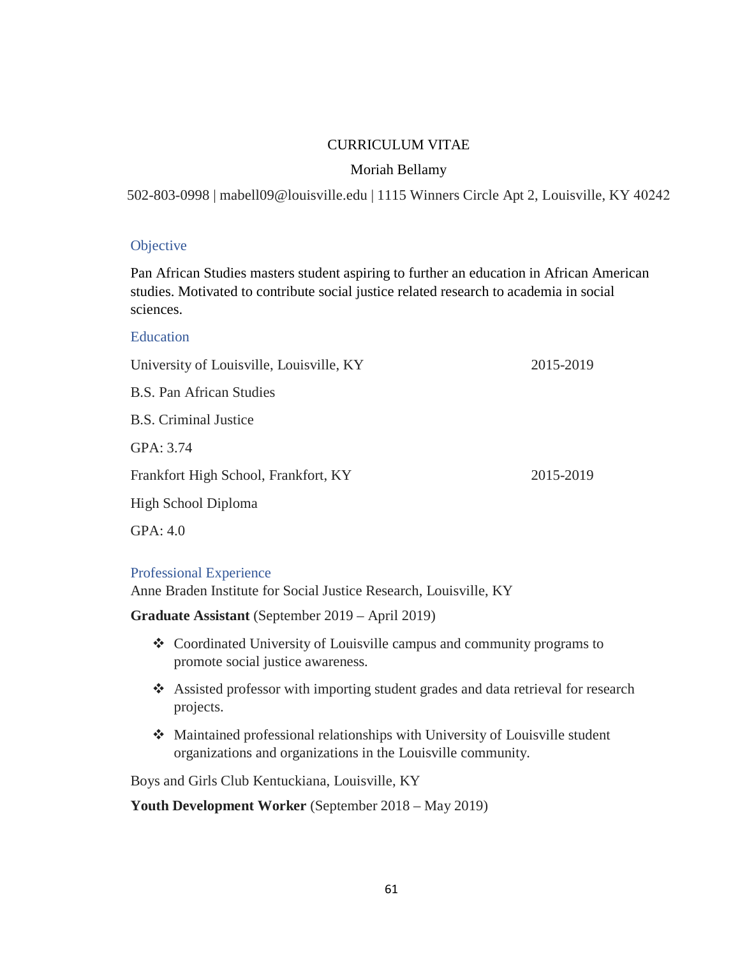# CURRICULUM VITAE

# Moriah Bellamy

502-803-0998 | mabell09@louisville.edu | 1115 Winners Circle Apt 2, Louisville, KY 40242

# **Objective**

Pan African Studies masters student aspiring to further an education in African American studies. Motivated to contribute social justice related research to academia in social sciences.

| Education                                |           |
|------------------------------------------|-----------|
| University of Louisville, Louisville, KY | 2015-2019 |
| <b>B.S. Pan African Studies</b>          |           |
| <b>B.S. Criminal Justice</b>             |           |
| GPA: 3.74                                |           |
| Frankfort High School, Frankfort, KY     | 2015-2019 |
| High School Diploma                      |           |
| GPA: $4.0$                               |           |

# Professional Experience

Anne Braden Institute for Social Justice Research, Louisville, KY

**Graduate Assistant** (September 2019 – April 2019)

- Coordinated University of Louisville campus and community programs to promote social justice awareness.
- Assisted professor with importing student grades and data retrieval for research projects.
- Maintained professional relationships with University of Louisville student organizations and organizations in the Louisville community.

Boys and Girls Club Kentuckiana, Louisville, KY

**Youth Development Worker** (September 2018 – May 2019)